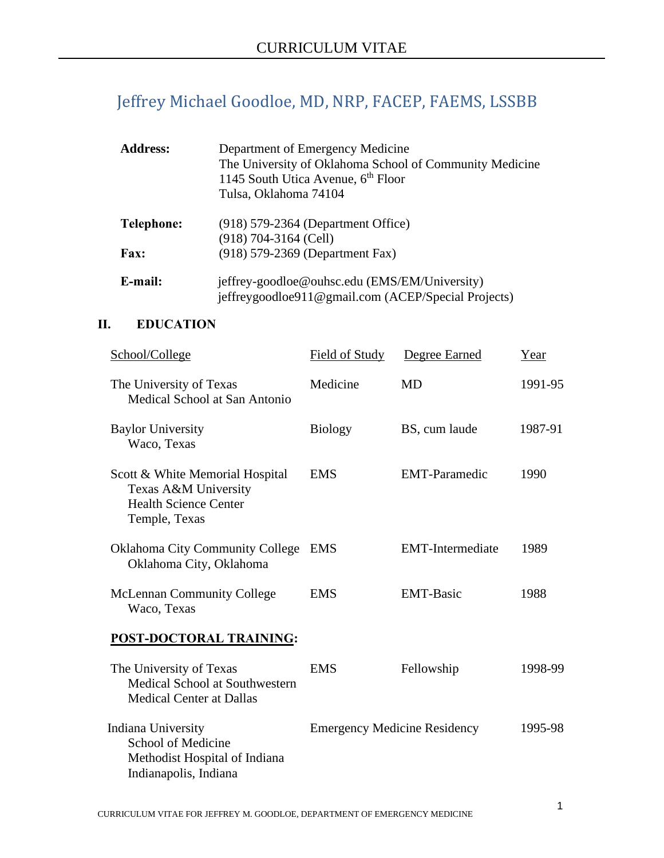# Jeffrey Michael Goodloe, MD, NRP, FACEP, FAEMS, LSSBB

| <b>Address:</b> | Department of Emergency Medicine                                                                     |
|-----------------|------------------------------------------------------------------------------------------------------|
|                 | The University of Oklahoma School of Community Medicine                                              |
|                 | 1145 South Utica Avenue, 6 <sup>th</sup> Floor                                                       |
|                 | Tulsa, Oklahoma 74104                                                                                |
| Telephone:      | $(918)$ 579-2364 (Department Office)                                                                 |
|                 | $(918)$ 704-3164 (Cell)                                                                              |
| <b>Fax:</b>     | (918) 579-2369 (Department Fax)                                                                      |
| E-mail:         | jeffrey-goodloe@ouhsc.edu (EMS/EM/University)<br>jeffreygoodloe911@gmail.com (ACEP/Special Projects) |

# **II. EDUCATION**

| School/College                                                                                           | <b>Field of Study</b>               | Degree Earned           | Year    |
|----------------------------------------------------------------------------------------------------------|-------------------------------------|-------------------------|---------|
| The University of Texas<br>Medical School at San Antonio                                                 | Medicine                            | <b>MD</b>               | 1991-95 |
| <b>Baylor University</b><br>Waco, Texas                                                                  | <b>Biology</b>                      | BS, cum laude           | 1987-91 |
| Scott & White Memorial Hospital<br>Texas A&M University<br><b>Health Science Center</b><br>Temple, Texas | <b>EMS</b>                          | <b>EMT-Paramedic</b>    | 1990    |
| <b>Oklahoma City Community College</b><br>Oklahoma City, Oklahoma                                        | <b>EMS</b>                          | <b>EMT-Intermediate</b> | 1989    |
| <b>McLennan Community College</b><br>Waco, Texas                                                         | <b>EMS</b>                          | <b>EMT-Basic</b>        | 1988    |
| POST-DOCTORAL TRAINING:                                                                                  |                                     |                         |         |
| The University of Texas<br>Medical School at Southwestern<br><b>Medical Center at Dallas</b>             | <b>EMS</b>                          | Fellowship              | 1998-99 |
| Indiana University<br>School of Medicine<br>Methodist Hospital of Indiana<br>Indianapolis, Indiana       | <b>Emergency Medicine Residency</b> |                         | 1995-98 |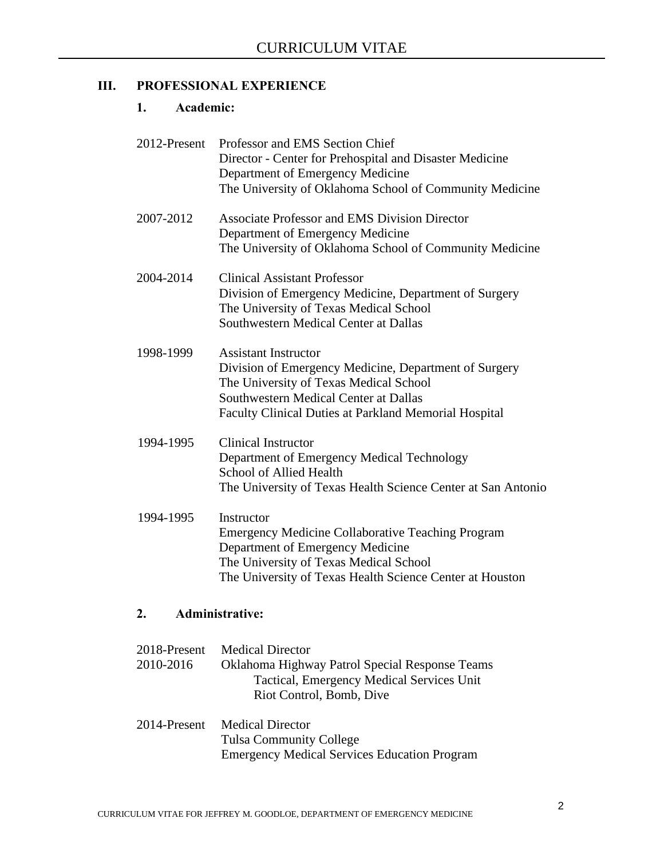# **III. PROFESSIONAL EXPERIENCE**

#### **1. Academic:**

| 2012-Present                 | Professor and EMS Section Chief<br>Director - Center for Prehospital and Disaster Medicine<br>Department of Emergency Medicine                                                                                                          |
|------------------------------|-----------------------------------------------------------------------------------------------------------------------------------------------------------------------------------------------------------------------------------------|
|                              | The University of Oklahoma School of Community Medicine                                                                                                                                                                                 |
| 2007-2012                    | <b>Associate Professor and EMS Division Director</b><br>Department of Emergency Medicine<br>The University of Oklahoma School of Community Medicine                                                                                     |
| 2004-2014                    | <b>Clinical Assistant Professor</b><br>Division of Emergency Medicine, Department of Surgery<br>The University of Texas Medical School<br>Southwestern Medical Center at Dallas                                                         |
| 1998-1999                    | <b>Assistant Instructor</b><br>Division of Emergency Medicine, Department of Surgery<br>The University of Texas Medical School<br>Southwestern Medical Center at Dallas<br><b>Faculty Clinical Duties at Parkland Memorial Hospital</b> |
| 1994-1995                    | <b>Clinical Instructor</b><br>Department of Emergency Medical Technology<br><b>School of Allied Health</b><br>The University of Texas Health Science Center at San Antonio                                                              |
| 1994-1995                    | Instructor<br><b>Emergency Medicine Collaborative Teaching Program</b><br>Department of Emergency Medicine<br>The University of Texas Medical School<br>The University of Texas Health Science Center at Houston                        |
| <b>Administrative:</b><br>2. |                                                                                                                                                                                                                                         |

| 2018-Present | <b>Medical Director</b>                                               |
|--------------|-----------------------------------------------------------------------|
| 2010-2016    | Oklahoma Highway Patrol Special Response Teams                        |
|              | Tactical, Emergency Medical Services Unit<br>Riot Control, Bomb, Dive |
|              | 2014-Present Medical Director                                         |

2014-Present Medical Director Tulsa Community College Emergency Medical Services Education Program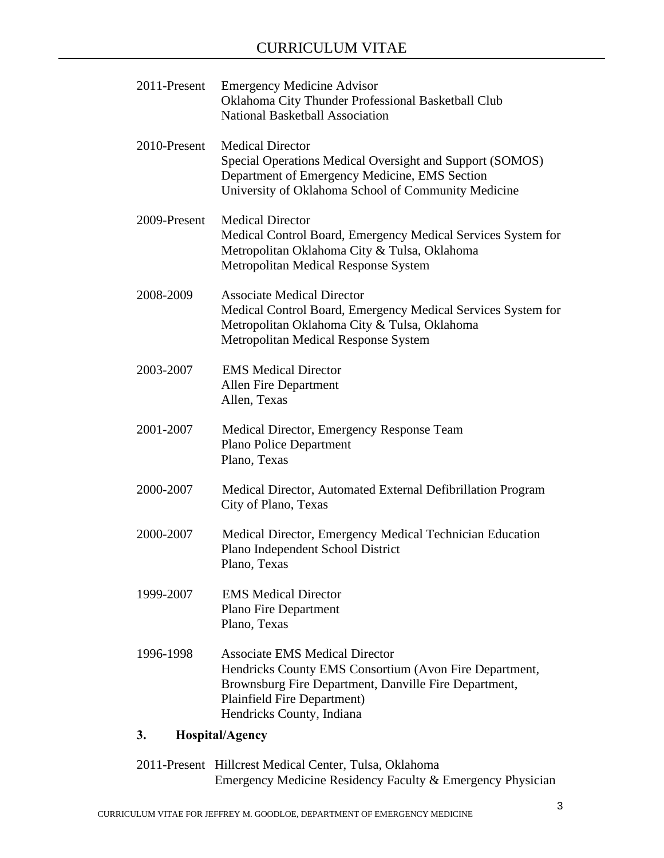| 2011-Present | <b>Emergency Medicine Advisor</b><br>Oklahoma City Thunder Professional Basketball Club<br><b>National Basketball Association</b>                                                                                           |
|--------------|-----------------------------------------------------------------------------------------------------------------------------------------------------------------------------------------------------------------------------|
| 2010-Present | <b>Medical Director</b><br>Special Operations Medical Oversight and Support (SOMOS)<br>Department of Emergency Medicine, EMS Section<br>University of Oklahoma School of Community Medicine                                 |
| 2009-Present | <b>Medical Director</b><br>Medical Control Board, Emergency Medical Services System for<br>Metropolitan Oklahoma City & Tulsa, Oklahoma<br><b>Metropolitan Medical Response System</b>                                      |
| 2008-2009    | <b>Associate Medical Director</b><br>Medical Control Board, Emergency Medical Services System for<br>Metropolitan Oklahoma City & Tulsa, Oklahoma<br><b>Metropolitan Medical Response System</b>                            |
| 2003-2007    | <b>EMS</b> Medical Director<br>Allen Fire Department<br>Allen, Texas                                                                                                                                                        |
| 2001-2007    | Medical Director, Emergency Response Team<br><b>Plano Police Department</b><br>Plano, Texas                                                                                                                                 |
| 2000-2007    | Medical Director, Automated External Defibrillation Program<br>City of Plano, Texas                                                                                                                                         |
| 2000-2007    | Medical Director, Emergency Medical Technician Education<br>Plano Independent School District<br>Plano, Texas                                                                                                               |
| 1999-2007    | <b>EMS</b> Medical Director<br>Plano Fire Department<br>Plano, Texas                                                                                                                                                        |
| 1996-1998    | <b>Associate EMS Medical Director</b><br>Hendricks County EMS Consortium (Avon Fire Department,<br>Brownsburg Fire Department, Danville Fire Department,<br><b>Plainfield Fire Department)</b><br>Hendricks County, Indiana |

# **3. Hospital/Agency**

2011-Present Hillcrest Medical Center, Tulsa, Oklahoma Emergency Medicine Residency Faculty & Emergency Physician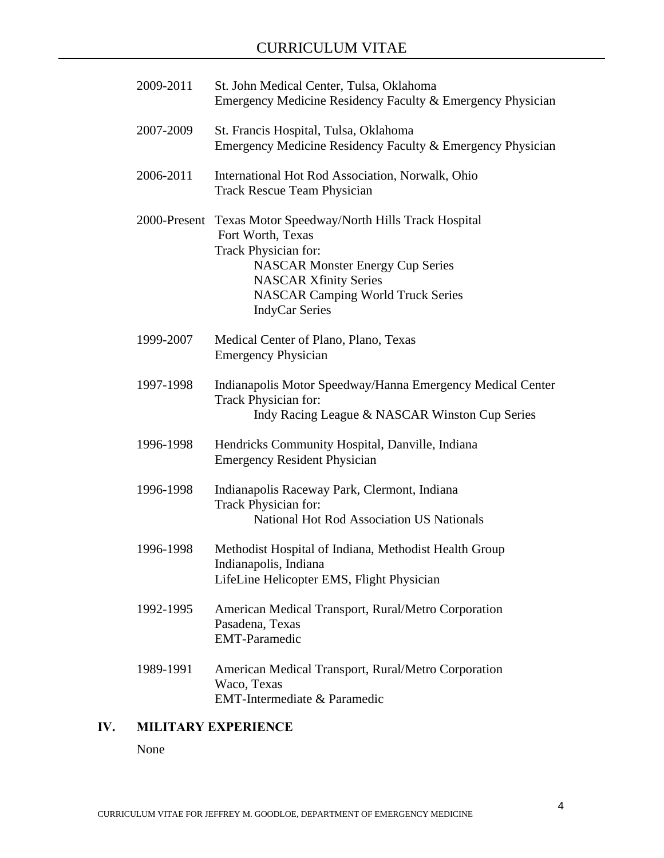| 2009-2011 | St. John Medical Center, Tulsa, Oklahoma<br>Emergency Medicine Residency Faculty & Emergency Physician                                                                                                                                                    |
|-----------|-----------------------------------------------------------------------------------------------------------------------------------------------------------------------------------------------------------------------------------------------------------|
| 2007-2009 | St. Francis Hospital, Tulsa, Oklahoma<br>Emergency Medicine Residency Faculty & Emergency Physician                                                                                                                                                       |
| 2006-2011 | International Hot Rod Association, Norwalk, Ohio<br><b>Track Rescue Team Physician</b>                                                                                                                                                                    |
|           | 2000-Present Texas Motor Speedway/North Hills Track Hospital<br>Fort Worth, Texas<br>Track Physician for:<br><b>NASCAR Monster Energy Cup Series</b><br><b>NASCAR Xfinity Series</b><br><b>NASCAR Camping World Truck Series</b><br><b>IndyCar Series</b> |
| 1999-2007 | Medical Center of Plano, Plano, Texas<br><b>Emergency Physician</b>                                                                                                                                                                                       |
| 1997-1998 | Indianapolis Motor Speedway/Hanna Emergency Medical Center<br>Track Physician for:<br>Indy Racing League & NASCAR Winston Cup Series                                                                                                                      |
| 1996-1998 | Hendricks Community Hospital, Danville, Indiana<br><b>Emergency Resident Physician</b>                                                                                                                                                                    |
| 1996-1998 | Indianapolis Raceway Park, Clermont, Indiana<br>Track Physician for:<br><b>National Hot Rod Association US Nationals</b>                                                                                                                                  |
| 1996-1998 | Methodist Hospital of Indiana, Methodist Health Group<br>Indianapolis, Indiana<br>LifeLine Helicopter EMS, Flight Physician                                                                                                                               |
| 1992-1995 | American Medical Transport, Rural/Metro Corporation<br>Pasadena, Texas<br><b>EMT-Paramedic</b>                                                                                                                                                            |
| 1989-1991 | American Medical Transport, Rural/Metro Corporation<br>Waco, Texas<br><b>EMT-Intermediate &amp; Paramedic</b>                                                                                                                                             |

# **IV. MILITARY EXPERIENCE**

None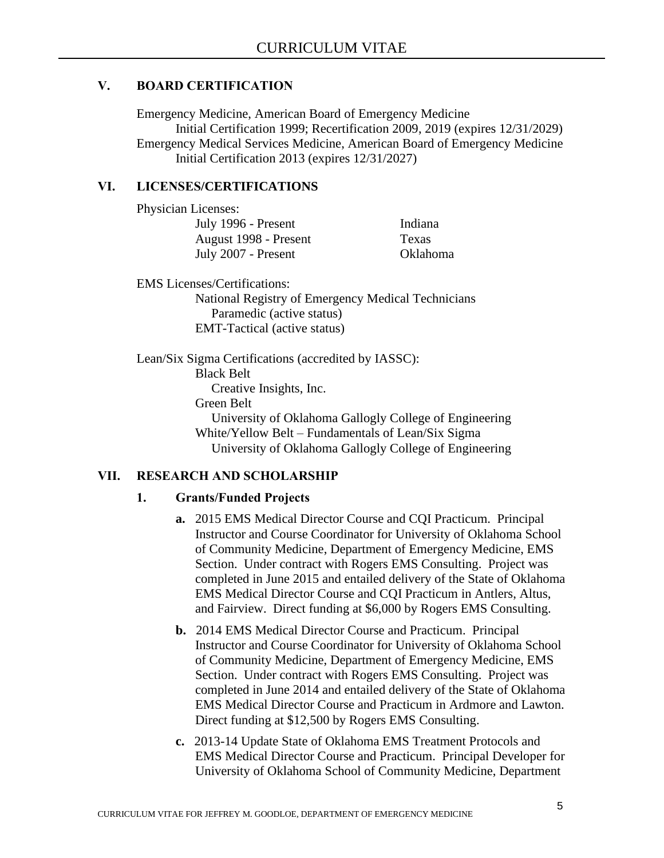# **V. BOARD CERTIFICATION**

Emergency Medicine, American Board of Emergency Medicine Initial Certification 1999; Recertification 2009, 2019 (expires 12/31/2029) Emergency Medical Services Medicine, American Board of Emergency Medicine Initial Certification 2013 (expires 12/31/2027)

#### **VI. LICENSES/CERTIFICATIONS**

Physician Licenses:

| July 1996 - Present   | Indiana  |
|-----------------------|----------|
| August 1998 - Present | Texas    |
| July 2007 - Present   | Oklahoma |

EMS Licenses/Certifications:

National Registry of Emergency Medical Technicians Paramedic (active status) EMT-Tactical (active status)

Lean/Six Sigma Certifications (accredited by IASSC): Black Belt Creative Insights, Inc. Green Belt University of Oklahoma Gallogly College of Engineering White/Yellow Belt – Fundamentals of Lean/Six Sigma University of Oklahoma Gallogly College of Engineering

# **VII. RESEARCH AND SCHOLARSHIP**

#### **1. Grants/Funded Projects**

- **a.** 2015 EMS Medical Director Course and CQI Practicum. Principal Instructor and Course Coordinator for University of Oklahoma School of Community Medicine, Department of Emergency Medicine, EMS Section. Under contract with Rogers EMS Consulting. Project was completed in June 2015 and entailed delivery of the State of Oklahoma EMS Medical Director Course and CQI Practicum in Antlers, Altus, and Fairview. Direct funding at \$6,000 by Rogers EMS Consulting.
- **b.** 2014 EMS Medical Director Course and Practicum. Principal Instructor and Course Coordinator for University of Oklahoma School of Community Medicine, Department of Emergency Medicine, EMS Section. Under contract with Rogers EMS Consulting. Project was completed in June 2014 and entailed delivery of the State of Oklahoma EMS Medical Director Course and Practicum in Ardmore and Lawton. Direct funding at \$12,500 by Rogers EMS Consulting.
- **c.** 2013-14 Update State of Oklahoma EMS Treatment Protocols and EMS Medical Director Course and Practicum. Principal Developer for University of Oklahoma School of Community Medicine, Department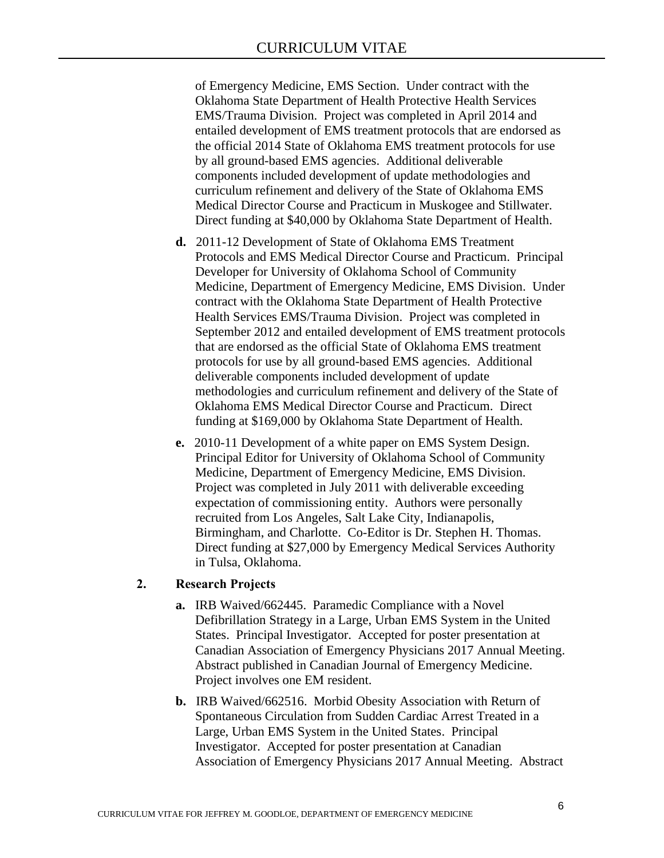of Emergency Medicine, EMS Section. Under contract with the Oklahoma State Department of Health Protective Health Services EMS/Trauma Division. Project was completed in April 2014 and entailed development of EMS treatment protocols that are endorsed as the official 2014 State of Oklahoma EMS treatment protocols for use by all ground-based EMS agencies. Additional deliverable components included development of update methodologies and curriculum refinement and delivery of the State of Oklahoma EMS Medical Director Course and Practicum in Muskogee and Stillwater. Direct funding at \$40,000 by Oklahoma State Department of Health.

- **d.** 2011-12 Development of State of Oklahoma EMS Treatment Protocols and EMS Medical Director Course and Practicum. Principal Developer for University of Oklahoma School of Community Medicine, Department of Emergency Medicine, EMS Division. Under contract with the Oklahoma State Department of Health Protective Health Services EMS/Trauma Division. Project was completed in September 2012 and entailed development of EMS treatment protocols that are endorsed as the official State of Oklahoma EMS treatment protocols for use by all ground-based EMS agencies. Additional deliverable components included development of update methodologies and curriculum refinement and delivery of the State of Oklahoma EMS Medical Director Course and Practicum. Direct funding at \$169,000 by Oklahoma State Department of Health.
- **e.** 2010-11 Development of a white paper on EMS System Design. Principal Editor for University of Oklahoma School of Community Medicine, Department of Emergency Medicine, EMS Division. Project was completed in July 2011 with deliverable exceeding expectation of commissioning entity. Authors were personally recruited from Los Angeles, Salt Lake City, Indianapolis, Birmingham, and Charlotte. Co-Editor is Dr. Stephen H. Thomas. Direct funding at \$27,000 by Emergency Medical Services Authority in Tulsa, Oklahoma.

#### **2. Research Projects**

- **a.** IRB Waived/662445. Paramedic Compliance with a Novel Defibrillation Strategy in a Large, Urban EMS System in the United States. Principal Investigator. Accepted for poster presentation at Canadian Association of Emergency Physicians 2017 Annual Meeting. Abstract published in Canadian Journal of Emergency Medicine. Project involves one EM resident.
- **b.** IRB Waived/662516. Morbid Obesity Association with Return of Spontaneous Circulation from Sudden Cardiac Arrest Treated in a Large, Urban EMS System in the United States. Principal Investigator. Accepted for poster presentation at Canadian Association of Emergency Physicians 2017 Annual Meeting. Abstract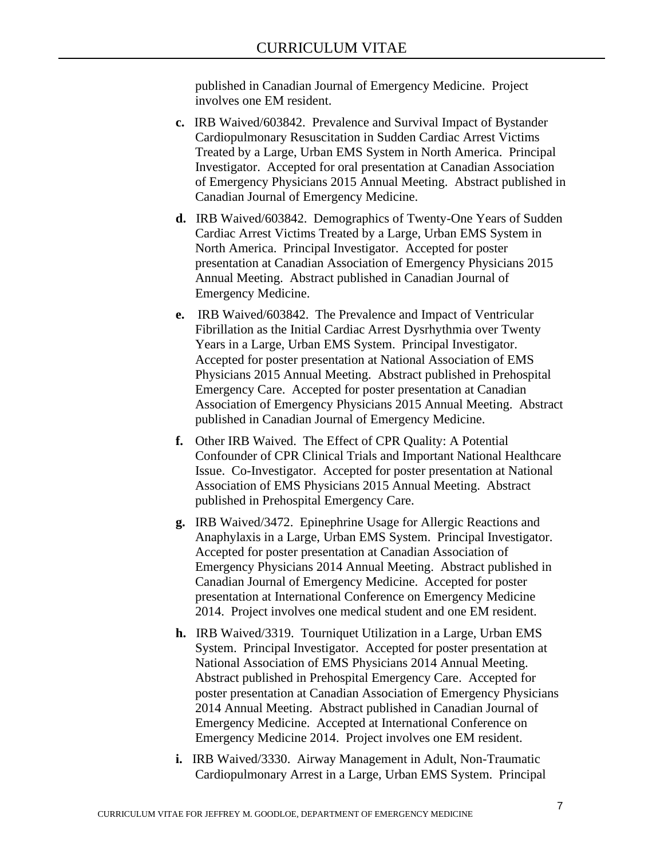published in Canadian Journal of Emergency Medicine. Project involves one EM resident.

- **c.** IRB Waived/603842. Prevalence and Survival Impact of Bystander Cardiopulmonary Resuscitation in Sudden Cardiac Arrest Victims Treated by a Large, Urban EMS System in North America. Principal Investigator. Accepted for oral presentation at Canadian Association of Emergency Physicians 2015 Annual Meeting. Abstract published in Canadian Journal of Emergency Medicine.
- **d.** IRB Waived/603842. Demographics of Twenty-One Years of Sudden Cardiac Arrest Victims Treated by a Large, Urban EMS System in North America. Principal Investigator. Accepted for poster presentation at Canadian Association of Emergency Physicians 2015 Annual Meeting. Abstract published in Canadian Journal of Emergency Medicine.
- **e.** IRB Waived/603842. The Prevalence and Impact of Ventricular Fibrillation as the Initial Cardiac Arrest Dysrhythmia over Twenty Years in a Large, Urban EMS System. Principal Investigator. Accepted for poster presentation at National Association of EMS Physicians 2015 Annual Meeting. Abstract published in Prehospital Emergency Care. Accepted for poster presentation at Canadian Association of Emergency Physicians 2015 Annual Meeting. Abstract published in Canadian Journal of Emergency Medicine.
- **f.** Other IRB Waived. The Effect of CPR Quality: A Potential Confounder of CPR Clinical Trials and Important National Healthcare Issue. Co-Investigator. Accepted for poster presentation at National Association of EMS Physicians 2015 Annual Meeting. Abstract published in Prehospital Emergency Care.
- **g.** IRB Waived/3472. Epinephrine Usage for Allergic Reactions and Anaphylaxis in a Large, Urban EMS System. Principal Investigator. Accepted for poster presentation at Canadian Association of Emergency Physicians 2014 Annual Meeting. Abstract published in Canadian Journal of Emergency Medicine. Accepted for poster presentation at International Conference on Emergency Medicine 2014. Project involves one medical student and one EM resident.
- **h.** IRB Waived/3319. Tourniquet Utilization in a Large, Urban EMS System. Principal Investigator. Accepted for poster presentation at National Association of EMS Physicians 2014 Annual Meeting. Abstract published in Prehospital Emergency Care. Accepted for poster presentation at Canadian Association of Emergency Physicians 2014 Annual Meeting. Abstract published in Canadian Journal of Emergency Medicine. Accepted at International Conference on Emergency Medicine 2014. Project involves one EM resident.
- **i.** IRB Waived/3330. Airway Management in Adult, Non-Traumatic Cardiopulmonary Arrest in a Large, Urban EMS System. Principal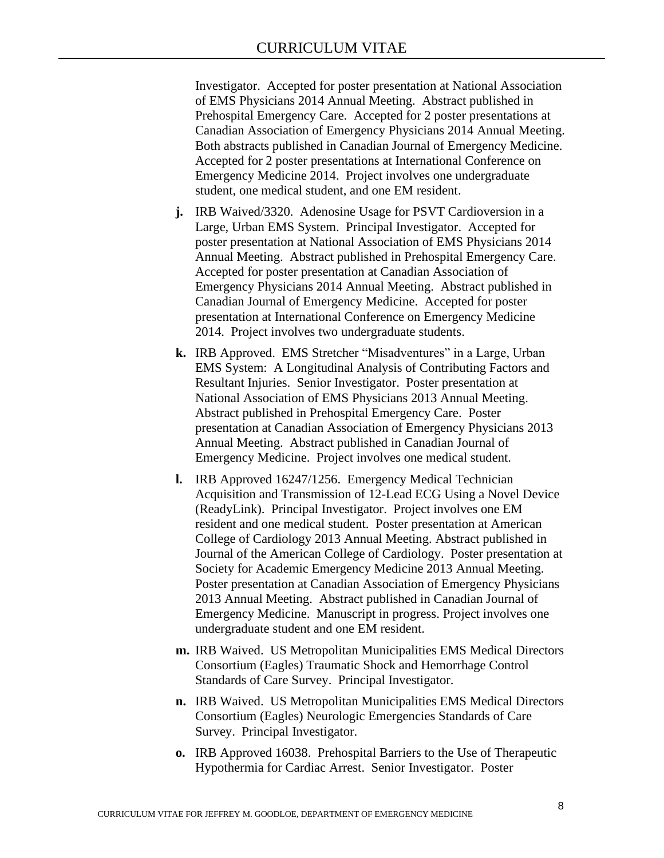Investigator. Accepted for poster presentation at National Association of EMS Physicians 2014 Annual Meeting. Abstract published in Prehospital Emergency Care. Accepted for 2 poster presentations at Canadian Association of Emergency Physicians 2014 Annual Meeting. Both abstracts published in Canadian Journal of Emergency Medicine. Accepted for 2 poster presentations at International Conference on Emergency Medicine 2014. Project involves one undergraduate student, one medical student, and one EM resident.

- **j.** IRB Waived/3320. Adenosine Usage for PSVT Cardioversion in a Large, Urban EMS System. Principal Investigator. Accepted for poster presentation at National Association of EMS Physicians 2014 Annual Meeting. Abstract published in Prehospital Emergency Care. Accepted for poster presentation at Canadian Association of Emergency Physicians 2014 Annual Meeting. Abstract published in Canadian Journal of Emergency Medicine. Accepted for poster presentation at International Conference on Emergency Medicine 2014. Project involves two undergraduate students.
- **k.** IRB Approved. EMS Stretcher "Misadventures" in a Large, Urban EMS System: A Longitudinal Analysis of Contributing Factors and Resultant Injuries. Senior Investigator. Poster presentation at National Association of EMS Physicians 2013 Annual Meeting. Abstract published in Prehospital Emergency Care. Poster presentation at Canadian Association of Emergency Physicians 2013 Annual Meeting. Abstract published in Canadian Journal of Emergency Medicine. Project involves one medical student.
- **l.** IRB Approved 16247/1256. Emergency Medical Technician Acquisition and Transmission of 12-Lead ECG Using a Novel Device (ReadyLink). Principal Investigator. Project involves one EM resident and one medical student. Poster presentation at American College of Cardiology 2013 Annual Meeting. Abstract published in Journal of the American College of Cardiology. Poster presentation at Society for Academic Emergency Medicine 2013 Annual Meeting. Poster presentation at Canadian Association of Emergency Physicians 2013 Annual Meeting. Abstract published in Canadian Journal of Emergency Medicine. Manuscript in progress. Project involves one undergraduate student and one EM resident.
- **m.** IRB Waived. US Metropolitan Municipalities EMS Medical Directors Consortium (Eagles) Traumatic Shock and Hemorrhage Control Standards of Care Survey. Principal Investigator.
- **n.** IRB Waived. US Metropolitan Municipalities EMS Medical Directors Consortium (Eagles) Neurologic Emergencies Standards of Care Survey. Principal Investigator.
- **o.** IRB Approved 16038. Prehospital Barriers to the Use of Therapeutic Hypothermia for Cardiac Arrest. Senior Investigator. Poster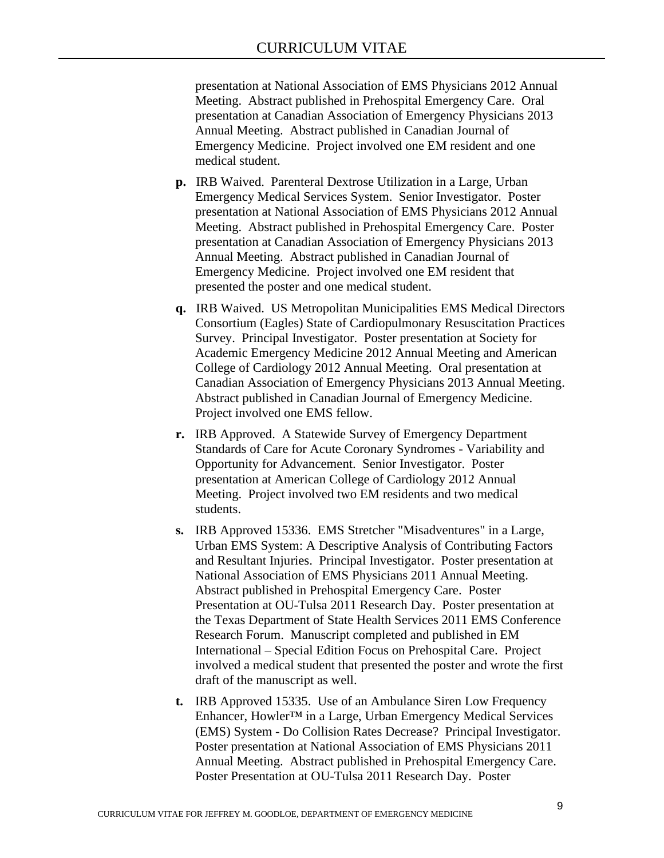presentation at National Association of EMS Physicians 2012 Annual Meeting. Abstract published in Prehospital Emergency Care. Oral presentation at Canadian Association of Emergency Physicians 2013 Annual Meeting. Abstract published in Canadian Journal of Emergency Medicine. Project involved one EM resident and one medical student.

- **p.** IRB Waived. Parenteral Dextrose Utilization in a Large, Urban Emergency Medical Services System. Senior Investigator. Poster presentation at National Association of EMS Physicians 2012 Annual Meeting. Abstract published in Prehospital Emergency Care. Poster presentation at Canadian Association of Emergency Physicians 2013 Annual Meeting. Abstract published in Canadian Journal of Emergency Medicine. Project involved one EM resident that presented the poster and one medical student.
- **q.** IRB Waived. US Metropolitan Municipalities EMS Medical Directors Consortium (Eagles) State of Cardiopulmonary Resuscitation Practices Survey. Principal Investigator. Poster presentation at Society for Academic Emergency Medicine 2012 Annual Meeting and American College of Cardiology 2012 Annual Meeting. Oral presentation at Canadian Association of Emergency Physicians 2013 Annual Meeting. Abstract published in Canadian Journal of Emergency Medicine. Project involved one EMS fellow.
- **r.** IRB Approved. A Statewide Survey of Emergency Department Standards of Care for Acute Coronary Syndromes - Variability and Opportunity for Advancement. Senior Investigator. Poster presentation at American College of Cardiology 2012 Annual Meeting. Project involved two EM residents and two medical students.
- **s.** IRB Approved 15336. EMS Stretcher "Misadventures" in a Large, Urban EMS System: A Descriptive Analysis of Contributing Factors and Resultant Injuries. Principal Investigator. Poster presentation at National Association of EMS Physicians 2011 Annual Meeting. Abstract published in Prehospital Emergency Care. Poster Presentation at OU-Tulsa 2011 Research Day. Poster presentation at the Texas Department of State Health Services 2011 EMS Conference Research Forum. Manuscript completed and published in EM International – Special Edition Focus on Prehospital Care. Project involved a medical student that presented the poster and wrote the first draft of the manuscript as well.
- **t.** IRB Approved 15335. Use of an Ambulance Siren Low Frequency Enhancer, Howler™ in a Large, Urban Emergency Medical Services (EMS) System - Do Collision Rates Decrease? Principal Investigator. Poster presentation at National Association of EMS Physicians 2011 Annual Meeting. Abstract published in Prehospital Emergency Care. Poster Presentation at OU-Tulsa 2011 Research Day. Poster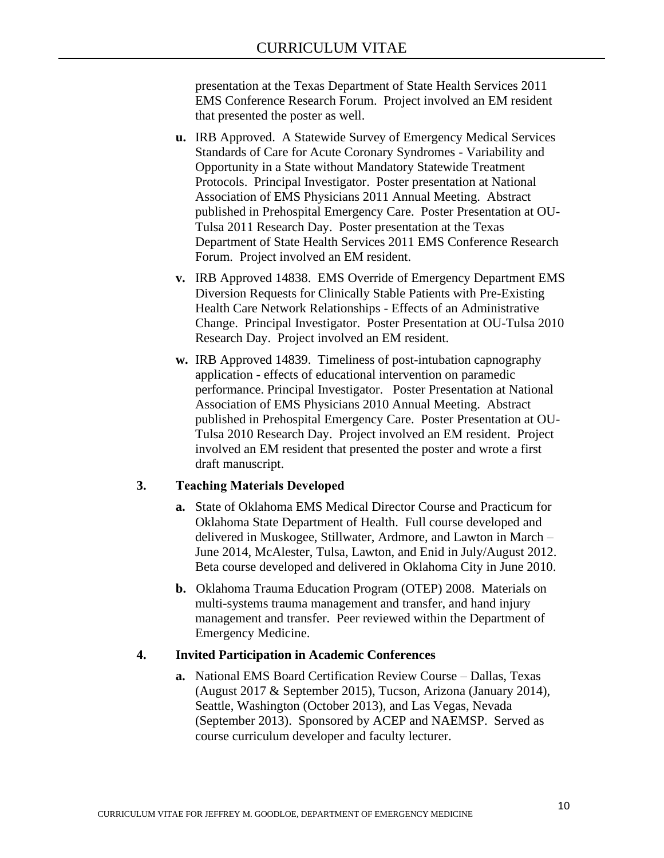presentation at the Texas Department of State Health Services 2011 EMS Conference Research Forum. Project involved an EM resident that presented the poster as well.

- **u.** IRB Approved. A Statewide Survey of Emergency Medical Services Standards of Care for Acute Coronary Syndromes - Variability and Opportunity in a State without Mandatory Statewide Treatment Protocols. Principal Investigator. Poster presentation at National Association of EMS Physicians 2011 Annual Meeting. Abstract published in Prehospital Emergency Care. Poster Presentation at OU-Tulsa 2011 Research Day. Poster presentation at the Texas Department of State Health Services 2011 EMS Conference Research Forum. Project involved an EM resident.
- **v.** IRB Approved 14838. EMS Override of Emergency Department EMS Diversion Requests for Clinically Stable Patients with Pre-Existing Health Care Network Relationships - Effects of an Administrative Change. Principal Investigator. Poster Presentation at OU-Tulsa 2010 Research Day. Project involved an EM resident.
- **w.** IRB Approved 14839. Timeliness of post-intubation capnography application - effects of educational intervention on paramedic performance. Principal Investigator. Poster Presentation at National Association of EMS Physicians 2010 Annual Meeting. Abstract published in Prehospital Emergency Care. Poster Presentation at OU-Tulsa 2010 Research Day. Project involved an EM resident. Project involved an EM resident that presented the poster and wrote a first draft manuscript.

# **3. Teaching Materials Developed**

- **a.** State of Oklahoma EMS Medical Director Course and Practicum for Oklahoma State Department of Health. Full course developed and delivered in Muskogee, Stillwater, Ardmore, and Lawton in March – June 2014, McAlester, Tulsa, Lawton, and Enid in July/August 2012. Beta course developed and delivered in Oklahoma City in June 2010.
- **b.** Oklahoma Trauma Education Program (OTEP) 2008. Materials on multi-systems trauma management and transfer, and hand injury management and transfer. Peer reviewed within the Department of Emergency Medicine.

#### **4. Invited Participation in Academic Conferences**

**a.** National EMS Board Certification Review Course – Dallas, Texas (August 2017 & September 2015), Tucson, Arizona (January 2014), Seattle, Washington (October 2013), and Las Vegas, Nevada (September 2013). Sponsored by ACEP and NAEMSP. Served as course curriculum developer and faculty lecturer.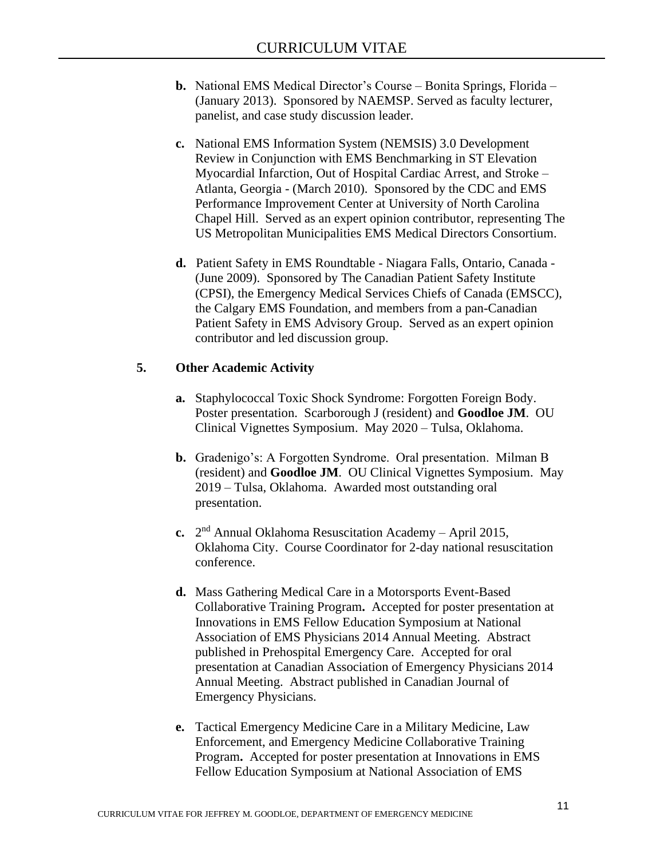- **b.** National EMS Medical Director's Course Bonita Springs, Florida (January 2013). Sponsored by NAEMSP. Served as faculty lecturer, panelist, and case study discussion leader.
- **c.** National EMS Information System (NEMSIS) 3.0 Development Review in Conjunction with EMS Benchmarking in ST Elevation Myocardial Infarction, Out of Hospital Cardiac Arrest, and Stroke – Atlanta, Georgia - (March 2010). Sponsored by the CDC and EMS Performance Improvement Center at University of North Carolina Chapel Hill. Served as an expert opinion contributor, representing The US Metropolitan Municipalities EMS Medical Directors Consortium.
- **d.** Patient Safety in EMS Roundtable Niagara Falls, Ontario, Canada (June 2009). Sponsored by The Canadian Patient Safety Institute (CPSI), the Emergency Medical Services Chiefs of Canada (EMSCC), the Calgary EMS Foundation, and members from a pan-Canadian Patient Safety in EMS Advisory Group. Served as an expert opinion contributor and led discussion group.

## **5. Other Academic Activity**

- **a.** Staphylococcal Toxic Shock Syndrome: Forgotten Foreign Body. Poster presentation. Scarborough J (resident) and **Goodloe JM**. OU Clinical Vignettes Symposium. May 2020 – Tulsa, Oklahoma.
- **b.** Gradenigo's: A Forgotten Syndrome. Oral presentation. Milman B (resident) and **Goodloe JM**. OU Clinical Vignettes Symposium. May 2019 – Tulsa, Oklahoma. Awarded most outstanding oral presentation.
- **c.** 2 nd Annual Oklahoma Resuscitation Academy April 2015, Oklahoma City. Course Coordinator for 2-day national resuscitation conference.
- **d.** Mass Gathering Medical Care in a Motorsports Event-Based Collaborative Training Program**.** Accepted for poster presentation at Innovations in EMS Fellow Education Symposium at National Association of EMS Physicians 2014 Annual Meeting. Abstract published in Prehospital Emergency Care. Accepted for oral presentation at Canadian Association of Emergency Physicians 2014 Annual Meeting. Abstract published in Canadian Journal of Emergency Physicians.
- **e.** Tactical Emergency Medicine Care in a Military Medicine, Law Enforcement, and Emergency Medicine Collaborative Training Program**.** Accepted for poster presentation at Innovations in EMS Fellow Education Symposium at National Association of EMS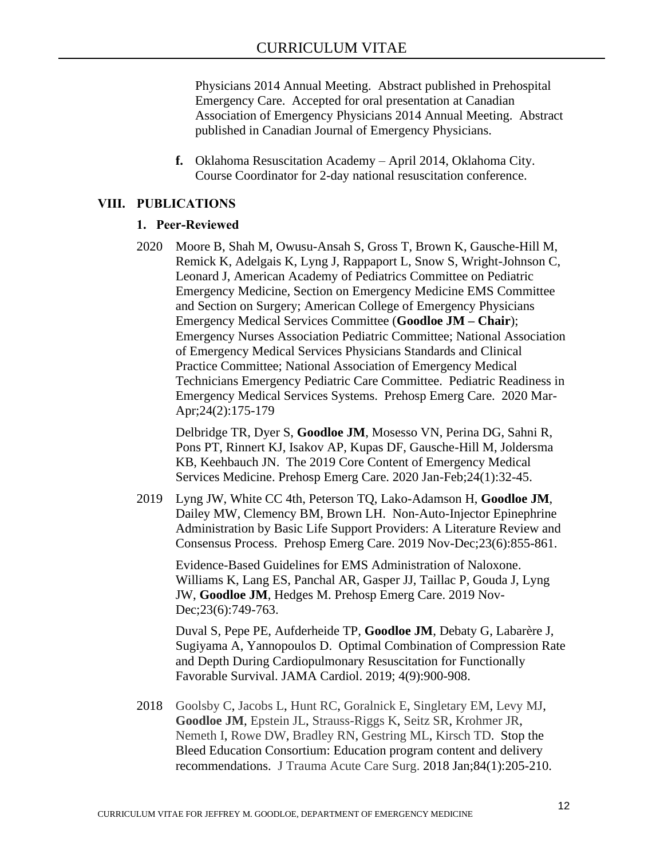Physicians 2014 Annual Meeting. Abstract published in Prehospital Emergency Care. Accepted for oral presentation at Canadian Association of Emergency Physicians 2014 Annual Meeting. Abstract published in Canadian Journal of Emergency Physicians.

**f.** Oklahoma Resuscitation Academy – April 2014, Oklahoma City. Course Coordinator for 2-day national resuscitation conference.

#### **VIII. PUBLICATIONS**

#### **1. Peer-Reviewed**

2020 Moore B, Shah M, Owusu-Ansah S, Gross T, Brown K, Gausche-Hill M, Remick K, Adelgais K, Lyng J, Rappaport L, Snow S, Wright-Johnson C, Leonard J, American Academy of Pediatrics Committee on Pediatric Emergency Medicine, Section on Emergency Medicine EMS Committee and Section on Surgery; American College of Emergency Physicians Emergency Medical Services Committee (**Goodloe JM – Chair**); Emergency Nurses Association Pediatric Committee; National Association of Emergency Medical Services Physicians Standards and Clinical Practice Committee; National Association of Emergency Medical Technicians Emergency Pediatric Care Committee. Pediatric Readiness in Emergency Medical Services Systems. Prehosp Emerg Care. 2020 Mar-Apr;24(2):175-179

Delbridge TR, Dyer S, **Goodloe JM**, Mosesso VN, Perina DG, Sahni R, Pons PT, Rinnert KJ, Isakov AP, Kupas DF, Gausche-Hill M, Joldersma KB, Keehbauch JN. The 2019 Core Content of Emergency Medical Services Medicine. Prehosp Emerg Care. 2020 Jan-Feb;24(1):32-45.

2019 Lyng JW, White CC 4th, Peterson TQ, Lako-Adamson H, **Goodloe JM**, Dailey MW, Clemency BM, Brown LH. Non-Auto-Injector Epinephrine Administration by Basic Life Support Providers: A Literature Review and Consensus Process. Prehosp Emerg Care. 2019 Nov-Dec;23(6):855-861.

Evidence-Based Guidelines for EMS Administration of Naloxone. Williams K, Lang ES, Panchal AR, Gasper JJ, Taillac P, Gouda J, Lyng JW, **Goodloe JM**, Hedges M. Prehosp Emerg Care. 2019 Nov-Dec; 23(6): 749-763.

Duval S, Pepe PE, Aufderheide TP, **Goodloe JM**, Debaty G, Labarère J, Sugiyama A, Yannopoulos D. Optimal Combination of Compression Rate and Depth During Cardiopulmonary Resuscitation for Functionally Favorable Survival. JAMA Cardiol. 2019; 4(9):900-908.

2018 [Goolsby C,](https://www.ncbi.nlm.nih.gov/pubmed/?term=Goolsby%20C%5BAuthor%5D&cauthor=true&cauthor_uid=29077676) [Jacobs L,](https://www.ncbi.nlm.nih.gov/pubmed/?term=Jacobs%20L%5BAuthor%5D&cauthor=true&cauthor_uid=29077676) [Hunt RC,](https://www.ncbi.nlm.nih.gov/pubmed/?term=Hunt%20RC%5BAuthor%5D&cauthor=true&cauthor_uid=29077676) [Goralnick E,](https://www.ncbi.nlm.nih.gov/pubmed/?term=Goralnick%20E%5BAuthor%5D&cauthor=true&cauthor_uid=29077676) [Singletary EM,](https://www.ncbi.nlm.nih.gov/pubmed/?term=Singletary%20EM%5BAuthor%5D&cauthor=true&cauthor_uid=29077676) [Levy MJ,](https://www.ncbi.nlm.nih.gov/pubmed/?term=Levy%20MJ%5BAuthor%5D&cauthor=true&cauthor_uid=29077676) **[Goodloe](https://www.ncbi.nlm.nih.gov/pubmed/?term=Goodloe%20JM%5BAuthor%5D&cauthor=true&cauthor_uid=29077676) JM**, [Epstein JL,](https://www.ncbi.nlm.nih.gov/pubmed/?term=Epstein%20JL%5BAuthor%5D&cauthor=true&cauthor_uid=29077676) [Strauss-Riggs K,](https://www.ncbi.nlm.nih.gov/pubmed/?term=Strauss-Riggs%20K%5BAuthor%5D&cauthor=true&cauthor_uid=29077676) [Seitz SR,](https://www.ncbi.nlm.nih.gov/pubmed/?term=Seitz%20SR%5BAuthor%5D&cauthor=true&cauthor_uid=29077676) [Krohmer JR,](https://www.ncbi.nlm.nih.gov/pubmed/?term=Krohmer%20JR%5BAuthor%5D&cauthor=true&cauthor_uid=29077676) [Nemeth I,](https://www.ncbi.nlm.nih.gov/pubmed/?term=Nemeth%20I%5BAuthor%5D&cauthor=true&cauthor_uid=29077676) [Rowe DW,](https://www.ncbi.nlm.nih.gov/pubmed/?term=Rowe%20DW%5BAuthor%5D&cauthor=true&cauthor_uid=29077676) [Bradley RN,](https://www.ncbi.nlm.nih.gov/pubmed/?term=Bradley%20RN%5BAuthor%5D&cauthor=true&cauthor_uid=29077676) [Gestring ML,](https://www.ncbi.nlm.nih.gov/pubmed/?term=Gestring%20ML%5BAuthor%5D&cauthor=true&cauthor_uid=29077676) [Kirsch TD.](https://www.ncbi.nlm.nih.gov/pubmed/?term=Kirsch%20TD%5BAuthor%5D&cauthor=true&cauthor_uid=29077676) Stop the Bleed Education Consortium: Education program content and delivery recommendations. J [Trauma Acute Care Surg.](https://www.ncbi.nlm.nih.gov/pubmed/29077676) 2018 Jan;84(1):205-210.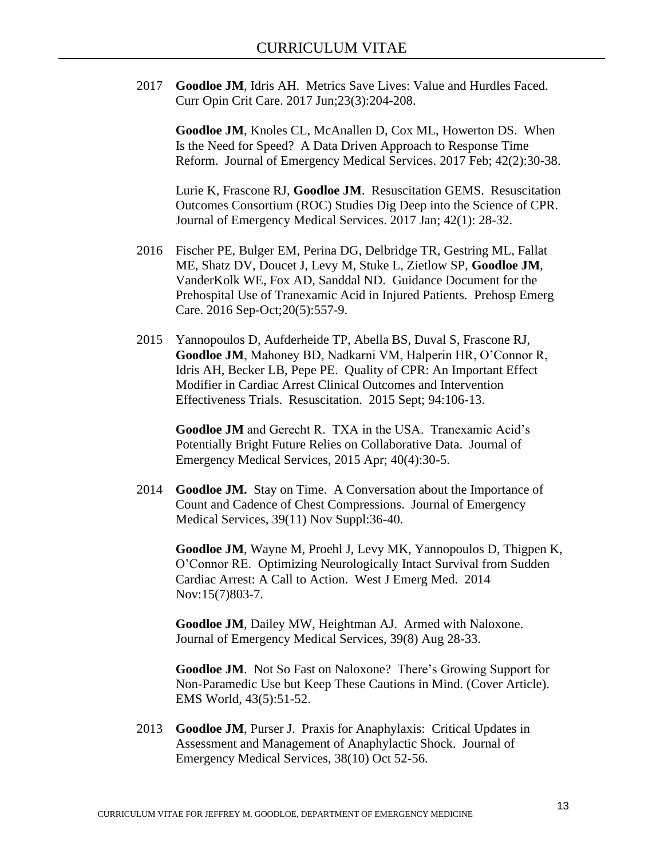2017 **Goodloe JM**, Idris AH. Metrics Save Lives: Value and Hurdles Faced. Curr Opin Crit Care. 2017 Jun;23(3):204-208.

**Goodloe JM**, Knoles CL, McAnallen D, Cox ML, Howerton DS. When Is the Need for Speed? A Data Driven Approach to Response Time Reform. Journal of Emergency Medical Services. 2017 Feb; 42(2):30-38.

Lurie K, Frascone RJ, **Goodloe JM**. Resuscitation GEMS. Resuscitation Outcomes Consortium (ROC) Studies Dig Deep into the Science of CPR. Journal of Emergency Medical Services. 2017 Jan; 42(1): 28-32.

- 2016 Fischer PE, Bulger EM, Perina DG, Delbridge TR, Gestring ML, Fallat ME, Shatz DV, Doucet J, Levy M, Stuke L, Zietlow SP, **Goodloe JM**, VanderKolk WE, Fox AD, Sanddal ND. Guidance Document for the Prehospital Use of Tranexamic Acid in Injured Patients. Prehosp Emerg Care. 2016 Sep-Oct;20(5):557-9.
- 2015 Yannopoulos D, Aufderheide TP, Abella BS, Duval S, Frascone RJ, **Goodloe JM**, Mahoney BD, Nadkarni VM, Halperin HR, O'Connor R, Idris AH, Becker LB, Pepe PE. Quality of CPR: An Important Effect Modifier in Cardiac Arrest Clinical Outcomes and Intervention Effectiveness Trials. Resuscitation. 2015 Sept; 94:106-13.

**Goodloe JM** and Gerecht R. TXA in the USA. Tranexamic Acid's Potentially Bright Future Relies on Collaborative Data. Journal of Emergency Medical Services, 2015 Apr; 40(4):30-5.

2014 **Goodloe JM.** Stay on Time. A Conversation about the Importance of Count and Cadence of Chest Compressions. Journal of Emergency Medical Services, 39(11) Nov Suppl:36-40.

**Goodloe JM**, Wayne M, Proehl J, Levy MK, Yannopoulos D, Thigpen K, O'Connor RE. Optimizing Neurologically Intact Survival from Sudden Cardiac Arrest: A Call to Action. West J Emerg Med. 2014 Nov:15(7)803-7.

**Goodloe JM**, Dailey MW, Heightman AJ. Armed with Naloxone. Journal of Emergency Medical Services, 39(8) Aug 28-33.

**Goodloe JM**. Not So Fast on Naloxone? There's Growing Support for Non-Paramedic Use but Keep These Cautions in Mind. (Cover Article). EMS World, 43(5):51-52.

2013 **Goodloe JM**, Purser J. Praxis for Anaphylaxis: Critical Updates in Assessment and Management of Anaphylactic Shock. Journal of Emergency Medical Services, 38(10) Oct 52-56.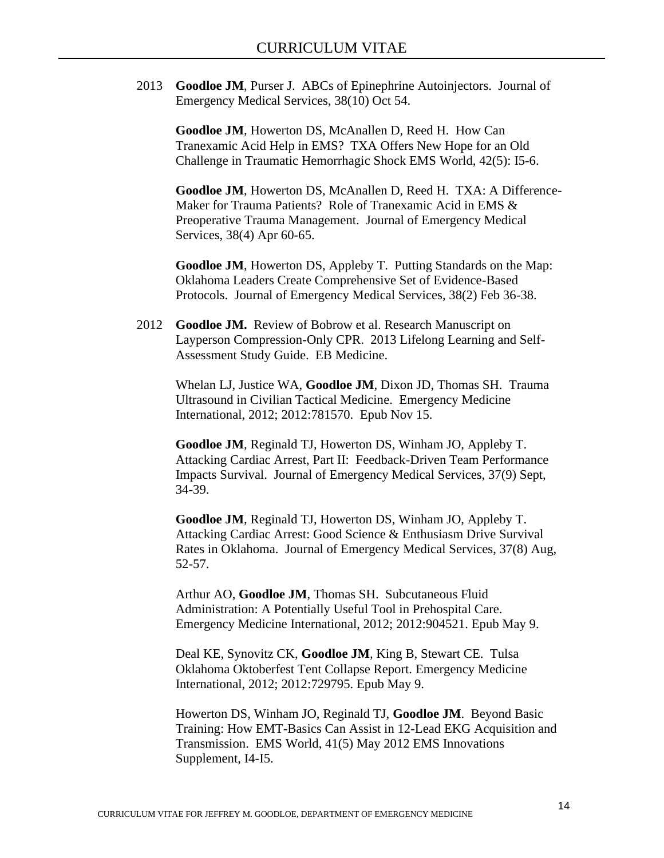2013 **Goodloe JM**, Purser J. ABCs of Epinephrine Autoinjectors. Journal of Emergency Medical Services, 38(10) Oct 54.

**Goodloe JM**, Howerton DS, McAnallen D, Reed H. How Can Tranexamic Acid Help in EMS? TXA Offers New Hope for an Old Challenge in Traumatic Hemorrhagic Shock EMS World, 42(5): I5-6.

**Goodloe JM**, Howerton DS, McAnallen D, Reed H. TXA: A Difference-Maker for Trauma Patients? Role of Tranexamic Acid in EMS & Preoperative Trauma Management. Journal of Emergency Medical Services, 38(4) Apr 60-65.

**Goodloe JM**, Howerton DS, Appleby T. Putting Standards on the Map: Oklahoma Leaders Create Comprehensive Set of Evidence-Based Protocols. Journal of Emergency Medical Services, 38(2) Feb 36-38.

2012 **Goodloe JM.** Review of Bobrow et al. Research Manuscript on Layperson Compression-Only CPR. 2013 Lifelong Learning and Self-Assessment Study Guide. EB Medicine.

Whelan LJ, Justice WA, **Goodloe JM**, Dixon JD, Thomas SH. Trauma Ultrasound in Civilian Tactical Medicine. Emergency Medicine International, 2012; 2012:781570. Epub Nov 15.

**Goodloe JM**, Reginald TJ, Howerton DS, Winham JO, Appleby T. Attacking Cardiac Arrest, Part II: Feedback-Driven Team Performance Impacts Survival. Journal of Emergency Medical Services, 37(9) Sept, 34-39.

**Goodloe JM**, Reginald TJ, Howerton DS, Winham JO, Appleby T. Attacking Cardiac Arrest: Good Science & Enthusiasm Drive Survival Rates in Oklahoma. Journal of Emergency Medical Services, 37(8) Aug, 52-57.

Arthur AO, **Goodloe JM**, Thomas SH. Subcutaneous Fluid Administration: A Potentially Useful Tool in Prehospital Care. Emergency Medicine International, 2012; 2012:904521. Epub May 9.

Deal KE, Synovitz CK, **Goodloe JM**, King B, Stewart CE. Tulsa Oklahoma Oktoberfest Tent Collapse Report. Emergency Medicine International, 2012; 2012:729795. Epub May 9.

Howerton DS, Winham JO, Reginald TJ, **Goodloe JM**. Beyond Basic Training: How EMT-Basics Can Assist in 12-Lead EKG Acquisition and Transmission. EMS World, 41(5) May 2012 EMS Innovations Supplement, I4-I5.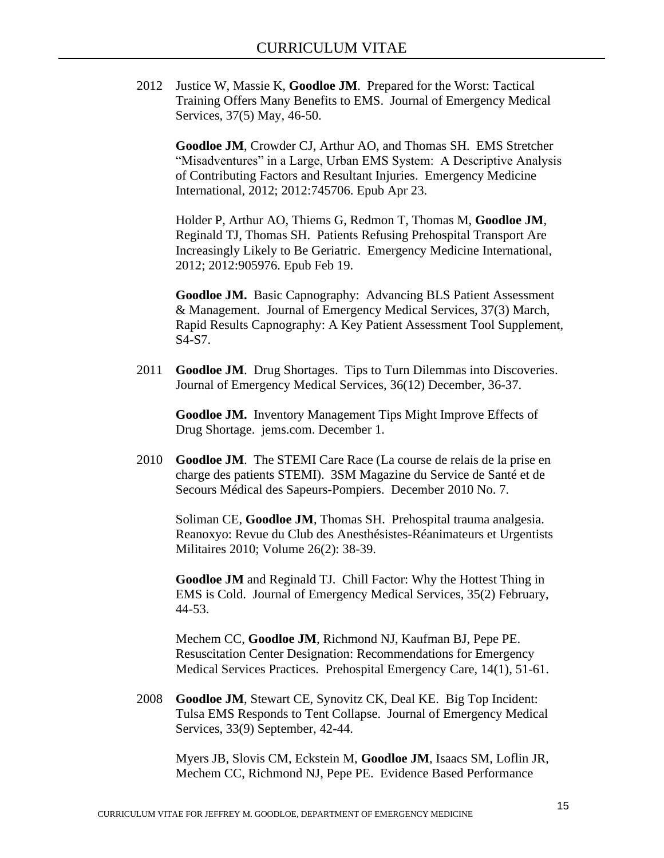2012 Justice W, Massie K, **Goodloe JM**. Prepared for the Worst: Tactical Training Offers Many Benefits to EMS. Journal of Emergency Medical Services, 37(5) May, 46-50.

**Goodloe JM**, Crowder CJ, Arthur AO, and Thomas SH. EMS Stretcher "Misadventures" in a Large, Urban EMS System: A Descriptive Analysis of Contributing Factors and Resultant Injuries. Emergency Medicine International, 2012; 2012:745706. Epub Apr 23.

Holder P, Arthur AO, Thiems G, Redmon T, Thomas M, **Goodloe JM**, Reginald TJ, Thomas SH. Patients Refusing Prehospital Transport Are Increasingly Likely to Be Geriatric. Emergency Medicine International, 2012; 2012:905976. Epub Feb 19.

**Goodloe JM.** Basic Capnography: Advancing BLS Patient Assessment & Management. Journal of Emergency Medical Services, 37(3) March, Rapid Results Capnography: A Key Patient Assessment Tool Supplement, S4-S7.

2011 **Goodloe JM**. Drug Shortages. Tips to Turn Dilemmas into Discoveries. Journal of Emergency Medical Services, 36(12) December, 36-37.

**Goodloe JM.** [Inventory Management Tips Might Improve Effects of](http://www.jems.com/article/administration-and-leadership/inventory-management-tips-might-improve)  [Drug Shortage.](http://www.jems.com/article/administration-and-leadership/inventory-management-tips-might-improve) jems.com. December 1.

2010 **Goodloe JM**. The STEMI Care Race (La course de relais de la prise en charge des patients STEMI). 3SM Magazine du Service de Santé et de Secours Médical des Sapeurs-Pompiers. December 2010 No. 7.

Soliman CE, **Goodloe JM**, Thomas SH. Prehospital trauma analgesia. Reanoxyo: Revue du Club des Anesthésistes-Réanimateurs et Urgentists Militaires 2010; Volume 26(2): 38-39.

**Goodloe JM** and Reginald TJ. Chill Factor: Why the Hottest Thing in EMS is Cold. Journal of Emergency Medical Services, 35(2) February, 44-53.

Mechem CC, **Goodloe JM**, Richmond NJ, Kaufman BJ, Pepe PE. Resuscitation Center Designation: Recommendations for Emergency Medical Services Practices. Prehospital Emergency Care, 14(1), 51-61.

2008 **Goodloe JM**, Stewart CE, Synovitz CK, Deal KE. Big Top Incident: Tulsa EMS Responds to Tent Collapse. Journal of Emergency Medical Services, 33(9) September, 42-44.

Myers JB, Slovis CM, Eckstein M, **Goodloe JM**, Isaacs SM, Loflin JR, Mechem CC, Richmond NJ, Pepe PE. Evidence Based Performance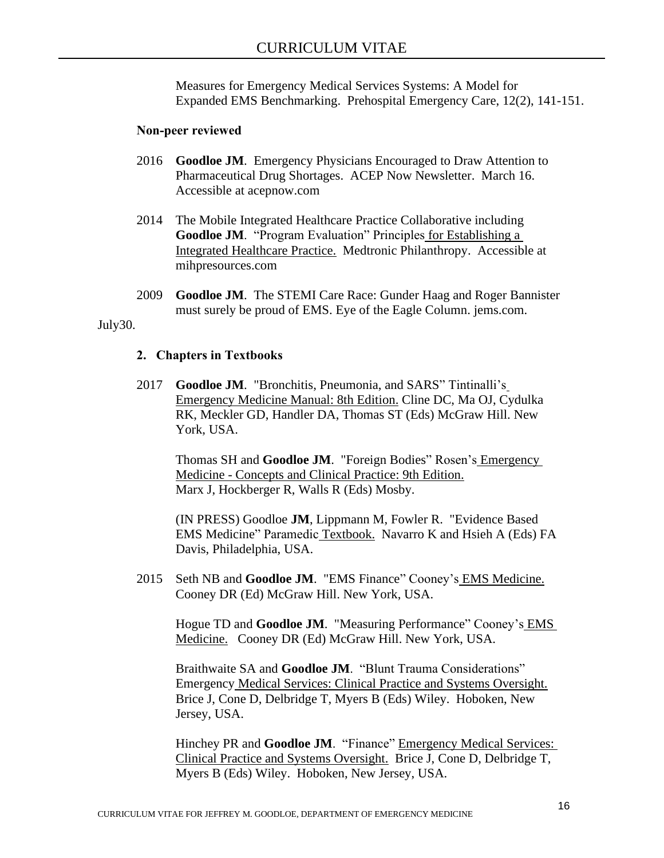Measures for Emergency Medical Services Systems: A Model for Expanded EMS Benchmarking. Prehospital Emergency Care, 12(2), 141-151.

#### **Non-peer reviewed**

- 2016 **Goodloe JM**. Emergency Physicians Encouraged to Draw Attention to Pharmaceutical Drug Shortages. ACEP Now Newsletter. March 16. Accessible at acepnow.com
- 2014 The Mobile Integrated Healthcare Practice Collaborative including **Goodloe JM**. "Program Evaluation" Principles for Establishing a Integrated Healthcare Practice. Medtronic Philanthropy. Accessible at mihpresources.com
- 2009 **Goodloe JM**. The STEMI Care Race: Gunder Haag and Roger Bannister must surely be proud of EMS. Eye of the Eagle Column. jems.com.

#### July30.

#### **2. Chapters in Textbooks**

2017 **Goodloe JM**. "Bronchitis, Pneumonia, and SARS" Tintinalli's Emergency Medicine Manual: 8th Edition. Cline DC, Ma OJ, Cydulka RK, Meckler GD, Handler DA, Thomas ST (Eds) McGraw Hill. New York, USA.

Thomas SH and **Goodloe JM**. "Foreign Bodies" Rosen's Emergency Medicine - Concepts and Clinical Practice: 9th Edition. Marx J, Hockberger R, Walls R (Eds) Mosby.

(IN PRESS) Goodloe **JM**, Lippmann M, Fowler R. "Evidence Based EMS Medicine" Paramedic Textbook. Navarro K and Hsieh A (Eds) FA Davis, Philadelphia, USA.

2015 Seth NB and **Goodloe JM**. "EMS Finance" Cooney's EMS Medicine. Cooney DR (Ed) McGraw Hill. New York, USA.

Hogue TD and **Goodloe JM**. "Measuring Performance" Cooney's EMS Medicine. Cooney DR (Ed) McGraw Hill. New York, USA.

Braithwaite SA and **Goodloe JM**. "Blunt Trauma Considerations" Emergency Medical Services: Clinical Practice and Systems Oversight. Brice J, Cone D, Delbridge T, Myers B (Eds) Wiley. Hoboken, New Jersey, USA.

Hinchey PR and Goodloe JM. "Finance" Emergency Medical Services: Clinical Practice and Systems Oversight. Brice J, Cone D, Delbridge T, Myers B (Eds) Wiley. Hoboken, New Jersey, USA.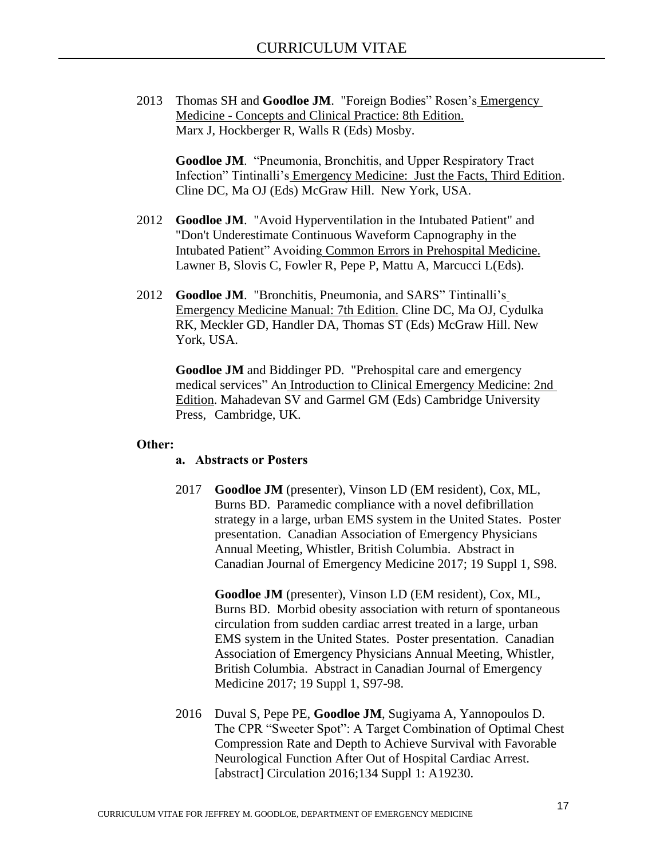2013 Thomas SH and **Goodloe JM**. "Foreign Bodies" Rosen's Emergency Medicine - Concepts and Clinical Practice: 8th Edition. Marx J, Hockberger R, Walls R (Eds) Mosby.

**Goodloe JM**. "Pneumonia, Bronchitis, and Upper Respiratory Tract Infection" Tintinalli's Emergency Medicine: Just the Facts, Third Edition. Cline DC, Ma OJ (Eds) McGraw Hill. New York, USA.

- 2012 **Goodloe JM**. "Avoid Hyperventilation in the Intubated Patient" and "Don't Underestimate Continuous Waveform Capnography in the Intubated Patient" Avoiding Common Errors in Prehospital Medicine. Lawner B, Slovis C, Fowler R, Pepe P, Mattu A, Marcucci L(Eds).
- 2012 **Goodloe JM**. "Bronchitis, Pneumonia, and SARS" Tintinalli's Emergency Medicine Manual: 7th Edition. Cline DC, Ma OJ, Cydulka RK, Meckler GD, Handler DA, Thomas ST (Eds) McGraw Hill. New York, USA.

**Goodloe JM** and Biddinger PD. "Prehospital care and emergency medical services" An Introduction to Clinical Emergency Medicine: 2nd Edition. Mahadevan SV and Garmel GM (Eds) Cambridge University Press, Cambridge, UK.

#### **Other:**

#### **a. Abstracts or Posters**

2017 **Goodloe JM** (presenter), Vinson LD (EM resident), Cox, ML, Burns BD. Paramedic compliance with a novel defibrillation strategy in a large, urban EMS system in the United States. Poster presentation. Canadian Association of Emergency Physicians Annual Meeting, Whistler, British Columbia. Abstract in Canadian Journal of Emergency Medicine 2017; 19 Suppl 1, S98.

**Goodloe JM** (presenter), Vinson LD (EM resident), Cox, ML, Burns BD. Morbid obesity association with return of spontaneous circulation from sudden cardiac arrest treated in a large, urban EMS system in the United States. Poster presentation. Canadian Association of Emergency Physicians Annual Meeting, Whistler, British Columbia. Abstract in Canadian Journal of Emergency Medicine 2017; 19 Suppl 1, S97-98.

2016 Duval S, Pepe PE, **Goodloe JM**, Sugiyama A, Yannopoulos D. The CPR "Sweeter Spot": A Target Combination of Optimal Chest Compression Rate and Depth to Achieve Survival with Favorable Neurological Function After Out of Hospital Cardiac Arrest. [abstract] Circulation 2016;134 Suppl 1: A19230.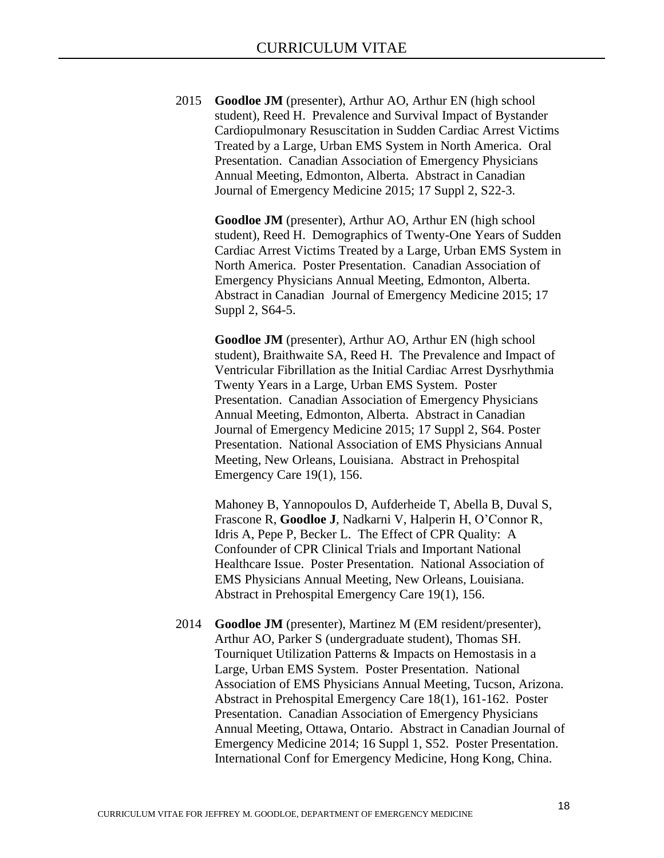2015 **Goodloe JM** (presenter), Arthur AO, Arthur EN (high school student), Reed H. Prevalence and Survival Impact of Bystander Cardiopulmonary Resuscitation in Sudden Cardiac Arrest Victims Treated by a Large, Urban EMS System in North America. Oral Presentation. Canadian Association of Emergency Physicians Annual Meeting, Edmonton, Alberta. Abstract in Canadian Journal of Emergency Medicine 2015; 17 Suppl 2, S22-3.

> **Goodloe JM** (presenter), Arthur AO, Arthur EN (high school student), Reed H. Demographics of Twenty-One Years of Sudden Cardiac Arrest Victims Treated by a Large, Urban EMS System in North America. Poster Presentation. Canadian Association of Emergency Physicians Annual Meeting, Edmonton, Alberta. Abstract in Canadian Journal of Emergency Medicine 2015; 17 Suppl 2, S64-5.

**Goodloe JM** (presenter), Arthur AO, Arthur EN (high school student), Braithwaite SA, Reed H. The Prevalence and Impact of Ventricular Fibrillation as the Initial Cardiac Arrest Dysrhythmia Twenty Years in a Large, Urban EMS System. Poster Presentation. Canadian Association of Emergency Physicians Annual Meeting, Edmonton, Alberta. Abstract in Canadian Journal of Emergency Medicine 2015; 17 Suppl 2, S64. Poster Presentation. National Association of EMS Physicians Annual Meeting, New Orleans, Louisiana. Abstract in Prehospital Emergency Care 19(1), 156.

Mahoney B, Yannopoulos D, Aufderheide T, Abella B, Duval S, Frascone R, **Goodloe J**, Nadkarni V, Halperin H, O'Connor R, Idris A, Pepe P, Becker L. The Effect of CPR Quality: A Confounder of CPR Clinical Trials and Important National Healthcare Issue. Poster Presentation. National Association of EMS Physicians Annual Meeting, New Orleans, Louisiana. Abstract in Prehospital Emergency Care 19(1), 156.

2014 **Goodloe JM** (presenter), Martinez M (EM resident/presenter), Arthur AO, Parker S (undergraduate student), Thomas SH. Tourniquet Utilization Patterns & Impacts on Hemostasis in a Large, Urban EMS System. Poster Presentation. National Association of EMS Physicians Annual Meeting, Tucson, Arizona. Abstract in Prehospital Emergency Care 18(1), 161-162. Poster Presentation. Canadian Association of Emergency Physicians Annual Meeting, Ottawa, Ontario. Abstract in Canadian Journal of Emergency Medicine 2014; 16 Suppl 1, S52. Poster Presentation. International Conf for Emergency Medicine, Hong Kong, China.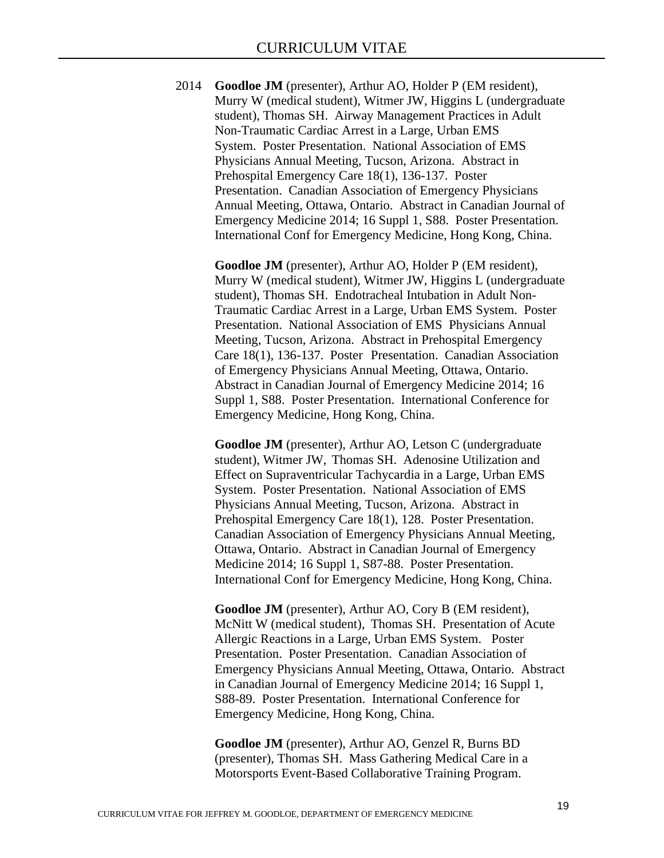2014 **Goodloe JM** (presenter), Arthur AO, Holder P (EM resident), Murry W (medical student), Witmer JW, Higgins L (undergraduate student), Thomas SH. Airway Management Practices in Adult Non-Traumatic Cardiac Arrest in a Large, Urban EMS System. Poster Presentation. National Association of EMS Physicians Annual Meeting, Tucson, Arizona. Abstract in Prehospital Emergency Care 18(1), 136-137. Poster Presentation. Canadian Association of Emergency Physicians Annual Meeting, Ottawa, Ontario. Abstract in Canadian Journal of Emergency Medicine 2014; 16 Suppl 1, S88. Poster Presentation. International Conf for Emergency Medicine, Hong Kong, China.

> **Goodloe JM** (presenter), Arthur AO, Holder P (EM resident), Murry W (medical student), Witmer JW, Higgins L (undergraduate student), Thomas SH. Endotracheal Intubation in Adult Non-Traumatic Cardiac Arrest in a Large, Urban EMS System. Poster Presentation. National Association of EMS Physicians Annual Meeting, Tucson, Arizona. Abstract in Prehospital Emergency Care 18(1), 136-137. Poster Presentation. Canadian Association of Emergency Physicians Annual Meeting, Ottawa, Ontario. Abstract in Canadian Journal of Emergency Medicine 2014; 16 Suppl 1, S88. Poster Presentation. International Conference for Emergency Medicine, Hong Kong, China.

**Goodloe JM** (presenter), Arthur AO, Letson C (undergraduate student), Witmer JW, Thomas SH. Adenosine Utilization and Effect on Supraventricular Tachycardia in a Large, Urban EMS System. Poster Presentation. National Association of EMS Physicians Annual Meeting, Tucson, Arizona. Abstract in Prehospital Emergency Care 18(1), 128. Poster Presentation. Canadian Association of Emergency Physicians Annual Meeting, Ottawa, Ontario. Abstract in Canadian Journal of Emergency Medicine 2014; 16 Suppl 1, S87-88. Poster Presentation. International Conf for Emergency Medicine, Hong Kong, China.

**Goodloe JM** (presenter), Arthur AO, Cory B (EM resident), McNitt W (medical student), Thomas SH. Presentation of Acute Allergic Reactions in a Large, Urban EMS System. Poster Presentation. Poster Presentation. Canadian Association of Emergency Physicians Annual Meeting, Ottawa, Ontario. Abstract in Canadian Journal of Emergency Medicine 2014; 16 Suppl 1, S88-89. Poster Presentation. International Conference for Emergency Medicine, Hong Kong, China.

**Goodloe JM** (presenter), Arthur AO, Genzel R, Burns BD (presenter), Thomas SH. Mass Gathering Medical Care in a Motorsports Event-Based Collaborative Training Program.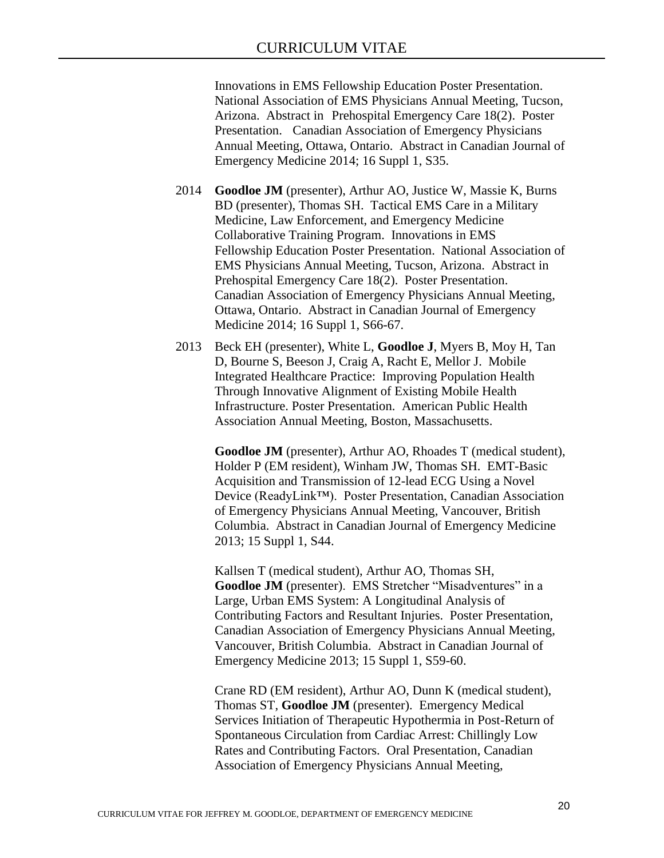Innovations in EMS Fellowship Education Poster Presentation. National Association of EMS Physicians Annual Meeting, Tucson, Arizona. Abstract in Prehospital Emergency Care 18(2). Poster Presentation. Canadian Association of Emergency Physicians Annual Meeting, Ottawa, Ontario. Abstract in Canadian Journal of Emergency Medicine 2014; 16 Suppl 1, S35.

- 2014 **Goodloe JM** (presenter), Arthur AO, Justice W, Massie K, Burns BD (presenter), Thomas SH. Tactical EMS Care in a Military Medicine, Law Enforcement, and Emergency Medicine Collaborative Training Program. Innovations in EMS Fellowship Education Poster Presentation. National Association of EMS Physicians Annual Meeting, Tucson, Arizona. Abstract in Prehospital Emergency Care 18(2). Poster Presentation. Canadian Association of Emergency Physicians Annual Meeting, Ottawa, Ontario. Abstract in Canadian Journal of Emergency Medicine 2014; 16 Suppl 1, S66-67.
- 2013 Beck EH (presenter), White L, **Goodloe J**, Myers B, Moy H, Tan D, Bourne S, Beeson J, Craig A, Racht E, Mellor J. Mobile Integrated Healthcare Practice: Improving Population Health Through Innovative Alignment of Existing Mobile Health Infrastructure. Poster Presentation. American Public Health Association Annual Meeting, Boston, Massachusetts.

**Goodloe JM** (presenter), Arthur AO, Rhoades T (medical student), Holder P (EM resident), Winham JW, Thomas SH. EMT-Basic Acquisition and Transmission of 12-lead ECG Using a Novel Device (ReadyLink™). Poster Presentation, Canadian Association of Emergency Physicians Annual Meeting, Vancouver, British Columbia. Abstract in Canadian Journal of Emergency Medicine 2013; 15 Suppl 1, S44.

Kallsen T (medical student), Arthur AO, Thomas SH, **Goodloe JM** (presenter). EMS Stretcher "Misadventures" in a Large, Urban EMS System: A Longitudinal Analysis of Contributing Factors and Resultant Injuries. Poster Presentation, Canadian Association of Emergency Physicians Annual Meeting, Vancouver, British Columbia. Abstract in Canadian Journal of Emergency Medicine 2013; 15 Suppl 1, S59-60.

Crane RD (EM resident), Arthur AO, Dunn K (medical student), Thomas ST, **Goodloe JM** (presenter). Emergency Medical Services Initiation of Therapeutic Hypothermia in Post-Return of Spontaneous Circulation from Cardiac Arrest: Chillingly Low Rates and Contributing Factors. Oral Presentation, Canadian Association of Emergency Physicians Annual Meeting,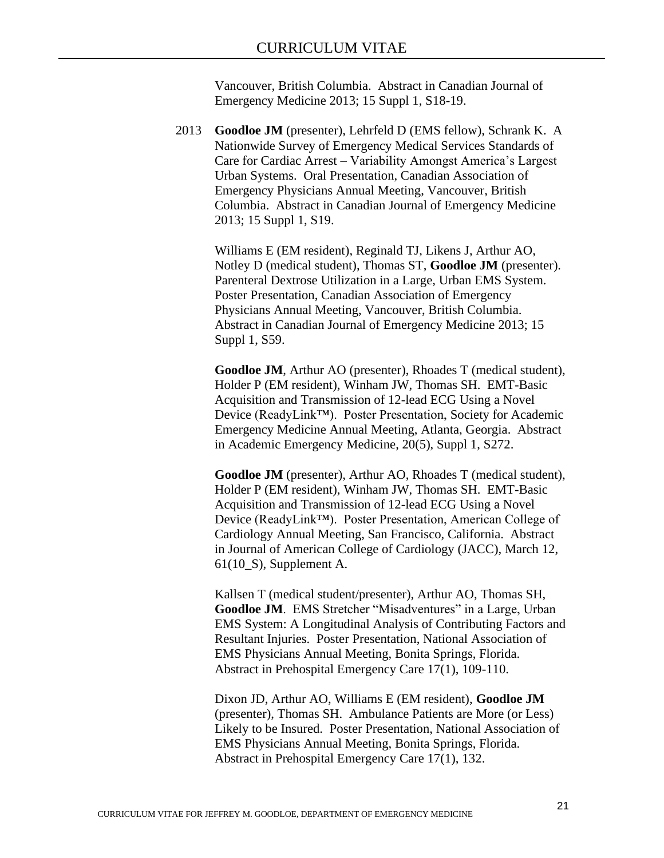Vancouver, British Columbia. Abstract in Canadian Journal of Emergency Medicine 2013; 15 Suppl 1, S18-19.

2013 **Goodloe JM** (presenter), Lehrfeld D (EMS fellow), Schrank K. A Nationwide Survey of Emergency Medical Services Standards of Care for Cardiac Arrest – Variability Amongst America's Largest Urban Systems. Oral Presentation, Canadian Association of Emergency Physicians Annual Meeting, Vancouver, British Columbia. Abstract in Canadian Journal of Emergency Medicine 2013; 15 Suppl 1, S19.

> Williams E (EM resident), Reginald TJ, Likens J, Arthur AO, Notley D (medical student), Thomas ST, **Goodloe JM** (presenter). Parenteral Dextrose Utilization in a Large, Urban EMS System. Poster Presentation, Canadian Association of Emergency Physicians Annual Meeting, Vancouver, British Columbia. Abstract in Canadian Journal of Emergency Medicine 2013; 15 Suppl 1, S59.

**Goodloe JM**, Arthur AO (presenter), Rhoades T (medical student), Holder P (EM resident), Winham JW, Thomas SH. EMT-Basic Acquisition and Transmission of 12-lead ECG Using a Novel Device (ReadyLink™). Poster Presentation, Society for Academic Emergency Medicine Annual Meeting, Atlanta, Georgia. Abstract in Academic Emergency Medicine, 20(5), Suppl 1, S272.

**Goodloe JM** (presenter), Arthur AO, Rhoades T (medical student), Holder P (EM resident), Winham JW, Thomas SH. EMT-Basic Acquisition and Transmission of 12-lead ECG Using a Novel Device (ReadyLink™). Poster Presentation, American College of Cardiology Annual Meeting, San Francisco, California. Abstract in Journal of American College of Cardiology (JACC), March 12,  $61(10_S)$ , Supplement A.

Kallsen T (medical student/presenter), Arthur AO, Thomas SH, **Goodloe JM**. EMS Stretcher "Misadventures" in a Large, Urban EMS System: A Longitudinal Analysis of Contributing Factors and Resultant Injuries. Poster Presentation, National Association of EMS Physicians Annual Meeting, Bonita Springs, Florida. Abstract in Prehospital Emergency Care 17(1), 109-110.

Dixon JD, Arthur AO, Williams E (EM resident), **Goodloe JM** (presenter), Thomas SH. Ambulance Patients are More (or Less) Likely to be Insured. Poster Presentation, National Association of EMS Physicians Annual Meeting, Bonita Springs, Florida. Abstract in Prehospital Emergency Care 17(1), 132.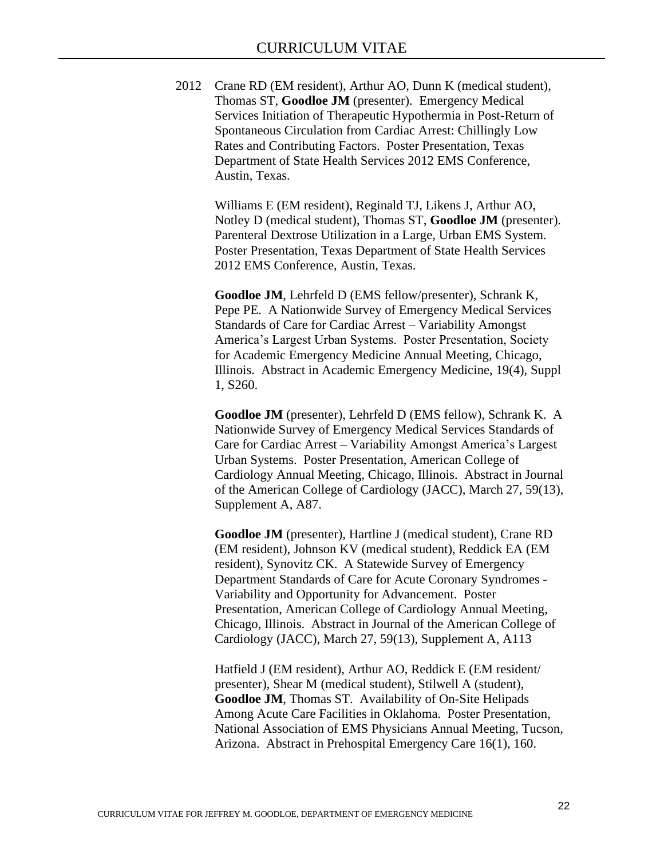2012 Crane RD (EM resident), Arthur AO, Dunn K (medical student), Thomas ST, **Goodloe JM** (presenter). Emergency Medical Services Initiation of Therapeutic Hypothermia in Post-Return of Spontaneous Circulation from Cardiac Arrest: Chillingly Low Rates and Contributing Factors. Poster Presentation, Texas Department of State Health Services 2012 EMS Conference, Austin, Texas.

> Williams E (EM resident), Reginald TJ, Likens J, Arthur AO, Notley D (medical student), Thomas ST, **Goodloe JM** (presenter). Parenteral Dextrose Utilization in a Large, Urban EMS System. Poster Presentation, Texas Department of State Health Services 2012 EMS Conference, Austin, Texas.

> **Goodloe JM**, Lehrfeld D (EMS fellow/presenter), Schrank K, Pepe PE. A Nationwide Survey of Emergency Medical Services Standards of Care for Cardiac Arrest – Variability Amongst America's Largest Urban Systems. Poster Presentation, Society for Academic Emergency Medicine Annual Meeting, Chicago, Illinois. Abstract in Academic Emergency Medicine, 19(4), Suppl 1, S260.

> **Goodloe JM** (presenter), Lehrfeld D (EMS fellow), Schrank K. A Nationwide Survey of Emergency Medical Services Standards of Care for Cardiac Arrest – Variability Amongst America's Largest Urban Systems. Poster Presentation, American College of Cardiology Annual Meeting, Chicago, Illinois. Abstract in Journal of the American College of Cardiology (JACC), March 27, 59(13), Supplement A, A87.

 **Goodloe JM** (presenter), Hartline J (medical student), Crane RD (EM resident), Johnson KV (medical student), Reddick EA (EM resident), Synovitz CK. A Statewide Survey of Emergency Department Standards of Care for Acute Coronary Syndromes - Variability and Opportunity for Advancement. Poster Presentation, American College of Cardiology Annual Meeting, Chicago, Illinois. Abstract in Journal of the American College of Cardiology (JACC), March 27, 59(13), Supplement A, A113

Hatfield J (EM resident), Arthur AO, Reddick E (EM resident/ presenter), Shear M (medical student), Stilwell A (student), **Goodloe JM**, Thomas ST. Availability of On-Site Helipads Among Acute Care Facilities in Oklahoma. Poster Presentation, National Association of EMS Physicians Annual Meeting, Tucson, Arizona. Abstract in Prehospital Emergency Care 16(1), 160.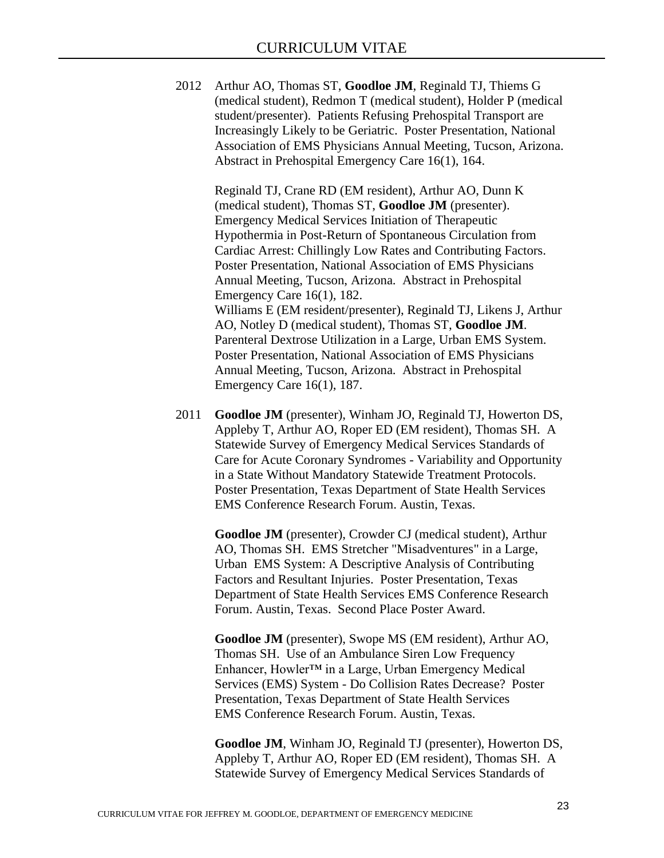2012 Arthur AO, Thomas ST, **Goodloe JM**, Reginald TJ, Thiems G (medical student), Redmon T (medical student), Holder P (medical student/presenter). Patients Refusing Prehospital Transport are Increasingly Likely to be Geriatric. Poster Presentation, National Association of EMS Physicians Annual Meeting, Tucson, Arizona. Abstract in Prehospital Emergency Care 16(1), 164.

> Reginald TJ, Crane RD (EM resident), Arthur AO, Dunn K (medical student), Thomas ST, **Goodloe JM** (presenter). Emergency Medical Services Initiation of Therapeutic Hypothermia in Post-Return of Spontaneous Circulation from Cardiac Arrest: Chillingly Low Rates and Contributing Factors. Poster Presentation, National Association of EMS Physicians Annual Meeting, Tucson, Arizona. Abstract in Prehospital Emergency Care 16(1), 182. Williams E (EM resident/presenter), Reginald TJ, Likens J, Arthur AO, Notley D (medical student), Thomas ST, **Goodloe JM**. Parenteral Dextrose Utilization in a Large, Urban EMS System. Poster Presentation, National Association of EMS Physicians Annual Meeting, Tucson, Arizona. Abstract in Prehospital Emergency Care 16(1), 187.

2011 **Goodloe JM** (presenter), Winham JO, Reginald TJ, Howerton DS, Appleby T, Arthur AO, Roper ED (EM resident), Thomas SH. A Statewide Survey of Emergency Medical Services Standards of Care for Acute Coronary Syndromes - Variability and Opportunity in a State Without Mandatory Statewide Treatment Protocols. Poster Presentation, Texas Department of State Health Services EMS Conference Research Forum. Austin, Texas.

> **Goodloe JM** (presenter), Crowder CJ (medical student), Arthur AO, Thomas SH. EMS Stretcher "Misadventures" in a Large, Urban EMS System: A Descriptive Analysis of Contributing Factors and Resultant Injuries. Poster Presentation, Texas Department of State Health Services EMS Conference Research Forum. Austin, Texas. Second Place Poster Award.

> **Goodloe JM** (presenter), Swope MS (EM resident), Arthur AO, Thomas SH. Use of an Ambulance Siren Low Frequency Enhancer, Howler™ in a Large, Urban Emergency Medical Services (EMS) System - Do Collision Rates Decrease? Poster Presentation, Texas Department of State Health Services EMS Conference Research Forum. Austin, Texas.

**Goodloe JM**, Winham JO, Reginald TJ (presenter), Howerton DS, Appleby T, Arthur AO, Roper ED (EM resident), Thomas SH. A Statewide Survey of Emergency Medical Services Standards of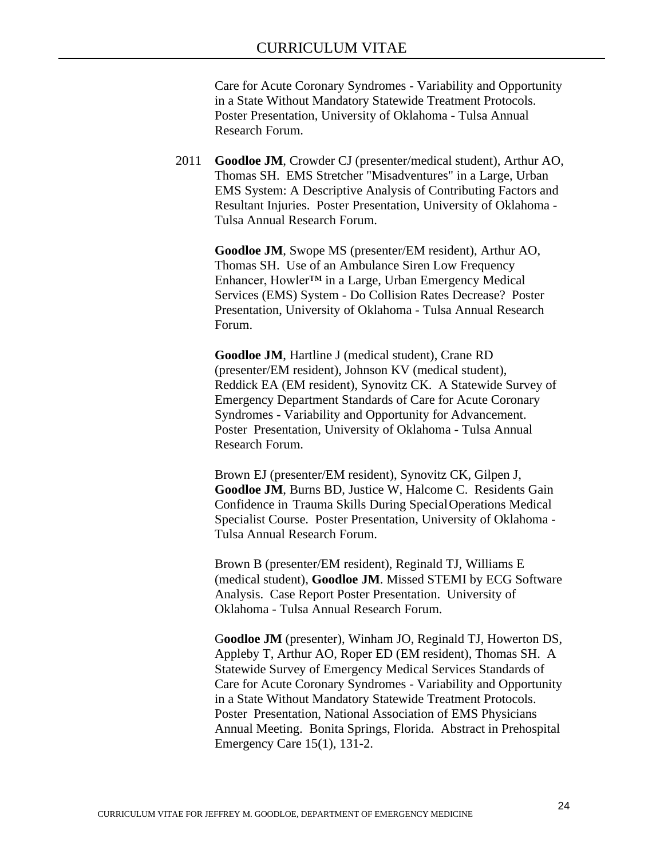Care for Acute Coronary Syndromes - Variability and Opportunity in a State Without Mandatory Statewide Treatment Protocols. Poster Presentation, University of Oklahoma - Tulsa Annual Research Forum.

2011 **Goodloe JM**, Crowder CJ (presenter/medical student), Arthur AO, Thomas SH. EMS Stretcher "Misadventures" in a Large, Urban EMS System: A Descriptive Analysis of Contributing Factors and Resultant Injuries. Poster Presentation, University of Oklahoma - Tulsa Annual Research Forum.

> **Goodloe JM**, Swope MS (presenter/EM resident), Arthur AO, Thomas SH. Use of an Ambulance Siren Low Frequency Enhancer, Howler™ in a Large, Urban Emergency Medical Services (EMS) System - Do Collision Rates Decrease? Poster Presentation, University of Oklahoma - Tulsa Annual Research Forum.

**Goodloe JM**, Hartline J (medical student), Crane RD (presenter/EM resident), Johnson KV (medical student), Reddick EA (EM resident), Synovitz CK. A Statewide Survey of Emergency Department Standards of Care for Acute Coronary Syndromes - Variability and Opportunity for Advancement. Poster Presentation, University of Oklahoma - Tulsa Annual Research Forum.

Brown EJ (presenter/EM resident), Synovitz CK, Gilpen J, **Goodloe JM**, Burns BD, Justice W, Halcome C. Residents Gain Confidence in Trauma Skills During SpecialOperations Medical Specialist Course. Poster Presentation, University of Oklahoma - Tulsa Annual Research Forum.

Brown B (presenter/EM resident), Reginald TJ, Williams E (medical student), **Goodloe JM**. Missed STEMI by ECG Software Analysis. Case Report Poster Presentation. University of Oklahoma - Tulsa Annual Research Forum.

G**oodloe JM** (presenter), Winham JO, Reginald TJ, Howerton DS, Appleby T, Arthur AO, Roper ED (EM resident), Thomas SH. A Statewide Survey of Emergency Medical Services Standards of Care for Acute Coronary Syndromes - Variability and Opportunity in a State Without Mandatory Statewide Treatment Protocols. Poster Presentation, National Association of EMS Physicians Annual Meeting. Bonita Springs, Florida. Abstract in Prehospital Emergency Care 15(1), 131-2.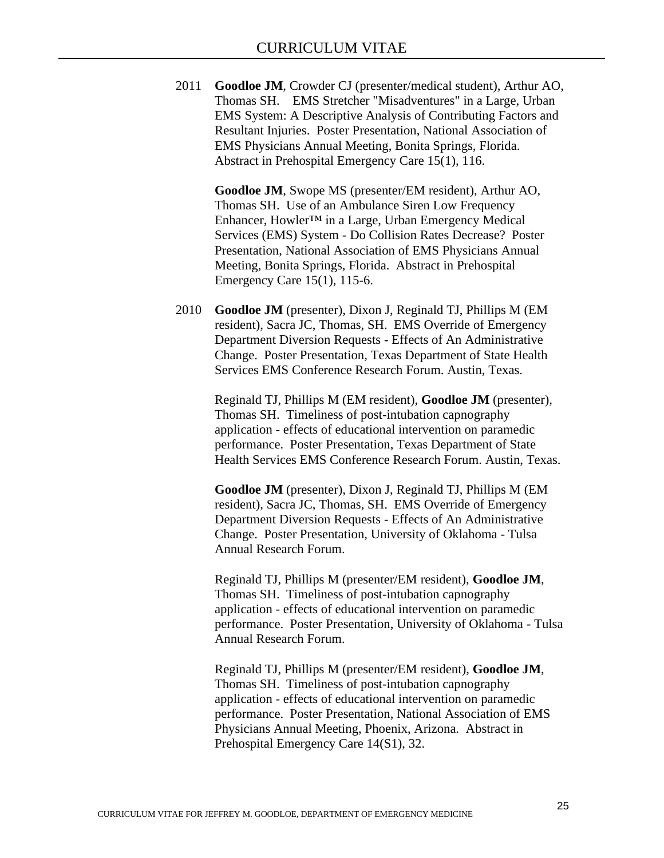2011 **Goodloe JM**, Crowder CJ (presenter/medical student), Arthur AO, Thomas SH. EMS Stretcher "Misadventures" in a Large, Urban EMS System: A Descriptive Analysis of Contributing Factors and Resultant Injuries. Poster Presentation, National Association of EMS Physicians Annual Meeting, Bonita Springs, Florida. Abstract in Prehospital Emergency Care 15(1), 116.

**Goodloe JM**, Swope MS (presenter/EM resident), Arthur AO, Thomas SH. Use of an Ambulance Siren Low Frequency Enhancer, Howler™ in a Large, Urban Emergency Medical Services (EMS) System - Do Collision Rates Decrease? Poster Presentation, National Association of EMS Physicians Annual Meeting, Bonita Springs, Florida. Abstract in Prehospital Emergency Care 15(1), 115-6.

2010 **Goodloe JM** (presenter), Dixon J, Reginald TJ, Phillips M (EM resident), Sacra JC, Thomas, SH. EMS Override of Emergency Department Diversion Requests - Effects of An Administrative Change. Poster Presentation, Texas Department of State Health Services EMS Conference Research Forum. Austin, Texas.

> Reginald TJ, Phillips M (EM resident), **Goodloe JM** (presenter), Thomas SH. Timeliness of post-intubation capnography application - effects of educational intervention on paramedic performance. Poster Presentation, Texas Department of State Health Services EMS Conference Research Forum. Austin, Texas.

**Goodloe JM** (presenter), Dixon J, Reginald TJ, Phillips M (EM resident), Sacra JC, Thomas, SH. EMS Override of Emergency Department Diversion Requests - Effects of An Administrative Change. Poster Presentation, University of Oklahoma - Tulsa Annual Research Forum.

Reginald TJ, Phillips M (presenter/EM resident), **Goodloe JM**, Thomas SH. Timeliness of post-intubation capnography application - effects of educational intervention on paramedic performance. Poster Presentation, University of Oklahoma - Tulsa Annual Research Forum.

Reginald TJ, Phillips M (presenter/EM resident), **Goodloe JM**, Thomas SH. Timeliness of post-intubation capnography application - effects of educational intervention on paramedic performance. Poster Presentation, National Association of EMS Physicians Annual Meeting, Phoenix, Arizona. Abstract in Prehospital Emergency Care 14(S1), 32.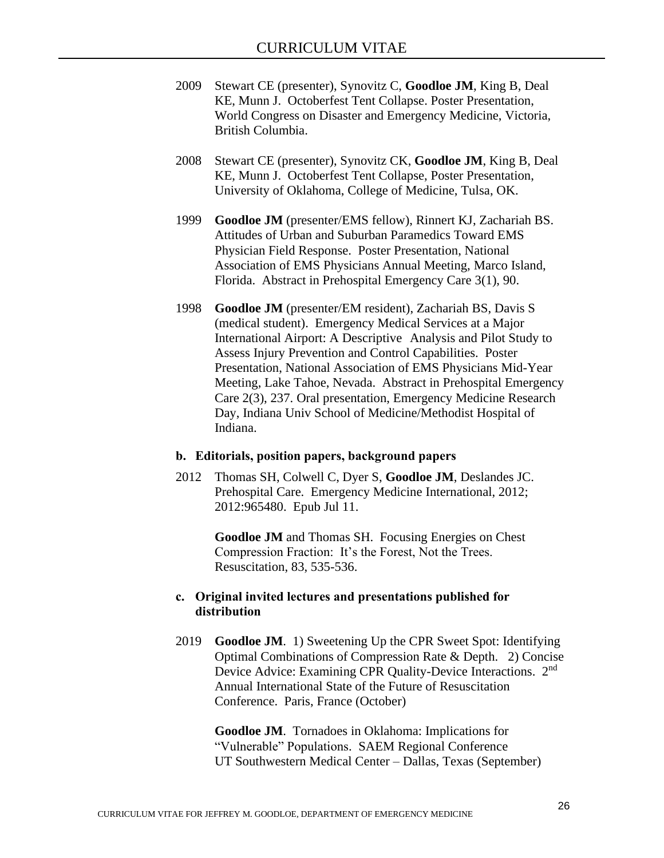- 2009 Stewart CE (presenter), Synovitz C, **Goodloe JM**, King B, Deal KE, Munn J. Octoberfest Tent Collapse. Poster Presentation, World Congress on Disaster and Emergency Medicine, Victoria, British Columbia.
- 2008 Stewart CE (presenter), Synovitz CK, **Goodloe JM**, King B, Deal KE, Munn J. Octoberfest Tent Collapse, Poster Presentation, University of Oklahoma, College of Medicine, Tulsa, OK.
- 1999 **Goodloe JM** (presenter/EMS fellow), Rinnert KJ, Zachariah BS. Attitudes of Urban and Suburban Paramedics Toward EMS Physician Field Response. Poster Presentation, National Association of EMS Physicians Annual Meeting, Marco Island, Florida. Abstract in Prehospital Emergency Care 3(1), 90.
- 1998 **Goodloe JM** (presenter/EM resident), Zachariah BS, Davis S (medical student). Emergency Medical Services at a Major International Airport: A Descriptive Analysis and Pilot Study to Assess Injury Prevention and Control Capabilities. Poster Presentation, National Association of EMS Physicians Mid-Year Meeting, Lake Tahoe, Nevada. Abstract in Prehospital Emergency Care 2(3), 237. Oral presentation, Emergency Medicine Research Day, Indiana Univ School of Medicine/Methodist Hospital of Indiana.

#### **b. Editorials, position papers, background papers**

2012 Thomas SH, Colwell C, Dyer S, **Goodloe JM**, Deslandes JC. Prehospital Care. Emergency Medicine International, 2012; 2012:965480. Epub Jul 11.

> **Goodloe JM** and Thomas SH. Focusing Energies on Chest Compression Fraction: It's the Forest, Not the Trees. Resuscitation, 83, 535-536.

#### **c. Original invited lectures and presentations published for distribution**

2019 **Goodloe JM**. 1) Sweetening Up the CPR Sweet Spot: Identifying Optimal Combinations of Compression Rate & Depth. 2) Concise Device Advice: Examining CPR Quality-Device Interactions. 2<sup>nd</sup> Annual International State of the Future of Resuscitation Conference. Paris, France (October)

> **Goodloe JM**. Tornadoes in Oklahoma: Implications for "Vulnerable" Populations. SAEM Regional Conference UT Southwestern Medical Center – Dallas, Texas (September)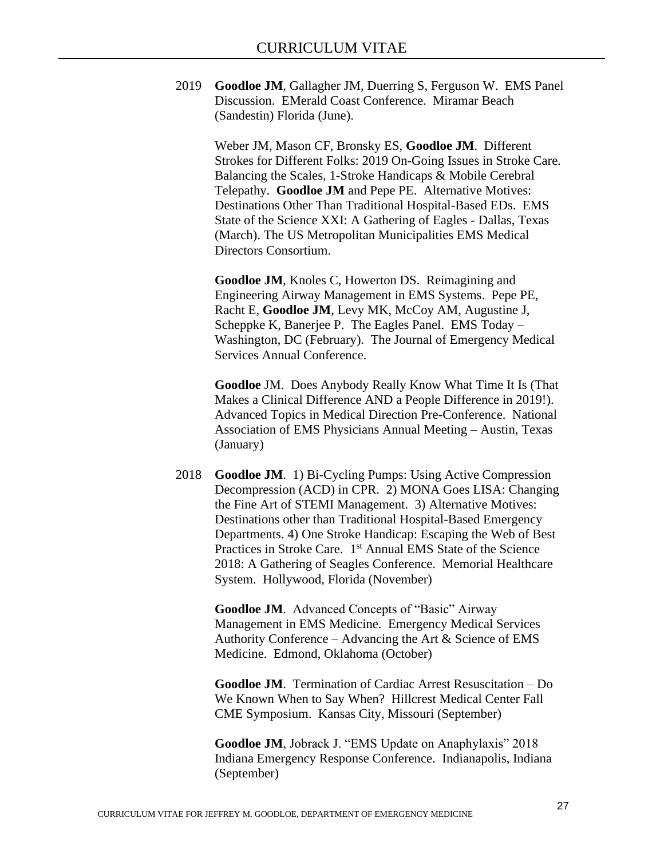2019 **Goodloe JM**, Gallagher JM, Duerring S, Ferguson W. EMS Panel Discussion. EMerald Coast Conference. Miramar Beach (Sandestin) Florida (June).

> Weber JM, Mason CF, Bronsky ES, **Goodloe JM**. Different Strokes for Different Folks: 2019 On-Going Issues in Stroke Care. Balancing the Scales, 1-Stroke Handicaps & Mobile Cerebral Telepathy. **Goodloe JM** and Pepe PE. Alternative Motives: Destinations Other Than Traditional Hospital-Based EDs. EMS State of the Science XXI: A Gathering of Eagles - Dallas, Texas (March). The US Metropolitan Municipalities EMS Medical Directors Consortium.

**Goodloe JM**, Knoles C, Howerton DS. Reimagining and Engineering Airway Management in EMS Systems. Pepe PE, Racht E, **Goodloe JM**, Levy MK, McCoy AM, Augustine J, Scheppke K, Banerjee P. The Eagles Panel. EMS Today – Washington, DC (February). The Journal of Emergency Medical Services Annual Conference.

**Goodloe** JM. Does Anybody Really Know What Time It Is (That Makes a Clinical Difference AND a People Difference in 2019!). Advanced Topics in Medical Direction Pre-Conference. National Association of EMS Physicians Annual Meeting – Austin, Texas (January)

2018 **Goodloe JM**. 1) Bi-Cycling Pumps: Using Active Compression Decompression (ACD) in CPR. 2) MONA Goes LISA: Changing the Fine Art of STEMI Management. 3) Alternative Motives: Destinations other than Traditional Hospital-Based Emergency Departments. 4) One Stroke Handicap: Escaping the Web of Best Practices in Stroke Care. 1<sup>st</sup> Annual EMS State of the Science 2018: A Gathering of Seagles Conference. Memorial Healthcare System. Hollywood, Florida (November)

> **Goodloe JM**. Advanced Concepts of "Basic" Airway Management in EMS Medicine. Emergency Medical Services Authority Conference – Advancing the Art & Science of EMS Medicine. Edmond, Oklahoma (October)

**Goodloe JM**.Termination of Cardiac Arrest Resuscitation – Do We Known When to Say When? Hillcrest Medical Center Fall CME Symposium. Kansas City, Missouri (September)

**Goodloe JM**, Jobrack J. "EMS Update on Anaphylaxis" 2018 Indiana Emergency Response Conference. Indianapolis, Indiana (September)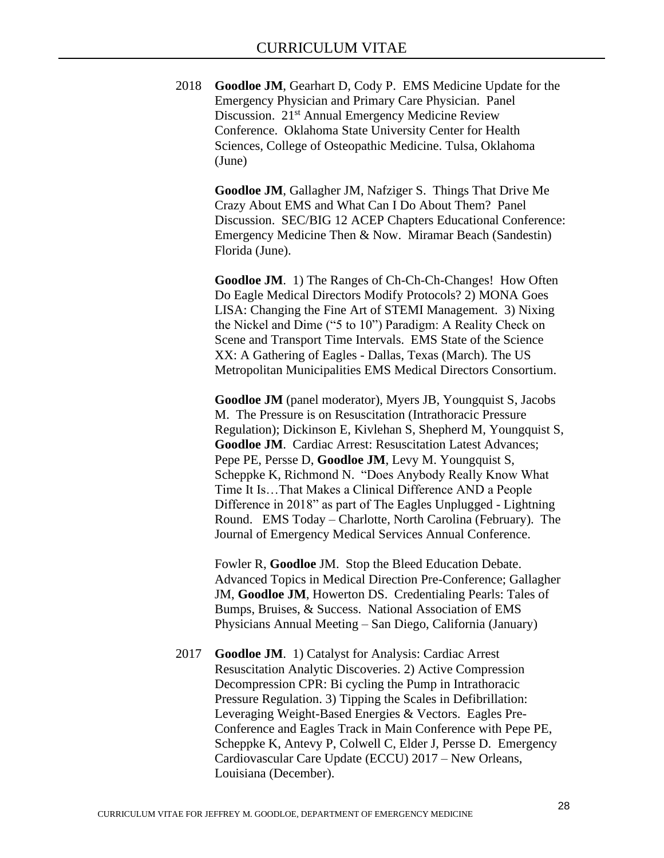2018 **Goodloe JM**, Gearhart D, Cody P. EMS Medicine Update for the Emergency Physician and Primary Care Physician. Panel Discussion. 21<sup>st</sup> Annual Emergency Medicine Review Conference. Oklahoma State University Center for Health Sciences, College of Osteopathic Medicine. Tulsa, Oklahoma (June)

> **Goodloe JM**, Gallagher JM, Nafziger S. Things That Drive Me Crazy About EMS and What Can I Do About Them? Panel Discussion. SEC/BIG 12 ACEP Chapters Educational Conference: Emergency Medicine Then & Now. Miramar Beach (Sandestin) Florida (June).

**Goodloe JM**. 1) The Ranges of Ch-Ch-Ch-Changes! How Often Do Eagle Medical Directors Modify Protocols? 2) MONA Goes LISA: Changing the Fine Art of STEMI Management. 3) Nixing the Nickel and Dime ("5 to 10") Paradigm: A Reality Check on Scene and Transport Time Intervals. EMS State of the Science XX: A Gathering of Eagles - Dallas, Texas (March). The US Metropolitan Municipalities EMS Medical Directors Consortium.

**Goodloe JM** (panel moderator), Myers JB, Youngquist S, Jacobs M. The Pressure is on Resuscitation (Intrathoracic Pressure Regulation); Dickinson E, Kivlehan S, Shepherd M, Youngquist S, **Goodloe JM**. Cardiac Arrest: Resuscitation Latest Advances; Pepe PE, Persse D, **Goodloe JM**, Levy M. Youngquist S, Scheppke K, Richmond N. "Does Anybody Really Know What Time It Is…That Makes a Clinical Difference AND a People Difference in 2018" as part of The Eagles Unplugged - Lightning Round. EMS Today – Charlotte, North Carolina (February). The Journal of Emergency Medical Services Annual Conference.

Fowler R, **Goodloe** JM. Stop the Bleed Education Debate. Advanced Topics in Medical Direction Pre-Conference; Gallagher JM, **Goodloe JM**, Howerton DS. Credentialing Pearls: Tales of Bumps, Bruises, & Success. National Association of EMS Physicians Annual Meeting – San Diego, California (January)

2017 **Goodloe JM**. 1) Catalyst for Analysis: Cardiac Arrest Resuscitation Analytic Discoveries. 2) Active Compression Decompression CPR: Bi cycling the Pump in Intrathoracic Pressure Regulation. 3) Tipping the Scales in Defibrillation: Leveraging Weight-Based Energies & Vectors. Eagles Pre-Conference and Eagles Track in Main Conference with Pepe PE, Scheppke K, Antevy P, Colwell C, Elder J, Persse D. Emergency Cardiovascular Care Update (ECCU) 2017 – New Orleans, Louisiana (December).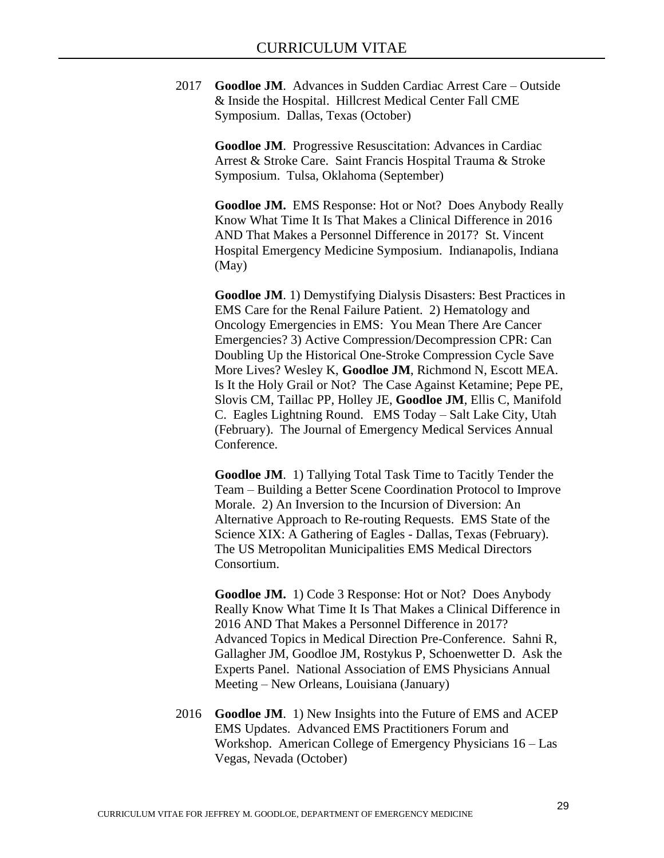2017 **Goodloe JM**.Advances in Sudden Cardiac Arrest Care – Outside & Inside the Hospital. Hillcrest Medical Center Fall CME Symposium. Dallas, Texas (October)

> **Goodloe JM**. Progressive Resuscitation: Advances in Cardiac Arrest & Stroke Care. Saint Francis Hospital Trauma & Stroke Symposium. Tulsa, Oklahoma (September)

**Goodloe JM.** EMS Response: Hot or Not? Does Anybody Really Know What Time It Is That Makes a Clinical Difference in 2016 AND That Makes a Personnel Difference in 2017? St. Vincent Hospital Emergency Medicine Symposium. Indianapolis, Indiana (May)

**Goodloe JM**. 1) Demystifying Dialysis Disasters: Best Practices in EMS Care for the Renal Failure Patient. 2) Hematology and Oncology Emergencies in EMS: You Mean There Are Cancer Emergencies? 3) Active Compression/Decompression CPR: Can Doubling Up the Historical One-Stroke Compression Cycle Save More Lives? Wesley K, **Goodloe JM**, Richmond N, Escott MEA. Is It the Holy Grail or Not? The Case Against Ketamine; Pepe PE, Slovis CM, Taillac PP, Holley JE, **Goodloe JM**, Ellis C, Manifold C. Eagles Lightning Round. EMS Today – Salt Lake City, Utah (February). The Journal of Emergency Medical Services Annual Conference.

**Goodloe JM**. 1) Tallying Total Task Time to Tacitly Tender the Team – Building a Better Scene Coordination Protocol to Improve Morale. 2) An Inversion to the Incursion of Diversion: An Alternative Approach to Re-routing Requests. EMS State of the Science XIX: A Gathering of Eagles - Dallas, Texas (February). The US Metropolitan Municipalities EMS Medical Directors Consortium.

**Goodloe JM.** 1) Code 3 Response: Hot or Not? Does Anybody Really Know What Time It Is That Makes a Clinical Difference in 2016 AND That Makes a Personnel Difference in 2017? Advanced Topics in Medical Direction Pre-Conference. Sahni R, Gallagher JM, Goodloe JM, Rostykus P, Schoenwetter D. Ask the Experts Panel. National Association of EMS Physicians Annual Meeting – New Orleans, Louisiana (January)

2016 **Goodloe JM**. 1) New Insights into the Future of EMS and ACEP EMS Updates. Advanced EMS Practitioners Forum and Workshop. American College of Emergency Physicians 16 – Las Vegas, Nevada (October)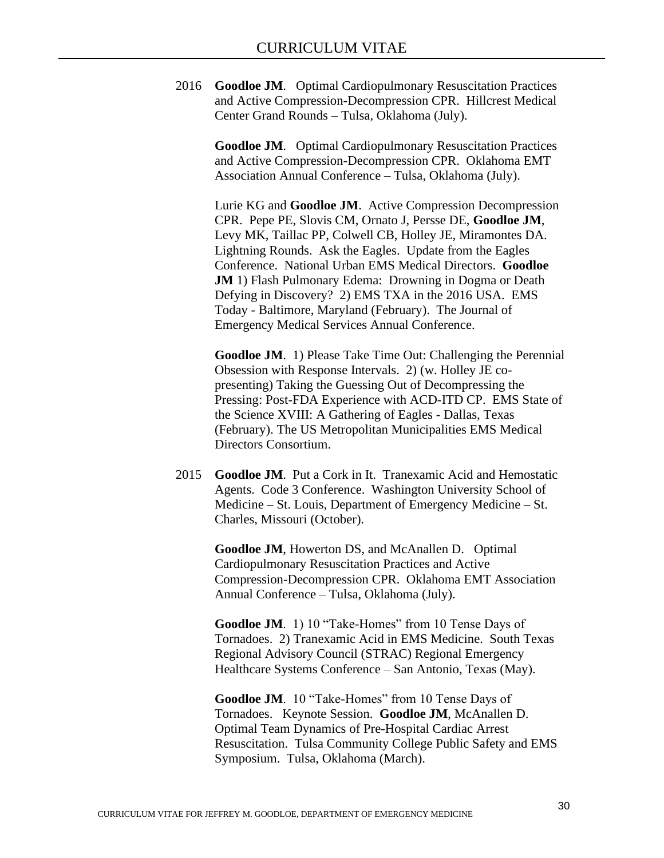2016 **Goodloe JM**. Optimal Cardiopulmonary Resuscitation Practices and Active Compression-Decompression CPR. Hillcrest Medical Center Grand Rounds – Tulsa, Oklahoma (July).

> **Goodloe JM**. Optimal Cardiopulmonary Resuscitation Practices and Active Compression-Decompression CPR. Oklahoma EMT Association Annual Conference – Tulsa, Oklahoma (July).

> Lurie KG and **Goodloe JM**. Active Compression Decompression CPR. Pepe PE, Slovis CM, Ornato J, Persse DE, **Goodloe JM**, Levy MK, Taillac PP, Colwell CB, Holley JE, Miramontes DA. Lightning Rounds. Ask the Eagles. Update from the Eagles Conference. National Urban EMS Medical Directors. **Goodloe JM** 1) Flash Pulmonary Edema: Drowning in Dogma or Death Defying in Discovery? 2) EMS TXA in the 2016 USA. EMS Today - Baltimore, Maryland (February). The Journal of Emergency Medical Services Annual Conference.

**Goodloe JM**. 1) Please Take Time Out: Challenging the Perennial Obsession with Response Intervals. 2) (w. Holley JE copresenting) Taking the Guessing Out of Decompressing the Pressing: Post-FDA Experience with ACD-ITD CP. EMS State of the Science XVIII: A Gathering of Eagles - Dallas, Texas (February). The US Metropolitan Municipalities EMS Medical Directors Consortium.

2015 **Goodloe JM**. Put a Cork in It. Tranexamic Acid and Hemostatic Agents. Code 3 Conference. Washington University School of Medicine – St. Louis, Department of Emergency Medicine – St. Charles, Missouri (October).

> **Goodloe JM**, Howerton DS, and McAnallen D. Optimal Cardiopulmonary Resuscitation Practices and Active Compression-Decompression CPR. Oklahoma EMT Association Annual Conference – Tulsa, Oklahoma (July).

> **Goodloe JM**. 1) 10 "Take-Homes" from 10 Tense Days of Tornadoes. 2) Tranexamic Acid in EMS Medicine. South Texas Regional Advisory Council (STRAC) Regional Emergency Healthcare Systems Conference – San Antonio, Texas (May).

> **Goodloe JM**. 10 "Take-Homes" from 10 Tense Days of Tornadoes. Keynote Session. **Goodloe JM**, McAnallen D. Optimal Team Dynamics of Pre-Hospital Cardiac Arrest Resuscitation. Tulsa Community College Public Safety and EMS Symposium. Tulsa, Oklahoma (March).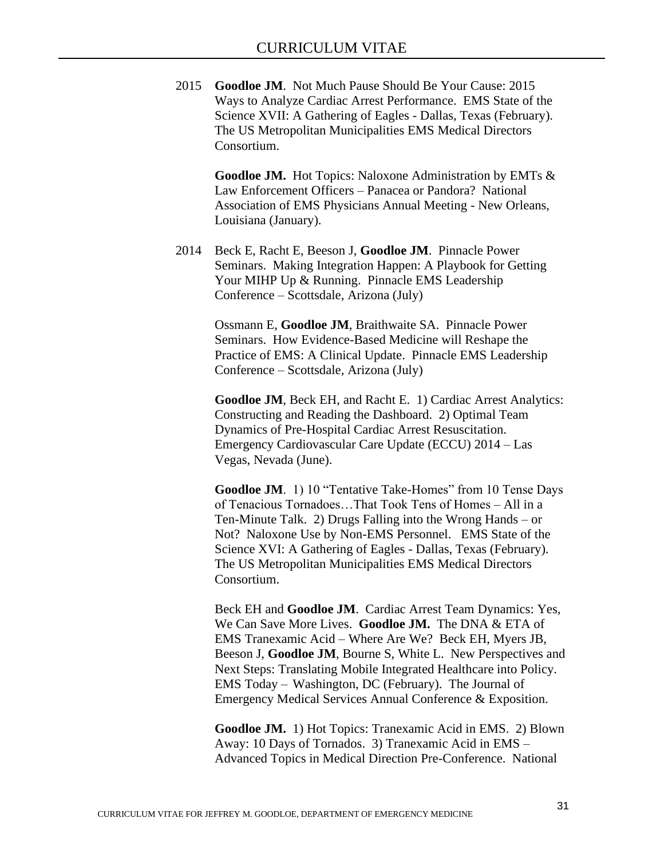2015 **Goodloe JM**. Not Much Pause Should Be Your Cause: 2015 Ways to Analyze Cardiac Arrest Performance. EMS State of the Science XVII: A Gathering of Eagles - Dallas, Texas (February). The US Metropolitan Municipalities EMS Medical Directors Consortium.

> **Goodloe JM.** Hot Topics: Naloxone Administration by EMTs & Law Enforcement Officers – Panacea or Pandora? National Association of EMS Physicians Annual Meeting - New Orleans, Louisiana (January).

2014 Beck E, Racht E, Beeson J, **Goodloe JM**. Pinnacle Power Seminars. Making Integration Happen: A Playbook for Getting Your MIHP Up & Running. Pinnacle EMS Leadership Conference – Scottsdale, Arizona (July)

> Ossmann E, **Goodloe JM**, Braithwaite SA. Pinnacle Power Seminars. How Evidence-Based Medicine will Reshape the Practice of EMS: A Clinical Update. Pinnacle EMS Leadership Conference – Scottsdale, Arizona (July)

**Goodloe JM**, Beck EH, and Racht E. 1) Cardiac Arrest Analytics: Constructing and Reading the Dashboard. 2) Optimal Team Dynamics of Pre-Hospital Cardiac Arrest Resuscitation. Emergency Cardiovascular Care Update (ECCU) 2014 – Las Vegas, Nevada (June).

**Goodloe JM**. 1) 10 "Tentative Take-Homes" from 10 Tense Days of Tenacious Tornadoes…That Took Tens of Homes – All in a Ten-Minute Talk. 2) Drugs Falling into the Wrong Hands – or Not? Naloxone Use by Non-EMS Personnel. EMS State of the Science XVI: A Gathering of Eagles - Dallas, Texas (February). The US Metropolitan Municipalities EMS Medical Directors Consortium.

Beck EH and **Goodloe JM**. Cardiac Arrest Team Dynamics: Yes, We Can Save More Lives. **Goodloe JM.** The DNA & ETA of EMS Tranexamic Acid – Where Are We? Beck EH, Myers JB, Beeson J, **Goodloe JM**, Bourne S, White L. New Perspectives and Next Steps: Translating Mobile Integrated Healthcare into Policy. EMS Today – Washington, DC (February). The Journal of Emergency Medical Services Annual Conference & Exposition.

**Goodloe JM.** 1) Hot Topics: Tranexamic Acid in EMS. 2) Blown Away: 10 Days of Tornados. 3) Tranexamic Acid in EMS – Advanced Topics in Medical Direction Pre-Conference. National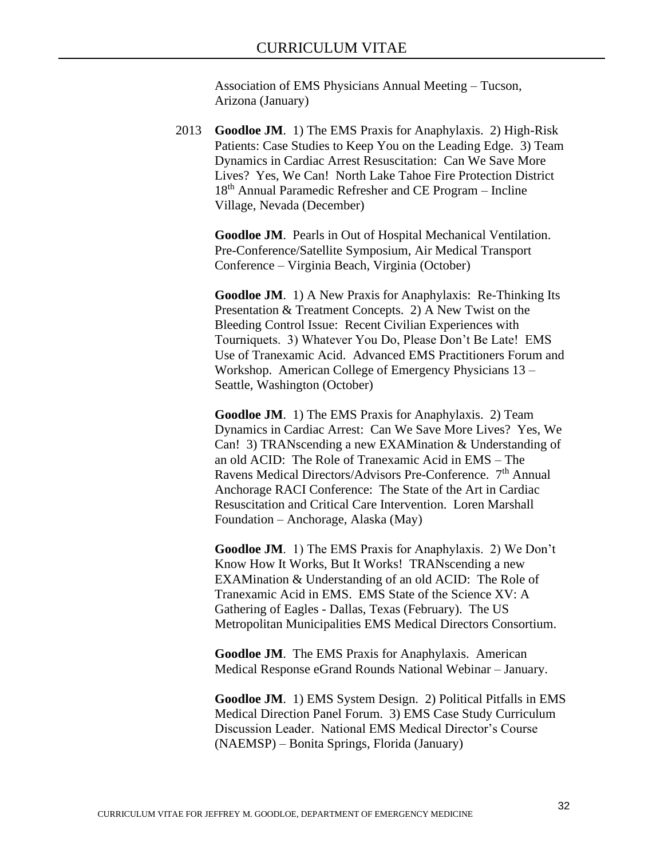Association of EMS Physicians Annual Meeting – Tucson, Arizona (January)

2013 **Goodloe JM**. 1) The EMS Praxis for Anaphylaxis. 2) High-Risk Patients: Case Studies to Keep You on the Leading Edge. 3) Team Dynamics in Cardiac Arrest Resuscitation: Can We Save More Lives? Yes, We Can! North Lake Tahoe Fire Protection District 18th Annual Paramedic Refresher and CE Program – Incline Village, Nevada (December)

> **Goodloe JM**. Pearls in Out of Hospital Mechanical Ventilation. Pre-Conference/Satellite Symposium, Air Medical Transport Conference – Virginia Beach, Virginia (October)

**Goodloe JM**. 1) A New Praxis for Anaphylaxis: Re-Thinking Its Presentation & Treatment Concepts. 2) A New Twist on the Bleeding Control Issue: Recent Civilian Experiences with Tourniquets. 3) Whatever You Do, Please Don't Be Late! EMS Use of Tranexamic Acid. Advanced EMS Practitioners Forum and Workshop. American College of Emergency Physicians 13 – Seattle, Washington (October)

**Goodloe JM**. 1) The EMS Praxis for Anaphylaxis. 2) Team Dynamics in Cardiac Arrest: Can We Save More Lives? Yes, We Can! 3) TRANscending a new EXAMination & Understanding of an old ACID: The Role of Tranexamic Acid in EMS – The Ravens Medical Directors/Advisors Pre-Conference. 7<sup>th</sup> Annual Anchorage RACI Conference: The State of the Art in Cardiac Resuscitation and Critical Care Intervention. Loren Marshall Foundation – Anchorage, Alaska (May)

**Goodloe JM**. 1) The EMS Praxis for Anaphylaxis. 2) We Don't Know How It Works, But It Works! TRANscending a new EXAMination & Understanding of an old ACID: The Role of Tranexamic Acid in EMS. EMS State of the Science XV: A Gathering of Eagles - Dallas, Texas (February). The US Metropolitan Municipalities EMS Medical Directors Consortium.

**Goodloe JM**. The EMS Praxis for Anaphylaxis. American Medical Response eGrand Rounds National Webinar – January.

**Goodloe JM**. 1) EMS System Design. 2) Political Pitfalls in EMS Medical Direction Panel Forum. 3) EMS Case Study Curriculum Discussion Leader. National EMS Medical Director's Course (NAEMSP) – Bonita Springs, Florida (January)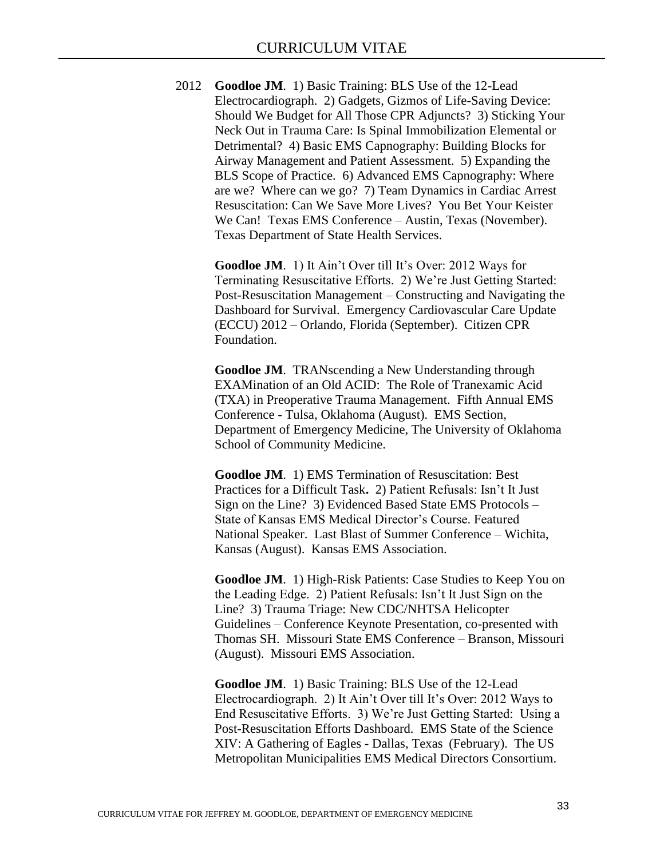2012 **Goodloe JM**. 1) Basic Training: BLS Use of the 12-Lead Electrocardiograph. 2) Gadgets, Gizmos of Life-Saving Device: Should We Budget for All Those CPR Adjuncts? 3) Sticking Your Neck Out in Trauma Care: Is Spinal Immobilization Elemental or Detrimental? 4) Basic EMS Capnography: Building Blocks for Airway Management and Patient Assessment. 5) Expanding the BLS Scope of Practice. 6) Advanced EMS Capnography: Where are we? Where can we go? 7) Team Dynamics in Cardiac Arrest Resuscitation: Can We Save More Lives? You Bet Your Keister We Can! Texas EMS Conference – Austin, Texas (November). Texas Department of State Health Services.

> **Goodloe JM**. 1) It Ain't Over till It's Over: 2012 Ways for Terminating Resuscitative Efforts. 2) We're Just Getting Started: Post-Resuscitation Management – Constructing and Navigating the Dashboard for Survival. Emergency Cardiovascular Care Update (ECCU) 2012 – Orlando, Florida (September). Citizen CPR Foundation.

**Goodloe JM**. TRANscending a New Understanding through EXAMination of an Old ACID: The Role of Tranexamic Acid (TXA) in Preoperative Trauma Management. Fifth Annual EMS Conference - Tulsa, Oklahoma (August). EMS Section, Department of Emergency Medicine, The University of Oklahoma School of Community Medicine.

**Goodloe JM**. 1) EMS Termination of Resuscitation: Best Practices for a Difficult Task**.** 2) Patient Refusals: Isn't It Just Sign on the Line? 3) Evidenced Based State EMS Protocols – State of Kansas EMS Medical Director's Course. Featured National Speaker. Last Blast of Summer Conference – Wichita, Kansas (August). Kansas EMS Association.

**Goodloe JM**. 1) High-Risk Patients: Case Studies to Keep You on the Leading Edge. 2) Patient Refusals: Isn't It Just Sign on the Line? 3) Trauma Triage: New CDC/NHTSA Helicopter Guidelines – Conference Keynote Presentation, co-presented with Thomas SH. Missouri State EMS Conference – Branson, Missouri (August). Missouri EMS Association.

**Goodloe JM**. 1) Basic Training: BLS Use of the 12-Lead Electrocardiograph. 2) It Ain't Over till It's Over: 2012 Ways to End Resuscitative Efforts. 3) We're Just Getting Started: Using a Post-Resuscitation Efforts Dashboard. EMS State of the Science XIV: A Gathering of Eagles - Dallas, Texas (February). The US Metropolitan Municipalities EMS Medical Directors Consortium.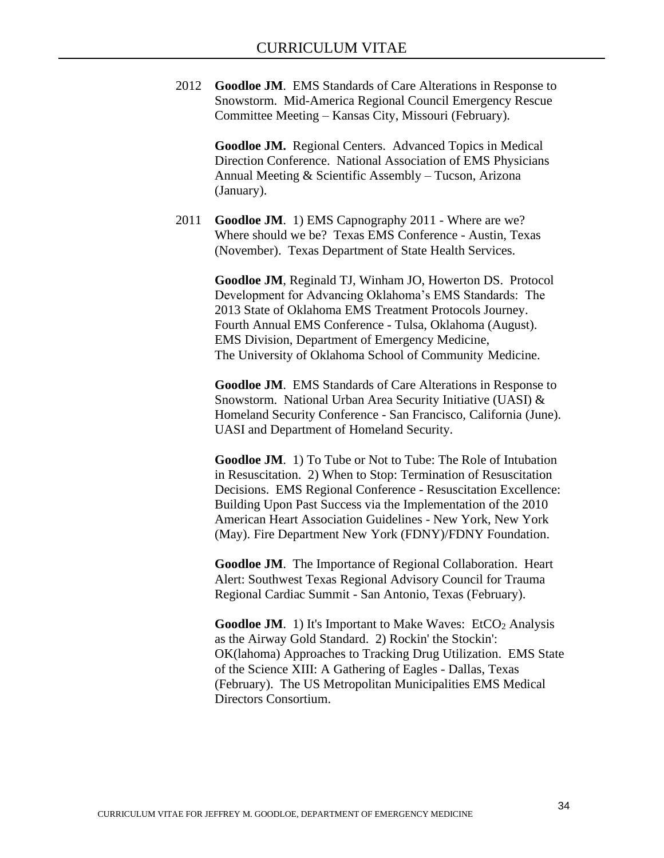2012 **Goodloe JM**. EMS Standards of Care Alterations in Response to Snowstorm. Mid-America Regional Council Emergency Rescue Committee Meeting – Kansas City, Missouri (February).

**Goodloe JM.** Regional Centers. Advanced Topics in Medical Direction Conference. National Association of EMS Physicians Annual Meeting & Scientific Assembly – Tucson, Arizona (January).

2011 **Goodloe JM**. 1) EMS Capnography 2011 - Where are we? Where should we be? Texas EMS Conference - Austin, Texas (November). Texas Department of State Health Services.

> **Goodloe JM**, Reginald TJ, Winham JO, Howerton DS. Protocol Development for Advancing Oklahoma's EMS Standards: The 2013 State of Oklahoma EMS Treatment Protocols Journey. Fourth Annual EMS Conference - Tulsa, Oklahoma (August). EMS Division, Department of Emergency Medicine, The University of Oklahoma School of Community Medicine.

**Goodloe JM**. EMS Standards of Care Alterations in Response to Snowstorm. National Urban Area Security Initiative (UASI) & Homeland Security Conference - San Francisco, California (June). UASI and Department of Homeland Security.

**Goodloe JM**. 1) To Tube or Not to Tube: The Role of Intubation in Resuscitation. 2) When to Stop: Termination of Resuscitation Decisions. EMS Regional Conference - Resuscitation Excellence: Building Upon Past Success via the Implementation of the 2010 American Heart Association Guidelines - New York, New York (May). Fire Department New York (FDNY)/FDNY Foundation.

**Goodloe JM**. The Importance of Regional Collaboration. Heart Alert: Southwest Texas Regional Advisory Council for Trauma Regional Cardiac Summit - San Antonio, Texas (February).

**Goodloe JM.** 1) It's Important to Make Waves: EtCO<sub>2</sub> Analysis as the Airway Gold Standard. 2) Rockin' the Stockin': OK(lahoma) Approaches to Tracking Drug Utilization. EMS State of the Science XIII: A Gathering of Eagles - Dallas, Texas (February). The US Metropolitan Municipalities EMS Medical Directors Consortium.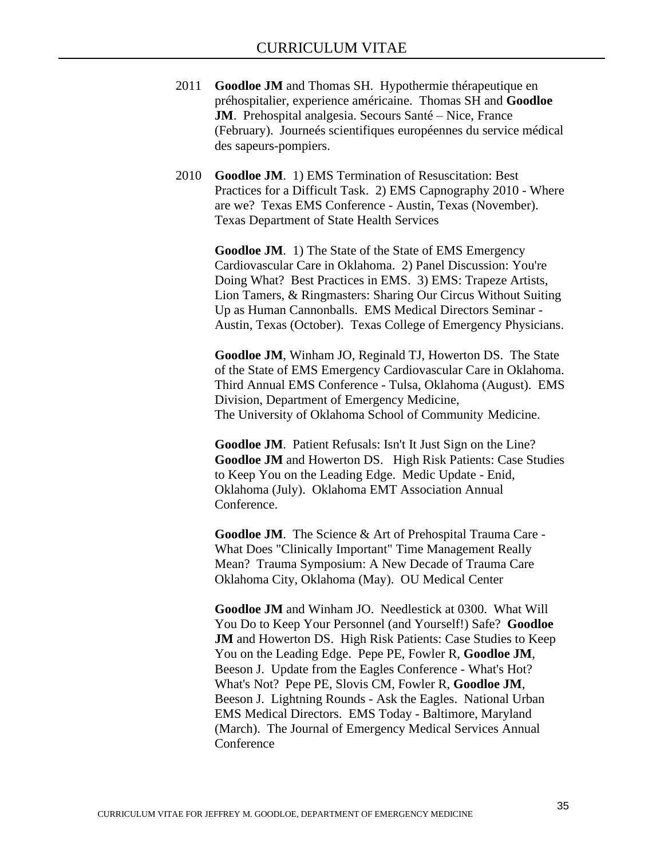- 2011 **Goodloe JM** and Thomas SH. Hypothermie thérapeutique en préhospitalier, experience américaine. Thomas SH and **Goodloe JM**. Prehospital analgesia. Secours Santé – Nice, France (February). Journeés scientifiques européennes du service médical des sapeurs-pompiers.
- 2010 **Goodloe JM**. 1) EMS Termination of Resuscitation: Best Practices for a Difficult Task. 2) EMS Capnography 2010 - Where are we? Texas EMS Conference - Austin, Texas (November). Texas Department of State Health Services

**Goodloe JM**. 1) The State of the State of EMS Emergency Cardiovascular Care in Oklahoma. 2) Panel Discussion: You're Doing What? Best Practices in EMS. 3) EMS: Trapeze Artists, Lion Tamers, & Ringmasters: Sharing Our Circus Without Suiting Up as Human Cannonballs. EMS Medical Directors Seminar - Austin, Texas (October). Texas College of Emergency Physicians.

**Goodloe JM**, Winham JO, Reginald TJ, Howerton DS. The State of the State of EMS Emergency Cardiovascular Care in Oklahoma. Third Annual EMS Conference - Tulsa, Oklahoma (August). EMS Division, Department of Emergency Medicine, The University of Oklahoma School of Community Medicine.

**Goodloe JM**. Patient Refusals: Isn't It Just Sign on the Line? **Goodloe JM** and Howerton DS. High Risk Patients: Case Studies to Keep You on the Leading Edge. Medic Update - Enid, Oklahoma (July). Oklahoma EMT Association Annual Conference.

**Goodloe JM**. The Science & Art of Prehospital Trauma Care - What Does "Clinically Important" Time Management Really Mean? Trauma Symposium: A New Decade of Trauma Care Oklahoma City, Oklahoma (May). OU Medical Center

**Goodloe JM** and Winham JO. Needlestick at 0300. What Will You Do to Keep Your Personnel (and Yourself!) Safe? **Goodloe JM** and Howerton DS. High Risk Patients: Case Studies to Keep You on the Leading Edge. Pepe PE, Fowler R, **Goodloe JM**, Beeson J. Update from the Eagles Conference - What's Hot? What's Not? Pepe PE, Slovis CM, Fowler R, **Goodloe JM**, Beeson J. Lightning Rounds - Ask the Eagles. National Urban EMS Medical Directors. EMS Today - Baltimore, Maryland (March). The Journal of Emergency Medical Services Annual **Conference**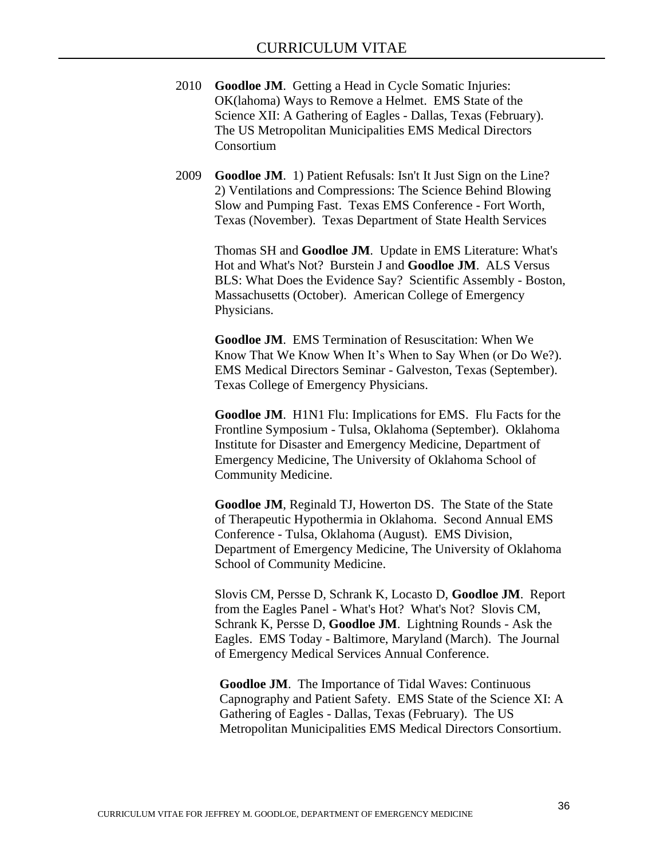- 2010 **Goodloe JM**. Getting a Head in Cycle Somatic Injuries: OK(lahoma) Ways to Remove a Helmet. EMS State of the Science XII: A Gathering of Eagles - Dallas, Texas (February). The US Metropolitan Municipalities EMS Medical Directors Consortium
- 2009 **Goodloe JM**. 1) Patient Refusals: Isn't It Just Sign on the Line? 2) Ventilations and Compressions: The Science Behind Blowing Slow and Pumping Fast. Texas EMS Conference - Fort Worth, Texas (November). Texas Department of State Health Services

Thomas SH and **Goodloe JM**. Update in EMS Literature: What's Hot and What's Not? Burstein J and **Goodloe JM**. ALS Versus BLS: What Does the Evidence Say? Scientific Assembly - Boston, Massachusetts (October). American College of Emergency Physicians.

**Goodloe JM**. EMS Termination of Resuscitation: When We Know That We Know When It's When to Say When (or Do We?). EMS Medical Directors Seminar - Galveston, Texas (September). Texas College of Emergency Physicians.

**Goodloe JM**. H1N1 Flu: Implications for EMS. Flu Facts for the Frontline Symposium - Tulsa, Oklahoma (September). Oklahoma Institute for Disaster and Emergency Medicine, Department of Emergency Medicine, The University of Oklahoma School of Community Medicine.

**Goodloe JM**, Reginald TJ, Howerton DS. The State of the State of Therapeutic Hypothermia in Oklahoma. Second Annual EMS Conference - Tulsa, Oklahoma (August). EMS Division, Department of Emergency Medicine, The University of Oklahoma School of Community Medicine.

Slovis CM, Persse D, Schrank K, Locasto D, **Goodloe JM**. Report from the Eagles Panel - What's Hot? What's Not? Slovis CM, Schrank K, Persse D, **Goodloe JM**. Lightning Rounds - Ask the Eagles. EMS Today - Baltimore, Maryland (March). The Journal of Emergency Medical Services Annual Conference.

**Goodloe JM**. The Importance of Tidal Waves: Continuous Capnography and Patient Safety. EMS State of the Science XI: A Gathering of Eagles - Dallas, Texas (February). The US Metropolitan Municipalities EMS Medical Directors Consortium.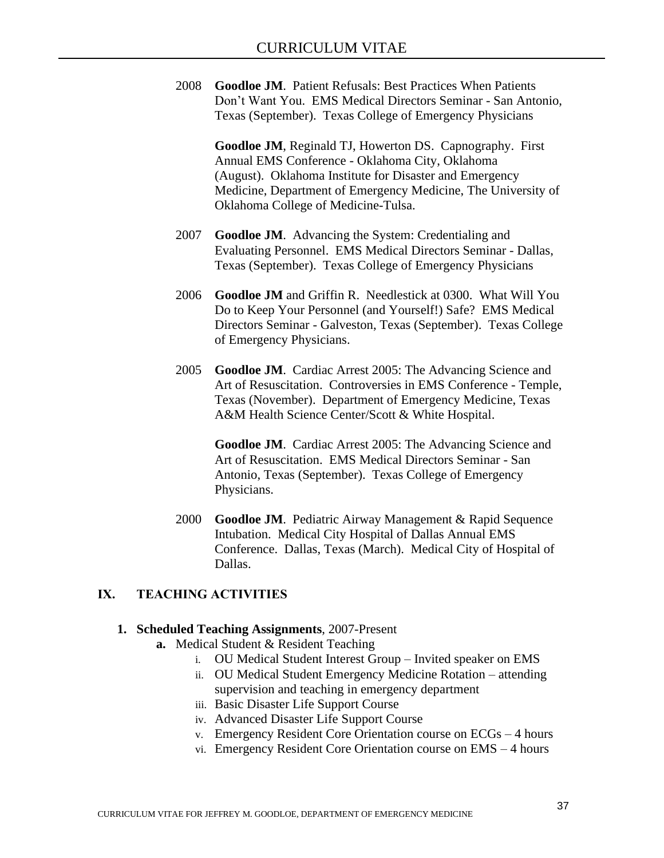2008 **Goodloe JM**. Patient Refusals: Best Practices When Patients Don't Want You. EMS Medical Directors Seminar - San Antonio, Texas (September). Texas College of Emergency Physicians

**Goodloe JM**, Reginald TJ, Howerton DS. Capnography. First Annual EMS Conference - Oklahoma City, Oklahoma (August). Oklahoma Institute for Disaster and Emergency Medicine, Department of Emergency Medicine, The University of Oklahoma College of Medicine-Tulsa.

- 2007 **Goodloe JM**. Advancing the System: Credentialing and Evaluating Personnel. EMS Medical Directors Seminar - Dallas, Texas (September). Texas College of Emergency Physicians
- 2006 **Goodloe JM** and Griffin R. Needlestick at 0300. What Will You Do to Keep Your Personnel (and Yourself!) Safe? EMS Medical Directors Seminar - Galveston, Texas (September). Texas College of Emergency Physicians.
- 2005 **Goodloe JM**. Cardiac Arrest 2005: The Advancing Science and Art of Resuscitation. Controversies in EMS Conference - Temple, Texas (November). Department of Emergency Medicine, Texas A&M Health Science Center/Scott & White Hospital.

**Goodloe JM**. Cardiac Arrest 2005: The Advancing Science and Art of Resuscitation. EMS Medical Directors Seminar - San Antonio, Texas (September). Texas College of Emergency Physicians.

2000 **Goodloe JM**. Pediatric Airway Management & Rapid Sequence Intubation. Medical City Hospital of Dallas Annual EMS Conference. Dallas, Texas (March). Medical City of Hospital of Dallas.

#### **IX. TEACHING ACTIVITIES**

- **1. Scheduled Teaching Assignments**, 2007-Present
	- **a.** Medical Student & Resident Teaching
		- i. OU Medical Student Interest Group Invited speaker on EMS
		- ii. OU Medical Student Emergency Medicine Rotation attending supervision and teaching in emergency department
		- iii. Basic Disaster Life Support Course
		- iv. Advanced Disaster Life Support Course
		- v. Emergency Resident Core Orientation course on ECGs 4 hours
		- vi. Emergency Resident Core Orientation course on EMS 4 hours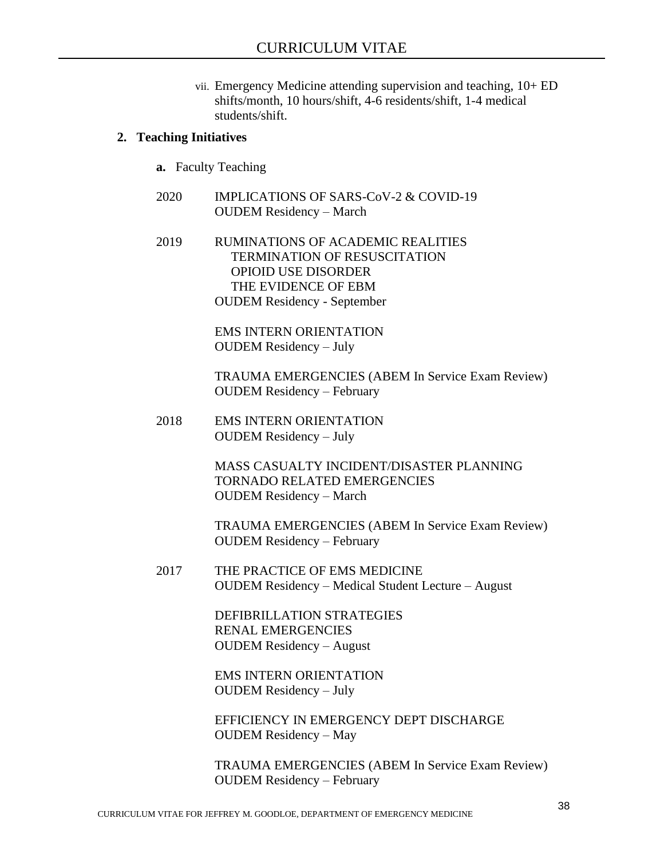vii. Emergency Medicine attending supervision and teaching, 10+ ED shifts/month, 10 hours/shift, 4-6 residents/shift, 1-4 medical students/shift.

## **2. Teaching Initiatives**

- **a.** Faculty Teaching
- 2020 IMPLICATIONS OF SARS-CoV-2 & COVID-19 OUDEM Residency – March
- 2019 RUMINATIONS OF ACADEMIC REALITIES TERMINATION OF RESUSCITATION OPIOID USE DISORDER THE EVIDENCE OF EBM OUDEM Residency - September

EMS INTERN ORIENTATION OUDEM Residency – July

TRAUMA EMERGENCIES (ABEM In Service Exam Review) OUDEM Residency – February

2018 EMS INTERN ORIENTATION OUDEM Residency – July

> MASS CASUALTY INCIDENT/DISASTER PLANNING TORNADO RELATED EMERGENCIES OUDEM Residency – March

TRAUMA EMERGENCIES (ABEM In Service Exam Review) OUDEM Residency – February

2017 THE PRACTICE OF EMS MEDICINE OUDEM Residency – Medical Student Lecture – August

> DEFIBRILLATION STRATEGIES RENAL EMERGENCIES OUDEM Residency – August

EMS INTERN ORIENTATION OUDEM Residency – July

EFFICIENCY IN EMERGENCY DEPT DISCHARGE OUDEM Residency – May

TRAUMA EMERGENCIES (ABEM In Service Exam Review) OUDEM Residency – February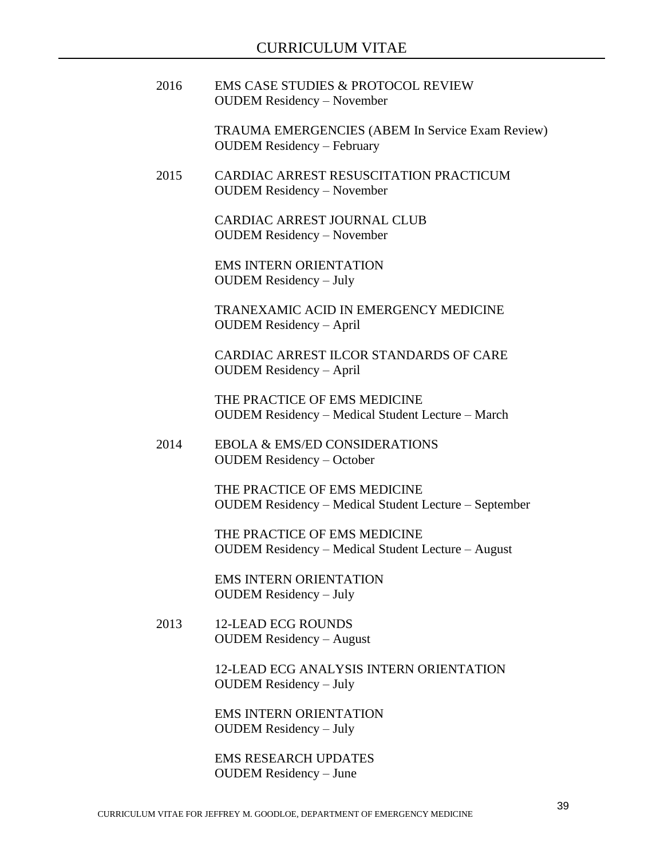2016 EMS CASE STUDIES & PROTOCOL REVIEW OUDEM Residency – November

> TRAUMA EMERGENCIES (ABEM In Service Exam Review) OUDEM Residency – February

2015 CARDIAC ARREST RESUSCITATION PRACTICUM OUDEM Residency – November

> CARDIAC ARREST JOURNAL CLUB OUDEM Residency – November

EMS INTERN ORIENTATION OUDEM Residency – July

TRANEXAMIC ACID IN EMERGENCY MEDICINE OUDEM Residency – April

CARDIAC ARREST ILCOR STANDARDS OF CARE OUDEM Residency – April

 THE PRACTICE OF EMS MEDICINE OUDEM Residency – Medical Student Lecture – March

2014 EBOLA & EMS/ED CONSIDERATIONS OUDEM Residency – October

> THE PRACTICE OF EMS MEDICINE OUDEM Residency – Medical Student Lecture – September

THE PRACTICE OF EMS MEDICINE OUDEM Residency – Medical Student Lecture – August

EMS INTERN ORIENTATION OUDEM Residency – July

2013 12-LEAD ECG ROUNDS OUDEM Residency – August

> 12-LEAD ECG ANALYSIS INTERN ORIENTATION OUDEM Residency – July

EMS INTERN ORIENTATION OUDEM Residency – July

EMS RESEARCH UPDATES OUDEM Residency – June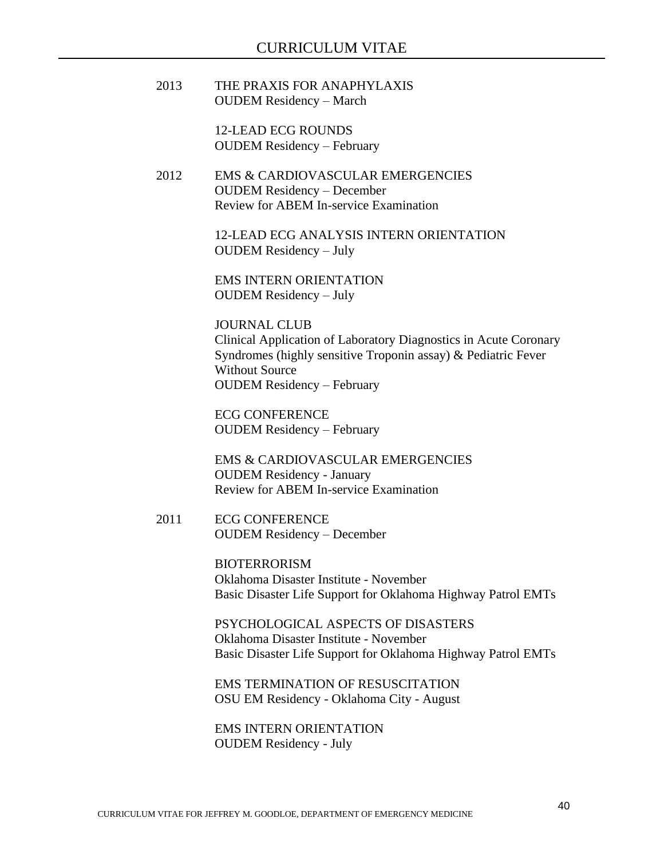2013 THE PRAXIS FOR ANAPHYLAXIS OUDEM Residency – March

> 12-LEAD ECG ROUNDS OUDEM Residency – February

2012 EMS & CARDIOVASCULAR EMERGENCIES OUDEM Residency – December Review for ABEM In-service Examination

> 12-LEAD ECG ANALYSIS INTERN ORIENTATION OUDEM Residency – July

EMS INTERN ORIENTATION OUDEM Residency – July

JOURNAL CLUB Clinical Application of Laboratory Diagnostics in Acute Coronary Syndromes (highly sensitive Troponin assay) & Pediatric Fever Without Source OUDEM Residency – February

ECG CONFERENCE OUDEM Residency – February

EMS & CARDIOVASCULAR EMERGENCIES OUDEM Residency - January Review for ABEM In-service Examination

2011 ECG CONFERENCE OUDEM Residency – December

> **BIOTERRORISM** Oklahoma Disaster Institute - November Basic Disaster Life Support for Oklahoma Highway Patrol EMTs

> PSYCHOLOGICAL ASPECTS OF DISASTERS Oklahoma Disaster Institute - November Basic Disaster Life Support for Oklahoma Highway Patrol EMTs

EMS TERMINATION OF RESUSCITATION OSU EM Residency - Oklahoma City - August

EMS INTERN ORIENTATION OUDEM Residency - July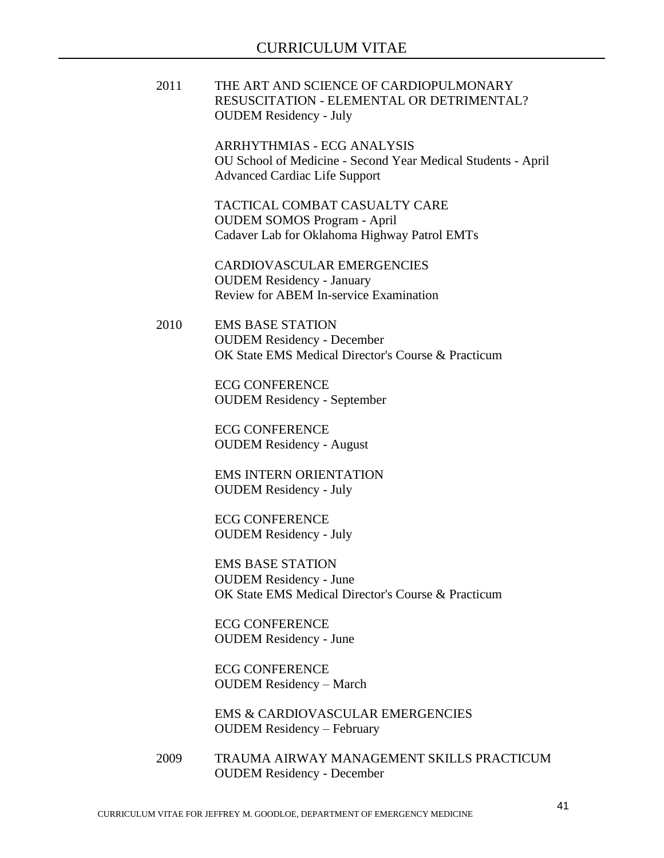2011 THE ART AND SCIENCE OF CARDIOPULMONARY RESUSCITATION - ELEMENTAL OR DETRIMENTAL? OUDEM Residency - July

> ARRHYTHMIAS - ECG ANALYSIS OU School of Medicine - Second Year Medical Students - April Advanced Cardiac Life Support

TACTICAL COMBAT CASUALTY CARE OUDEM SOMOS Program - April Cadaver Lab for Oklahoma Highway Patrol EMTs

CARDIOVASCULAR EMERGENCIES OUDEM Residency - January Review for ABEM In-service Examination

2010 EMS BASE STATION OUDEM Residency - December OK State EMS Medical Director's Course & Practicum

> ECG CONFERENCE OUDEM Residency - September

ECG CONFERENCE OUDEM Residency - August

EMS INTERN ORIENTATION OUDEM Residency - July

ECG CONFERENCE OUDEM Residency - July

EMS BASE STATION OUDEM Residency - June OK State EMS Medical Director's Course & Practicum

ECG CONFERENCE OUDEM Residency - June

ECG CONFERENCE OUDEM Residency – March

EMS & CARDIOVASCULAR EMERGENCIES OUDEM Residency – February

2009 TRAUMA AIRWAY MANAGEMENT SKILLS PRACTICUM OUDEM Residency - December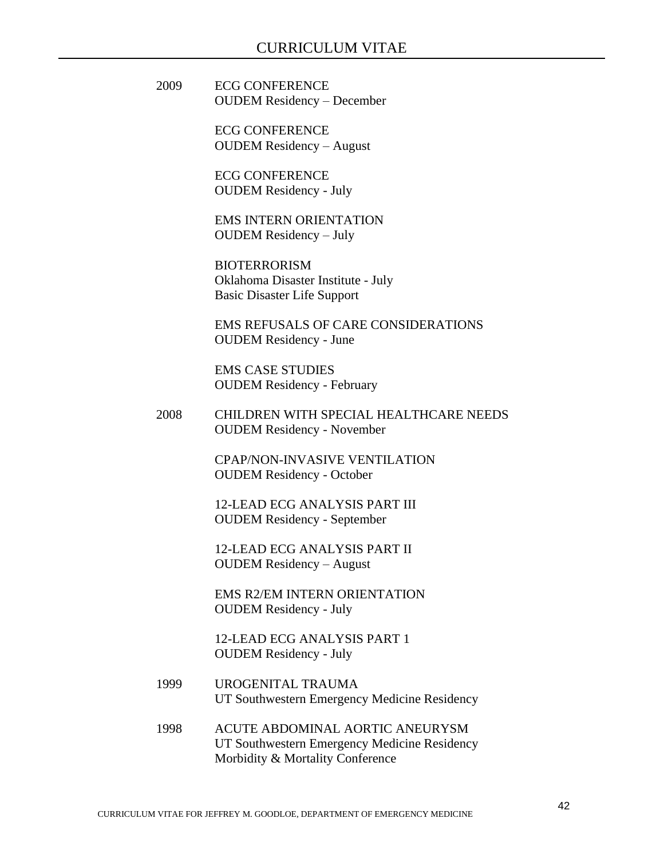2009 ECG CONFERENCE OUDEM Residency – December

> ECG CONFERENCE OUDEM Residency – August

ECG CONFERENCE OUDEM Residency - July

EMS INTERN ORIENTATION OUDEM Residency – July

BIOTERRORISM Oklahoma Disaster Institute - July Basic Disaster Life Support

EMS REFUSALS OF CARE CONSIDERATIONS OUDEM Residency - June

EMS CASE STUDIES OUDEM Residency - February

2008 CHILDREN WITH SPECIAL HEALTHCARE NEEDS OUDEM Residency - November

> CPAP/NON-INVASIVE VENTILATION OUDEM Residency - October

12-LEAD ECG ANALYSIS PART III OUDEM Residency - September

12-LEAD ECG ANALYSIS PART II OUDEM Residency – August

EMS R2/EM INTERN ORIENTATION OUDEM Residency - July

12-LEAD ECG ANALYSIS PART 1 OUDEM Residency - July

- 1999 UROGENITAL TRAUMA UT Southwestern Emergency Medicine Residency
- 1998 ACUTE ABDOMINAL AORTIC ANEURYSM UT Southwestern Emergency Medicine Residency Morbidity & Mortality Conference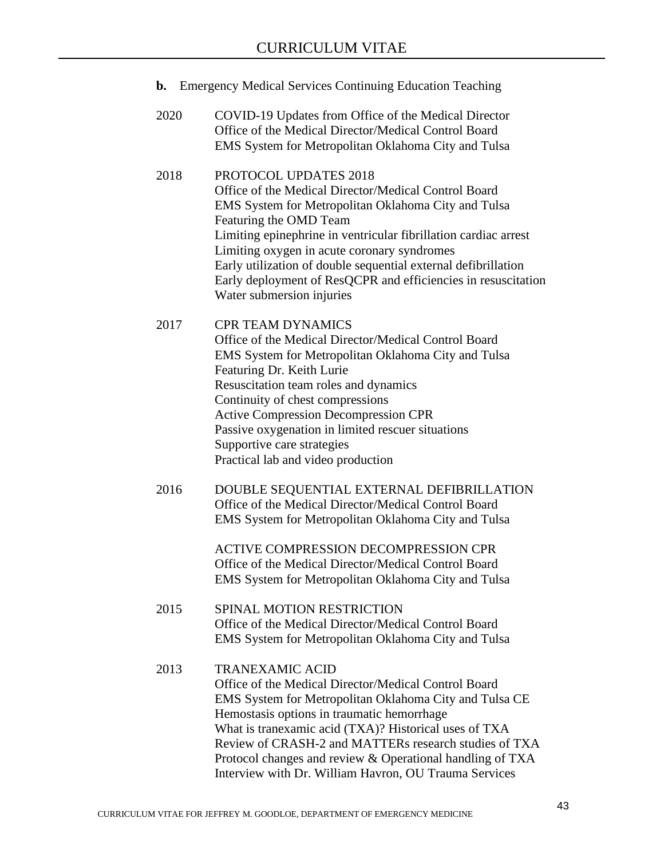- **b.** Emergency Medical Services Continuing Education Teaching
- 2020 COVID-19 Updates from Office of the Medical Director Office of the Medical Director/Medical Control Board EMS System for Metropolitan Oklahoma City and Tulsa
- 2018 PROTOCOL UPDATES 2018 Office of the Medical Director/Medical Control Board EMS System for Metropolitan Oklahoma City and Tulsa Featuring the OMD Team Limiting epinephrine in ventricular fibrillation cardiac arrest Limiting oxygen in acute coronary syndromes Early utilization of double sequential external defibrillation Early deployment of ResQCPR and efficiencies in resuscitation Water submersion injuries
- 2017 CPR TEAM DYNAMICS Office of the Medical Director/Medical Control Board EMS System for Metropolitan Oklahoma City and Tulsa Featuring Dr. Keith Lurie Resuscitation team roles and dynamics Continuity of chest compressions Active Compression Decompression CPR Passive oxygenation in limited rescuer situations Supportive care strategies Practical lab and video production
- 2016 DOUBLE SEQUENTIAL EXTERNAL DEFIBRILLATION Office of the Medical Director/Medical Control Board EMS System for Metropolitan Oklahoma City and Tulsa

ACTIVE COMPRESSION DECOMPRESSION CPR Office of the Medical Director/Medical Control Board EMS System for Metropolitan Oklahoma City and Tulsa

2015 SPINAL MOTION RESTRICTION Office of the Medical Director/Medical Control Board EMS System for Metropolitan Oklahoma City and Tulsa

2013 TRANEXAMIC ACID Office of the Medical Director/Medical Control Board EMS System for Metropolitan Oklahoma City and Tulsa CE Hemostasis options in traumatic hemorrhage What is tranexamic acid (TXA)? Historical uses of TXA Review of CRASH-2 and MATTERs research studies of TXA Protocol changes and review & Operational handling of TXA Interview with Dr. William Havron, OU Trauma Services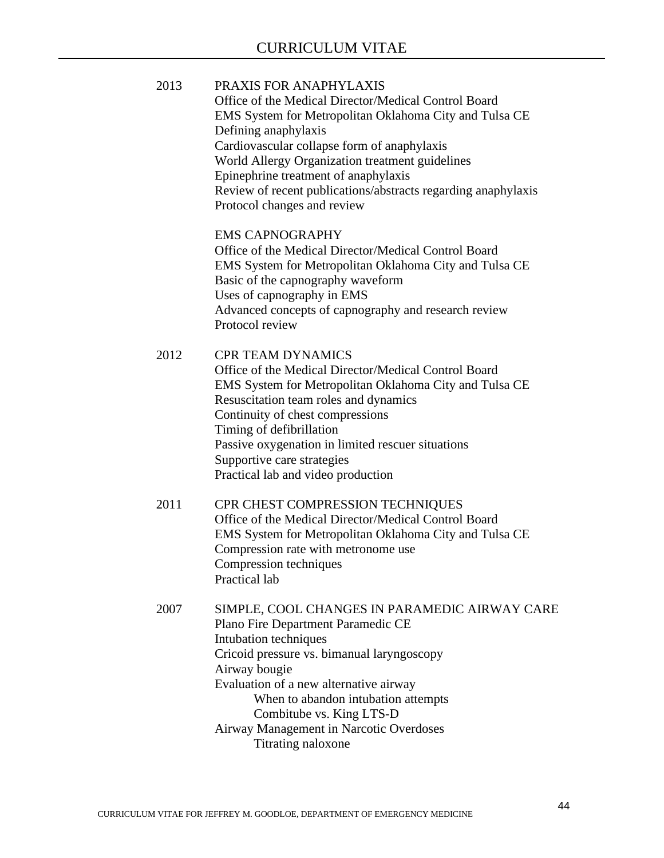| 2013 | PRAXIS FOR ANAPHYLAXIS<br>Office of the Medical Director/Medical Control Board<br>EMS System for Metropolitan Oklahoma City and Tulsa CE<br>Defining anaphylaxis<br>Cardiovascular collapse form of anaphylaxis<br>World Allergy Organization treatment guidelines<br>Epinephrine treatment of anaphylaxis<br>Review of recent publications/abstracts regarding anaphylaxis<br>Protocol changes and review |
|------|------------------------------------------------------------------------------------------------------------------------------------------------------------------------------------------------------------------------------------------------------------------------------------------------------------------------------------------------------------------------------------------------------------|
|      | <b>EMS CAPNOGRAPHY</b><br>Office of the Medical Director/Medical Control Board<br>EMS System for Metropolitan Oklahoma City and Tulsa CE<br>Basic of the capnography waveform<br>Uses of capnography in EMS<br>Advanced concepts of capnography and research review<br>Protocol review                                                                                                                     |
| 2012 | <b>CPR TEAM DYNAMICS</b><br>Office of the Medical Director/Medical Control Board<br>EMS System for Metropolitan Oklahoma City and Tulsa CE<br>Resuscitation team roles and dynamics<br>Continuity of chest compressions<br>Timing of defibrillation<br>Passive oxygenation in limited rescuer situations<br>Supportive care strategies<br>Practical lab and video production                               |
| 2011 | CPR CHEST COMPRESSION TECHNIQUES<br>Office of the Medical Director/Medical Control Board<br>EMS System for Metropolitan Oklahoma City and Tulsa CE<br>Compression rate with metronome use<br>Compression techniques<br>Practical lab                                                                                                                                                                       |
| 2007 | SIMPLE, COOL CHANGES IN PARAMEDIC AIRWAY CARE<br>Plano Fire Department Paramedic CE<br>Intubation techniques<br>Cricoid pressure vs. bimanual laryngoscopy<br>Airway bougie<br>Evaluation of a new alternative airway<br>When to abandon intubation attempts<br>Combitube vs. King LTS-D<br>Airway Management in Narcotic Overdoses<br>Titrating naloxone                                                  |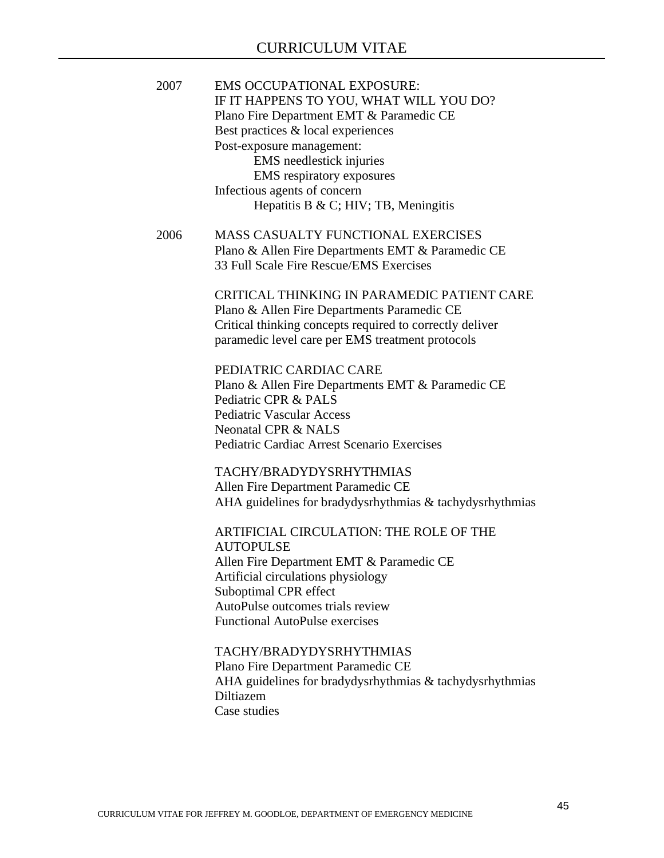| 2007 | <b>EMS OCCUPATIONAL EXPOSURE:</b><br>IF IT HAPPENS TO YOU, WHAT WILL YOU DO?<br>Plano Fire Department EMT & Paramedic CE<br>Best practices & local experiences<br>Post-exposure management:<br>EMS needlestick injuries<br><b>EMS</b> respiratory exposures<br>Infectious agents of concern<br>Hepatitis B & C; HIV; TB, Meningitis |
|------|-------------------------------------------------------------------------------------------------------------------------------------------------------------------------------------------------------------------------------------------------------------------------------------------------------------------------------------|
| 2006 | <b>MASS CASUALTY FUNCTIONAL EXERCISES</b><br>Plano & Allen Fire Departments EMT & Paramedic CE<br>33 Full Scale Fire Rescue/EMS Exercises                                                                                                                                                                                           |
|      | CRITICAL THINKING IN PARAMEDIC PATIENT CARE<br>Plano & Allen Fire Departments Paramedic CE<br>Critical thinking concepts required to correctly deliver<br>paramedic level care per EMS treatment protocols                                                                                                                          |
|      | PEDIATRIC CARDIAC CARE<br>Plano & Allen Fire Departments EMT & Paramedic CE<br>Pediatric CPR & PALS<br><b>Pediatric Vascular Access</b><br><b>Neonatal CPR &amp; NALS</b><br>Pediatric Cardiac Arrest Scenario Exercises                                                                                                            |
|      | TACHY/BRADYDYSRHYTHMIAS<br>Allen Fire Department Paramedic CE<br>AHA guidelines for bradydysrhythmias & tachydysrhythmias                                                                                                                                                                                                           |
|      | ARTIFICIAL CIRCULATION: THE ROLE OF THE<br><b>AUTOPULSE</b><br>Allen Fire Department EMT & Paramedic CE<br>Artificial circulations physiology<br>Suboptimal CPR effect<br>AutoPulse outcomes trials review<br><b>Functional AutoPulse exercises</b>                                                                                 |
|      | TACHY/BRADYDYSRHYTHMIAS<br>Plano Fire Department Paramedic CE<br>AHA guidelines for bradydysrhythmias & tachydysrhythmias<br>Diltiazem<br>Case studies                                                                                                                                                                              |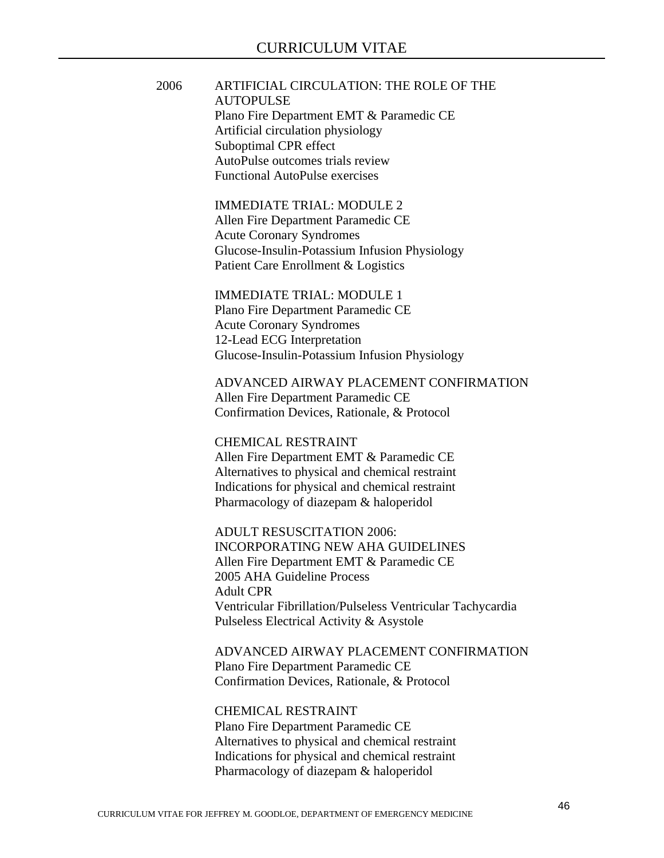2006 ARTIFICIAL CIRCULATION: THE ROLE OF THE AUTOPULSE Plano Fire Department EMT & Paramedic CE Artificial circulation physiology Suboptimal CPR effect AutoPulse outcomes trials review Functional AutoPulse exercises

> IMMEDIATE TRIAL: MODULE 2 Allen Fire Department Paramedic CE Acute Coronary Syndromes Glucose-Insulin-Potassium Infusion Physiology Patient Care Enrollment & Logistics

> IMMEDIATE TRIAL: MODULE 1 Plano Fire Department Paramedic CE Acute Coronary Syndromes 12-Lead ECG Interpretation Glucose-Insulin-Potassium Infusion Physiology

ADVANCED AIRWAY PLACEMENT CONFIRMATION Allen Fire Department Paramedic CE Confirmation Devices, Rationale, & Protocol

CHEMICAL RESTRAINT Allen Fire Department EMT & Paramedic CE Alternatives to physical and chemical restraint Indications for physical and chemical restraint Pharmacology of diazepam & haloperidol

ADULT RESUSCITATION 2006: INCORPORATING NEW AHA GUIDELINES Allen Fire Department EMT & Paramedic CE 2005 AHA Guideline Process Adult CPR Ventricular Fibrillation/Pulseless Ventricular Tachycardia Pulseless Electrical Activity & Asystole

ADVANCED AIRWAY PLACEMENT CONFIRMATION Plano Fire Department Paramedic CE Confirmation Devices, Rationale, & Protocol

CHEMICAL RESTRAINT Plano Fire Department Paramedic CE Alternatives to physical and chemical restraint Indications for physical and chemical restraint Pharmacology of diazepam & haloperidol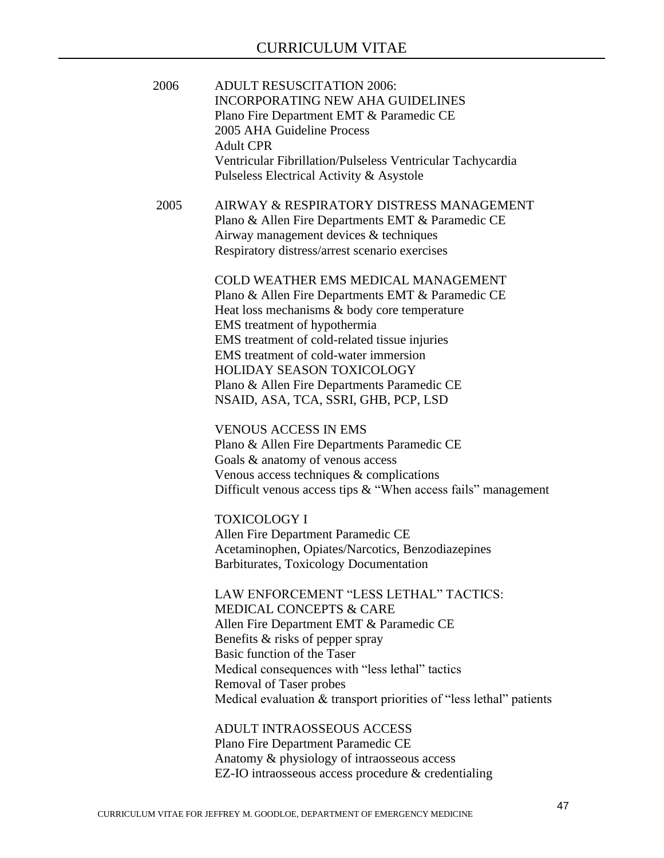| 2006 | <b>ADULT RESUSCITATION 2006:</b><br><b>INCORPORATING NEW AHA GUIDELINES</b><br>Plano Fire Department EMT & Paramedic CE<br>2005 AHA Guideline Process<br><b>Adult CPR</b><br>Ventricular Fibrillation/Pulseless Ventricular Tachycardia<br>Pulseless Electrical Activity & Asystole                                                                                                           |
|------|-----------------------------------------------------------------------------------------------------------------------------------------------------------------------------------------------------------------------------------------------------------------------------------------------------------------------------------------------------------------------------------------------|
| 2005 | AIRWAY & RESPIRATORY DISTRESS MANAGEMENT<br>Plano & Allen Fire Departments EMT & Paramedic CE<br>Airway management devices & techniques<br>Respiratory distress/arrest scenario exercises                                                                                                                                                                                                     |
|      | COLD WEATHER EMS MEDICAL MANAGEMENT<br>Plano & Allen Fire Departments EMT & Paramedic CE<br>Heat loss mechanisms & body core temperature<br>EMS treatment of hypothermia<br>EMS treatment of cold-related tissue injuries<br>EMS treatment of cold-water immersion<br><b>HOLIDAY SEASON TOXICOLOGY</b><br>Plano & Allen Fire Departments Paramedic CE<br>NSAID, ASA, TCA, SSRI, GHB, PCP, LSD |
|      | <b>VENOUS ACCESS IN EMS</b><br>Plano & Allen Fire Departments Paramedic CE<br>Goals & anatomy of venous access<br>Venous access techniques & complications<br>Difficult venous access tips $&$ "When access fails" management                                                                                                                                                                 |
|      | <b>TOXICOLOGY I</b><br>Allen Fire Department Paramedic CE<br>Acetaminophen, Opiates/Narcotics, Benzodiazepines<br><b>Barbiturates, Toxicology Documentation</b>                                                                                                                                                                                                                               |
|      | LAW ENFORCEMENT "LESS LETHAL" TACTICS:<br><b>MEDICAL CONCEPTS &amp; CARE</b><br>Allen Fire Department EMT & Paramedic CE<br>Benefits & risks of pepper spray<br>Basic function of the Taser<br>Medical consequences with "less lethal" tactics<br><b>Removal of Taser probes</b><br>Medical evaluation & transport priorities of "less lethal" patients                                       |
|      | ADULT INTRAOSSEOUS ACCESS                                                                                                                                                                                                                                                                                                                                                                     |

Plano Fire Department Paramedic CE Anatomy & physiology of intraosseous access EZ-IO intraosseous access procedure & credentialing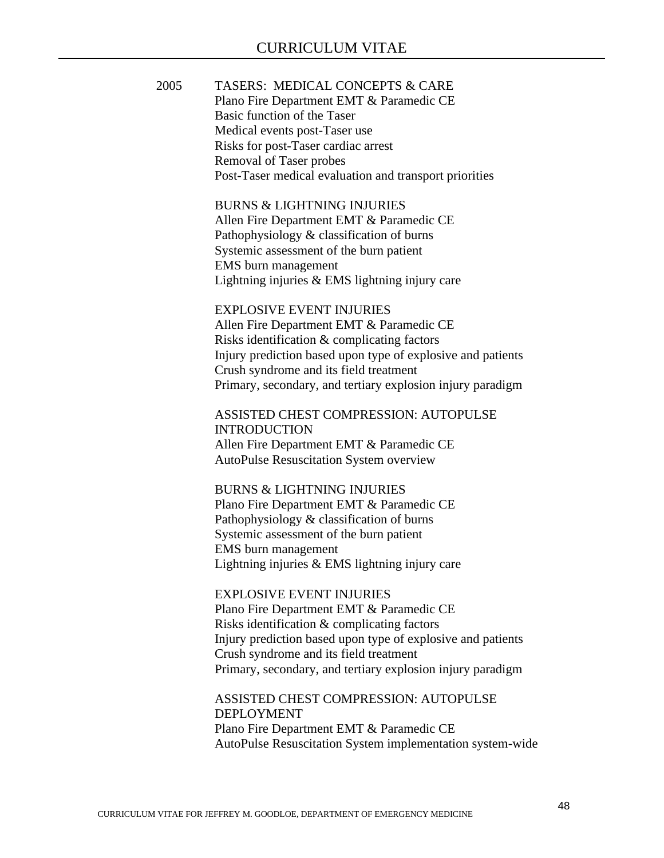2005 TASERS: MEDICAL CONCEPTS & CARE Plano Fire Department EMT & Paramedic CE Basic function of the Taser Medical events post-Taser use Risks for post-Taser cardiac arrest Removal of Taser probes Post-Taser medical evaluation and transport priorities

#### BURNS & LIGHTNING INJURIES

Allen Fire Department EMT & Paramedic CE Pathophysiology & classification of burns Systemic assessment of the burn patient EMS burn management Lightning injuries & EMS lightning injury care

EXPLOSIVE EVENT INJURIES

Allen Fire Department EMT & Paramedic CE Risks identification & complicating factors Injury prediction based upon type of explosive and patients Crush syndrome and its field treatment Primary, secondary, and tertiary explosion injury paradigm

ASSISTED CHEST COMPRESSION: AUTOPULSE INTRODUCTION

Allen Fire Department EMT & Paramedic CE AutoPulse Resuscitation System overview

#### BURNS & LIGHTNING INJURIES

Plano Fire Department EMT & Paramedic CE Pathophysiology & classification of burns Systemic assessment of the burn patient EMS burn management Lightning injuries & EMS lightning injury care

EXPLOSIVE EVENT INJURIES

Plano Fire Department EMT & Paramedic CE Risks identification & complicating factors Injury prediction based upon type of explosive and patients Crush syndrome and its field treatment Primary, secondary, and tertiary explosion injury paradigm

ASSISTED CHEST COMPRESSION: AUTOPULSE DEPLOYMENT Plano Fire Department EMT & Paramedic CE AutoPulse Resuscitation System implementation system-wide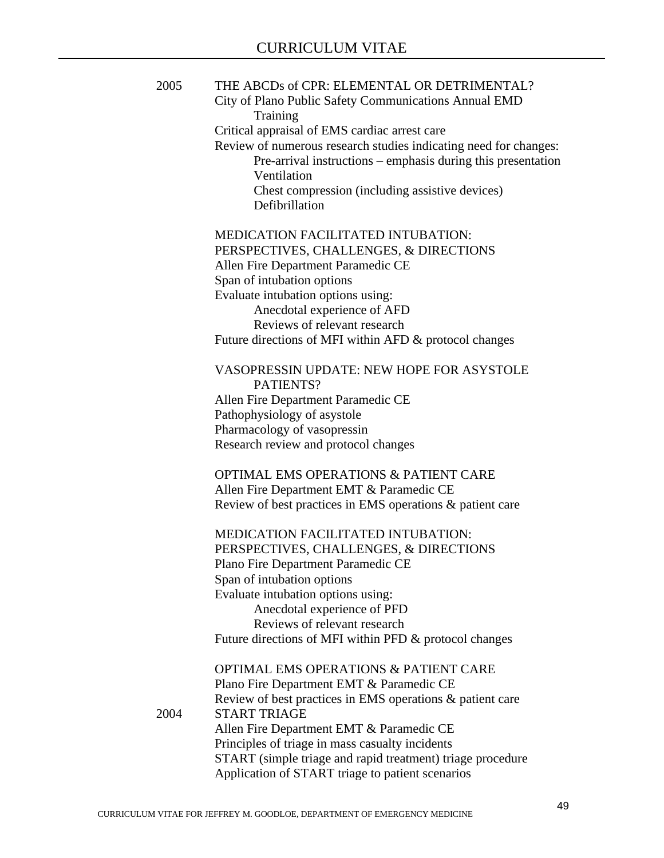| 2005 | THE ABCDs of CPR: ELEMENTAL OR DETRIMENTAL?<br>City of Plano Public Safety Communications Annual EMD |
|------|------------------------------------------------------------------------------------------------------|
|      | Training                                                                                             |
|      | Critical appraisal of EMS cardiac arrest care                                                        |
|      | Review of numerous research studies indicating need for changes:                                     |
|      | Pre-arrival instructions – emphasis during this presentation                                         |
|      | Ventilation                                                                                          |
|      | Chest compression (including assistive devices)<br>Defibrillation                                    |
|      |                                                                                                      |
|      | <b>MEDICATION FACILITATED INTUBATION:</b>                                                            |
|      | PERSPECTIVES, CHALLENGES, & DIRECTIONS                                                               |
|      | Allen Fire Department Paramedic CE                                                                   |
|      | Span of intubation options                                                                           |
|      | Evaluate intubation options using:                                                                   |
|      | Anecdotal experience of AFD                                                                          |
|      | Reviews of relevant research                                                                         |
|      | Future directions of MFI within AFD & protocol changes                                               |
|      | <b>VASOPRESSIN UPDATE: NEW HOPE FOR ASYSTOLE</b><br>PATIENTS?                                        |
|      | Allen Fire Department Paramedic CE                                                                   |
|      | Pathophysiology of asystole                                                                          |
|      | Pharmacology of vasopressin                                                                          |
|      | Research review and protocol changes                                                                 |
|      | OPTIMAL EMS OPERATIONS & PATIENT CARE                                                                |
|      | Allen Fire Department EMT & Paramedic CE                                                             |
|      | Review of best practices in EMS operations & patient care                                            |
|      | <b>MEDICATION FACILITATED INTUBATION:</b>                                                            |
|      | PERSPECTIVES, CHALLENGES, & DIRECTIONS                                                               |
|      | Plano Fire Department Paramedic CE                                                                   |
|      | Span of intubation options                                                                           |
|      | Evaluate intubation options using:                                                                   |
|      | Anecdotal experience of PFD                                                                          |
|      | Reviews of relevant research                                                                         |
|      | Future directions of MFI within PFD & protocol changes                                               |
|      | <b>OPTIMAL EMS OPERATIONS &amp; PATIENT CARE</b>                                                     |
|      | Plano Fire Department EMT & Paramedic CE                                                             |
|      | Review of best practices in EMS operations & patient care                                            |
| 2004 | <b>START TRIAGE</b>                                                                                  |
|      | Allen Fire Department EMT & Paramedic CE                                                             |
|      | Principles of triage in mass casualty incidents                                                      |
|      | START (simple triage and rapid treatment) triage procedure                                           |
|      | Application of START triage to patient scenarios                                                     |
|      |                                                                                                      |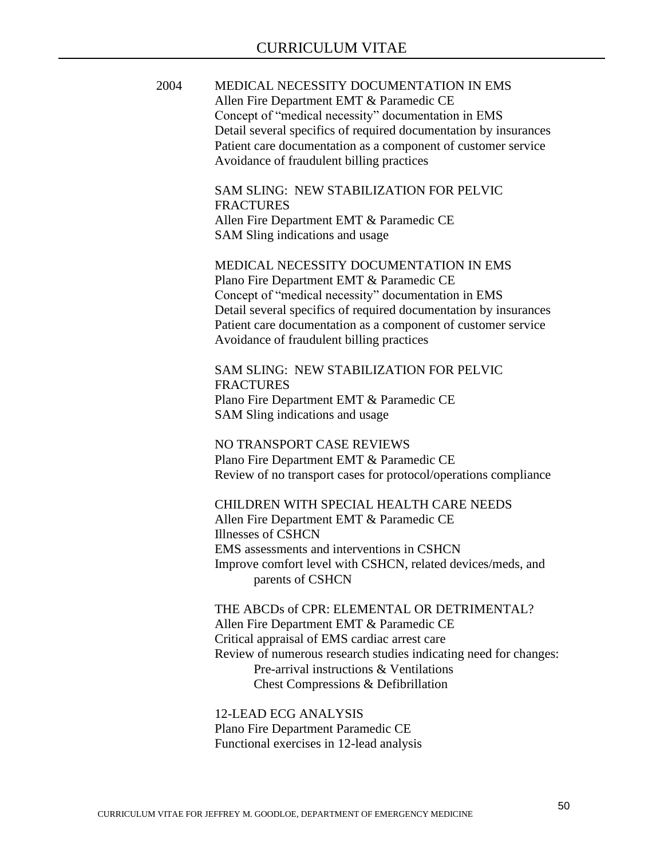2004 MEDICAL NECESSITY DOCUMENTATION IN EMS Allen Fire Department EMT & Paramedic CE Concept of "medical necessity" documentation in EMS Detail several specifics of required documentation by insurances Patient care documentation as a component of customer service Avoidance of fraudulent billing practices

> SAM SLING: NEW STABILIZATION FOR PELVIC **FRACTURES** Allen Fire Department EMT & Paramedic CE

SAM Sling indications and usage

MEDICAL NECESSITY DOCUMENTATION IN EMS Plano Fire Department EMT & Paramedic CE Concept of "medical necessity" documentation in EMS Detail several specifics of required documentation by insurances Patient care documentation as a component of customer service Avoidance of fraudulent billing practices

SAM SLING: NEW STABILIZATION FOR PELVIC **FRACTURES** Plano Fire Department EMT & Paramedic CE SAM Sling indications and usage

NO TRANSPORT CASE REVIEWS Plano Fire Department EMT & Paramedic CE Review of no transport cases for protocol/operations compliance

CHILDREN WITH SPECIAL HEALTH CARE NEEDS Allen Fire Department EMT & Paramedic CE Illnesses of CSHCN EMS assessments and interventions in CSHCN Improve comfort level with CSHCN, related devices/meds, and parents of CSHCN

THE ABCDs of CPR: ELEMENTAL OR DETRIMENTAL? Allen Fire Department EMT & Paramedic CE Critical appraisal of EMS cardiac arrest care Review of numerous research studies indicating need for changes: Pre-arrival instructions & Ventilations Chest Compressions & Defibrillation

 12-LEAD ECG ANALYSIS Plano Fire Department Paramedic CE Functional exercises in 12-lead analysis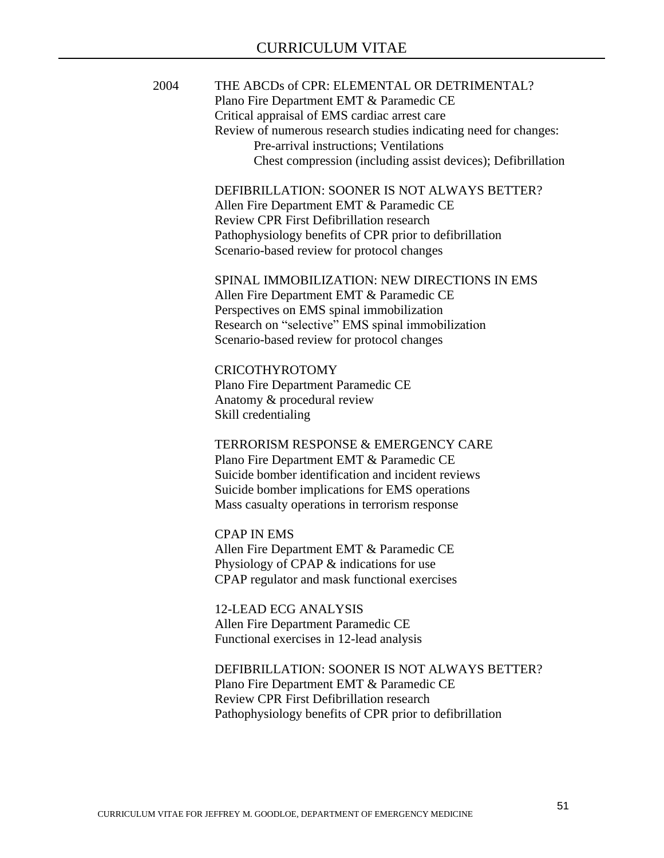| 2004 | THE ABCDs of CPR: ELEMENTAL OR DETRIMENTAL?<br>Plano Fire Department EMT & Paramedic CE<br>Critical appraisal of EMS cardiac arrest care<br>Review of numerous research studies indicating need for changes:<br>Pre-arrival instructions; Ventilations<br>Chest compression (including assist devices); Defibrillation |
|------|------------------------------------------------------------------------------------------------------------------------------------------------------------------------------------------------------------------------------------------------------------------------------------------------------------------------|
|      | DEFIBRILLATION: SOONER IS NOT ALWAYS BETTER?<br>Allen Fire Department EMT & Paramedic CE<br><b>Review CPR First Defibrillation research</b><br>Pathophysiology benefits of CPR prior to defibrillation<br>Scenario-based review for protocol changes                                                                   |
|      | SPINAL IMMOBILIZATION: NEW DIRECTIONS IN EMS<br>Allen Fire Department EMT & Paramedic CE<br>Perspectives on EMS spinal immobilization<br>Research on "selective" EMS spinal immobilization<br>Scenario-based review for protocol changes                                                                               |
|      | <b>CRICOTHYROTOMY</b><br>Plano Fire Department Paramedic CE<br>Anatomy & procedural review<br>Skill credentialing                                                                                                                                                                                                      |
|      | TERRORISM RESPONSE & EMERGENCY CARE<br>Plano Fire Department EMT & Paramedic CE<br>Suicide bomber identification and incident reviews<br>Suicide bomber implications for EMS operations<br>Mass casualty operations in terrorism response                                                                              |
|      | <b>CPAP IN EMS</b><br>Allen Fire Department EMT & Paramedic CE<br>Physiology of CPAP $\&$ indications for use<br>CPAP regulator and mask functional exercises                                                                                                                                                          |
|      | <b>12-LEAD ECG ANALYSIS</b><br>Allen Fire Department Paramedic CE<br>Functional exercises in 12-lead analysis                                                                                                                                                                                                          |
|      | DEFIBRILLATION: SOONER IS NOT ALWAYS BETTER?<br>Plano Fire Department EMT & Paramedic CE<br><b>Review CPR First Defibrillation research</b><br>Pathophysiology benefits of CPR prior to defibrillation                                                                                                                 |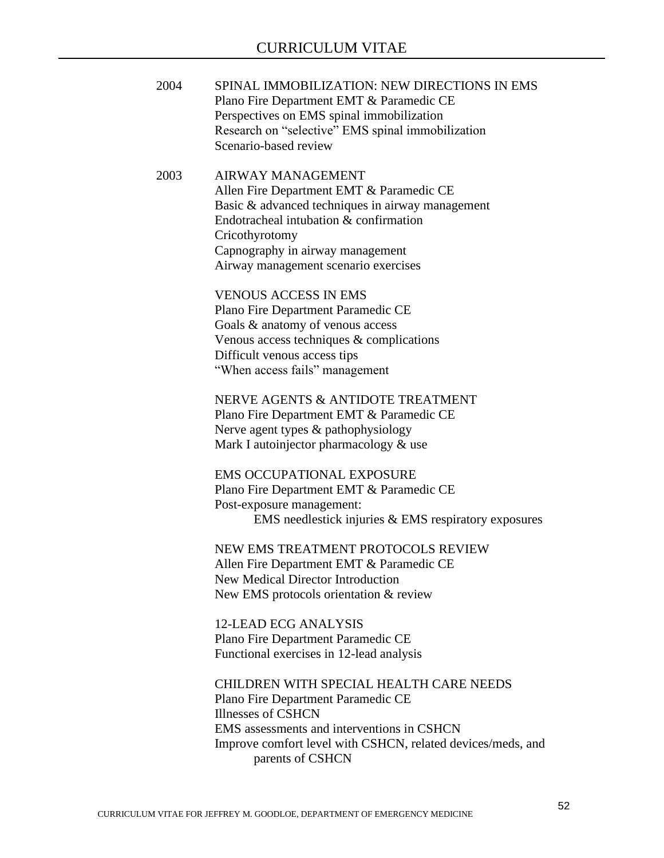| 2004 | SPINAL IMMOBILIZATION: NEW DIRECTIONS IN EMS<br>Plano Fire Department EMT & Paramedic CE<br>Perspectives on EMS spinal immobilization<br>Research on "selective" EMS spinal immobilization<br>Scenario-based review                                              |
|------|------------------------------------------------------------------------------------------------------------------------------------------------------------------------------------------------------------------------------------------------------------------|
| 2003 | <b>AIRWAY MANAGEMENT</b><br>Allen Fire Department EMT & Paramedic CE<br>Basic & advanced techniques in airway management<br>Endotracheal intubation & confirmation<br>Cricothyrotomy<br>Capnography in airway management<br>Airway management scenario exercises |
|      | <b>VENOUS ACCESS IN EMS</b><br>Plano Fire Department Paramedic CE<br>Goals & anatomy of venous access<br>Venous access techniques & complications<br>Difficult venous access tips<br>"When access fails" management                                              |
|      | NERVE AGENTS & ANTIDOTE TREATMENT<br>Plano Fire Department EMT & Paramedic CE<br>Nerve agent types & pathophysiology<br>Mark I autoinjector pharmacology & use                                                                                                   |
|      | <b>EMS OCCUPATIONAL EXPOSURE</b><br>Plano Fire Department EMT & Paramedic CE<br>Post-exposure management:<br>EMS needlestick injuries & EMS respiratory exposures                                                                                                |
|      | NEW EMS TREATMENT PROTOCOLS REVIEW<br>Allen Fire Department EMT & Paramedic CE<br>New Medical Director Introduction<br>New EMS protocols orientation & review                                                                                                    |
|      | <b>12-LEAD ECG ANALYSIS</b><br>Plano Fire Department Paramedic CE<br>Functional exercises in 12-lead analysis                                                                                                                                                    |
|      | CHILDREN WITH SPECIAL HEALTH CARE NEEDS<br>Plano Fire Department Paramedic CE<br><b>Illnesses of CSHCN</b><br>EMS assessments and interventions in CSHCN<br>Improve comfort level with CSHCN, related devices/meds, and                                          |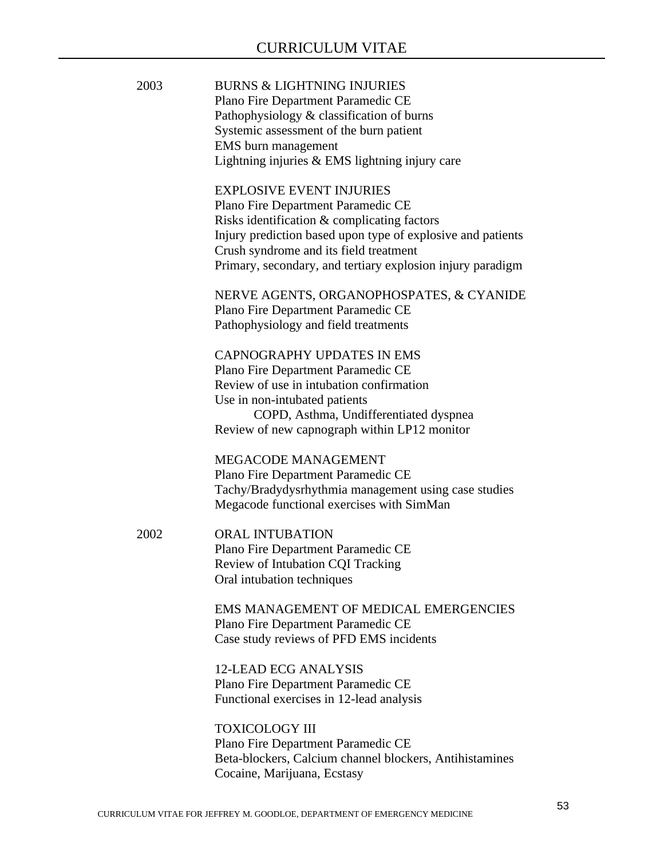| 2003 | <b>BURNS &amp; LIGHTNING INJURIES</b><br>Plano Fire Department Paramedic CE<br>Pathophysiology & classification of burns<br>Systemic assessment of the burn patient<br>EMS burn management<br>Lightning injuries & EMS lightning injury care                                                |
|------|---------------------------------------------------------------------------------------------------------------------------------------------------------------------------------------------------------------------------------------------------------------------------------------------|
|      | <b>EXPLOSIVE EVENT INJURIES</b><br>Plano Fire Department Paramedic CE<br>Risks identification & complicating factors<br>Injury prediction based upon type of explosive and patients<br>Crush syndrome and its field treatment<br>Primary, secondary, and tertiary explosion injury paradigm |
|      | NERVE AGENTS, ORGANOPHOSPATES, & CYANIDE<br>Plano Fire Department Paramedic CE<br>Pathophysiology and field treatments                                                                                                                                                                      |
|      | <b>CAPNOGRAPHY UPDATES IN EMS</b><br>Plano Fire Department Paramedic CE<br>Review of use in intubation confirmation<br>Use in non-intubated patients<br>COPD, Asthma, Undifferentiated dyspnea<br>Review of new capnograph within LP12 monitor                                              |
|      | MEGACODE MANAGEMENT<br>Plano Fire Department Paramedic CE<br>Tachy/Bradydysrhythmia management using case studies<br>Megacode functional exercises with SimMan                                                                                                                              |
| 2002 | <b>ORAL INTUBATION</b><br>Plano Fire Department Paramedic CE<br>Review of Intubation CQI Tracking<br>Oral intubation techniques                                                                                                                                                             |
|      | EMS MANAGEMENT OF MEDICAL EMERGENCIES<br>Plano Fire Department Paramedic CE<br>Case study reviews of PFD EMS incidents                                                                                                                                                                      |
|      | <b>12-LEAD ECG ANALYSIS</b><br>Plano Fire Department Paramedic CE<br>Functional exercises in 12-lead analysis                                                                                                                                                                               |
|      | <b>TOXICOLOGY III</b><br>Plano Fire Department Paramedic CE<br>Beta-blockers, Calcium channel blockers, Antihistamines<br>Cocaine, Marijuana, Ecstasy                                                                                                                                       |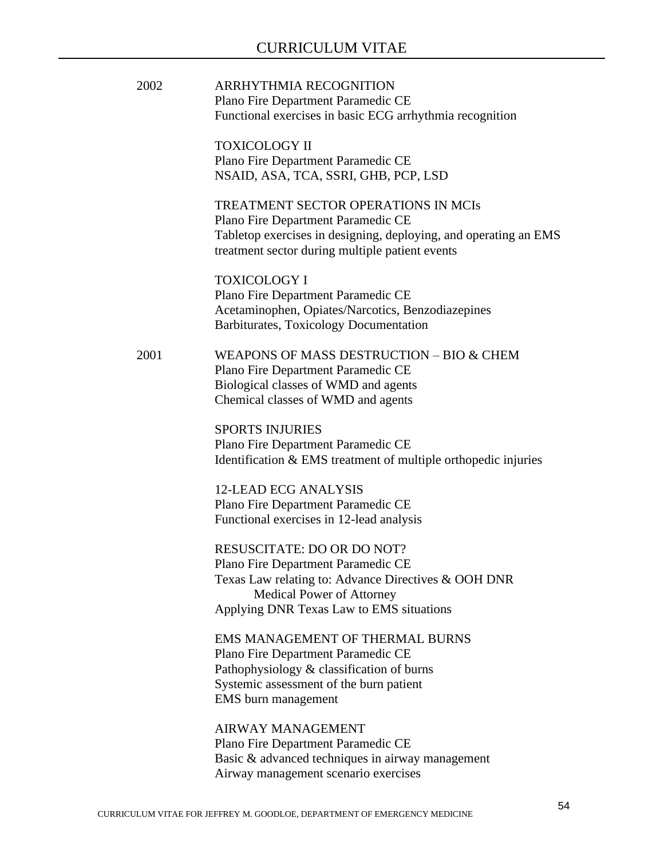| 2002 | ARRHYTHMIA RECOGNITION<br>Plano Fire Department Paramedic CE<br>Functional exercises in basic ECG arrhythmia recognition                                                                                |
|------|---------------------------------------------------------------------------------------------------------------------------------------------------------------------------------------------------------|
|      | <b>TOXICOLOGY II</b><br>Plano Fire Department Paramedic CE<br>NSAID, ASA, TCA, SSRI, GHB, PCP, LSD                                                                                                      |
|      | <b>TREATMENT SECTOR OPERATIONS IN MCIS</b><br>Plano Fire Department Paramedic CE<br>Tabletop exercises in designing, deploying, and operating an EMS<br>treatment sector during multiple patient events |
|      | <b>TOXICOLOGY I</b><br>Plano Fire Department Paramedic CE<br>Acetaminophen, Opiates/Narcotics, Benzodiazepines<br>Barbiturates, Toxicology Documentation                                                |
| 2001 | WEAPONS OF MASS DESTRUCTION - BIO & CHEM<br>Plano Fire Department Paramedic CE<br>Biological classes of WMD and agents<br>Chemical classes of WMD and agents                                            |
|      | <b>SPORTS INJURIES</b><br>Plano Fire Department Paramedic CE<br>Identification & EMS treatment of multiple orthopedic injuries                                                                          |
|      | <b>12-LEAD ECG ANALYSIS</b><br>Plano Fire Department Paramedic CE<br>Functional exercises in 12-lead analysis                                                                                           |
|      | RESUSCITATE: DO OR DO NOT?<br>Plano Fire Department Paramedic CE<br>Texas Law relating to: Advance Directives & OOH DNR<br><b>Medical Power of Attorney</b><br>Applying DNR Texas Law to EMS situations |
|      | EMS MANAGEMENT OF THERMAL BURNS<br>Plano Fire Department Paramedic CE<br>Pathophysiology & classification of burns<br>Systemic assessment of the burn patient<br>EMS burn management                    |
|      | <b>AIRWAY MANAGEMENT</b><br>Plano Fire Department Paramedic CE<br>Basic & advanced techniques in airway management<br>Airway management scenario exercises                                              |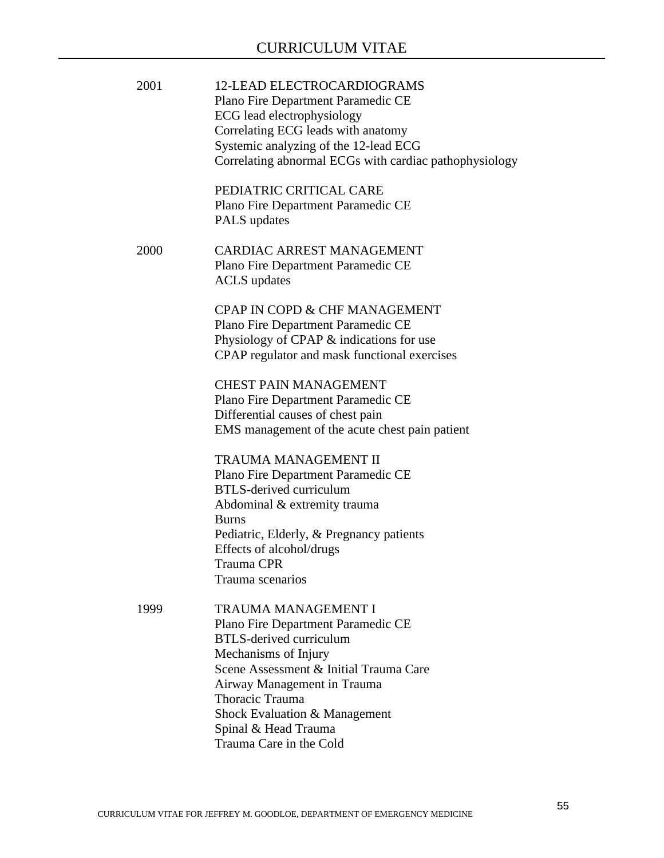| 2001 | <b>12-LEAD ELECTROCARDIOGRAMS</b><br>Plano Fire Department Paramedic CE<br>ECG lead electrophysiology<br>Correlating ECG leads with anatomy<br>Systemic analyzing of the 12-lead ECG<br>Correlating abnormal ECGs with cardiac pathophysiology                                                             |
|------|------------------------------------------------------------------------------------------------------------------------------------------------------------------------------------------------------------------------------------------------------------------------------------------------------------|
|      | PEDIATRIC CRITICAL CARE<br>Plano Fire Department Paramedic CE<br>PALS updates                                                                                                                                                                                                                              |
| 2000 | <b>CARDIAC ARREST MANAGEMENT</b><br>Plano Fire Department Paramedic CE<br><b>ACLS</b> updates                                                                                                                                                                                                              |
|      | CPAP IN COPD & CHF MANAGEMENT<br>Plano Fire Department Paramedic CE<br>Physiology of CPAP & indications for use<br>CPAP regulator and mask functional exercises                                                                                                                                            |
|      | <b>CHEST PAIN MANAGEMENT</b><br>Plano Fire Department Paramedic CE<br>Differential causes of chest pain<br>EMS management of the acute chest pain patient                                                                                                                                                  |
|      | TRAUMA MANAGEMENT II<br>Plano Fire Department Paramedic CE<br><b>BTLS-derived curriculum</b><br>Abdominal & extremity trauma<br><b>Burns</b><br>Pediatric, Elderly, & Pregnancy patients<br>Effects of alcohol/drugs<br><b>Trauma CPR</b><br>Trauma scenarios                                              |
| 1999 | <b>TRAUMA MANAGEMENT I</b><br>Plano Fire Department Paramedic CE<br><b>BTLS-derived curriculum</b><br>Mechanisms of Injury<br>Scene Assessment & Initial Trauma Care<br>Airway Management in Trauma<br>Thoracic Trauma<br>Shock Evaluation & Management<br>Spinal & Head Trauma<br>Trauma Care in the Cold |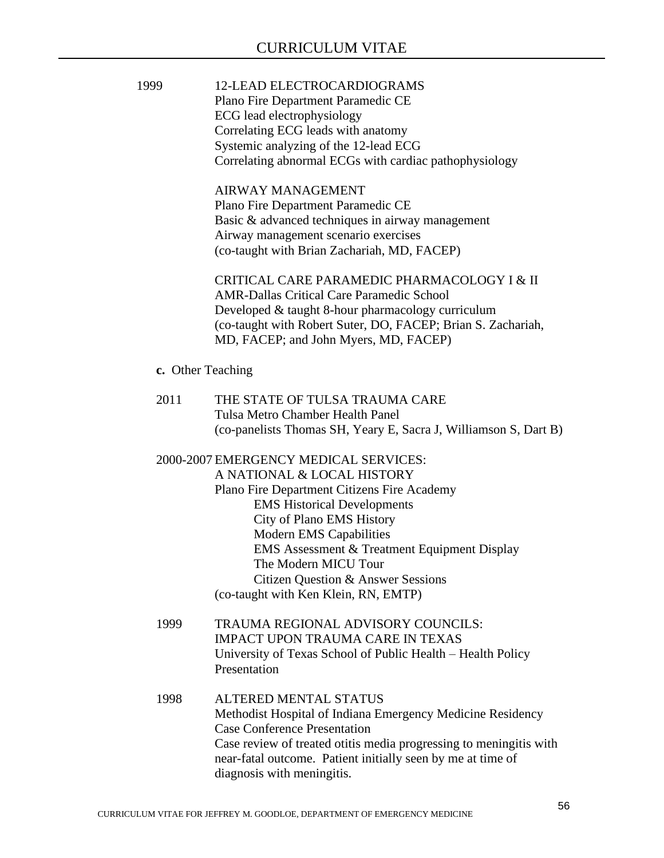| 1999              | 12-LEAD ELECTROCARDIOGRAMS<br>Plano Fire Department Paramedic CE<br>ECG lead electrophysiology<br>Correlating ECG leads with anatomy<br>Systemic analyzing of the 12-lead ECG<br>Correlating abnormal ECGs with cardiac pathophysiology                                                                                                                                |
|-------------------|------------------------------------------------------------------------------------------------------------------------------------------------------------------------------------------------------------------------------------------------------------------------------------------------------------------------------------------------------------------------|
|                   | <b>AIRWAY MANAGEMENT</b><br>Plano Fire Department Paramedic CE<br>Basic & advanced techniques in airway management<br>Airway management scenario exercises<br>(co-taught with Brian Zachariah, MD, FACEP)                                                                                                                                                              |
|                   | CRITICAL CARE PARAMEDIC PHARMACOLOGY I & II<br><b>AMR-Dallas Critical Care Paramedic School</b><br>Developed & taught 8-hour pharmacology curriculum<br>(co-taught with Robert Suter, DO, FACEP; Brian S. Zachariah,<br>MD, FACEP; and John Myers, MD, FACEP)                                                                                                          |
| c. Other Teaching |                                                                                                                                                                                                                                                                                                                                                                        |
| 2011              | THE STATE OF TULSA TRAUMA CARE<br>Tulsa Metro Chamber Health Panel<br>(co-panelists Thomas SH, Yeary E, Sacra J, Williamson S, Dart B)                                                                                                                                                                                                                                 |
|                   | 2000-2007 EMERGENCY MEDICAL SERVICES:<br>A NATIONAL & LOCAL HISTORY<br>Plano Fire Department Citizens Fire Academy<br><b>EMS</b> Historical Developments<br>City of Plano EMS History<br>Modern EMS Capabilities<br>EMS Assessment & Treatment Equipment Display<br>The Modern MICU Tour<br>Citizen Question & Answer Sessions<br>(co-taught with Ken Klein, RN, EMTP) |
| 1999              | TRAUMA REGIONAL ADVISORY COUNCILS:<br><b>IMPACT UPON TRAUMA CARE IN TEXAS</b><br>University of Texas School of Public Health – Health Policy<br>Presentation                                                                                                                                                                                                           |
| 1998              | <b>ALTERED MENTAL STATUS</b><br>Methodist Hospital of Indiana Emergency Medicine Residency<br><b>Case Conference Presentation</b><br>Case review of treated otitis media progressing to meningitis with<br>near-fatal outcome. Patient initially seen by me at time of<br>diagnosis with meningitis.                                                                   |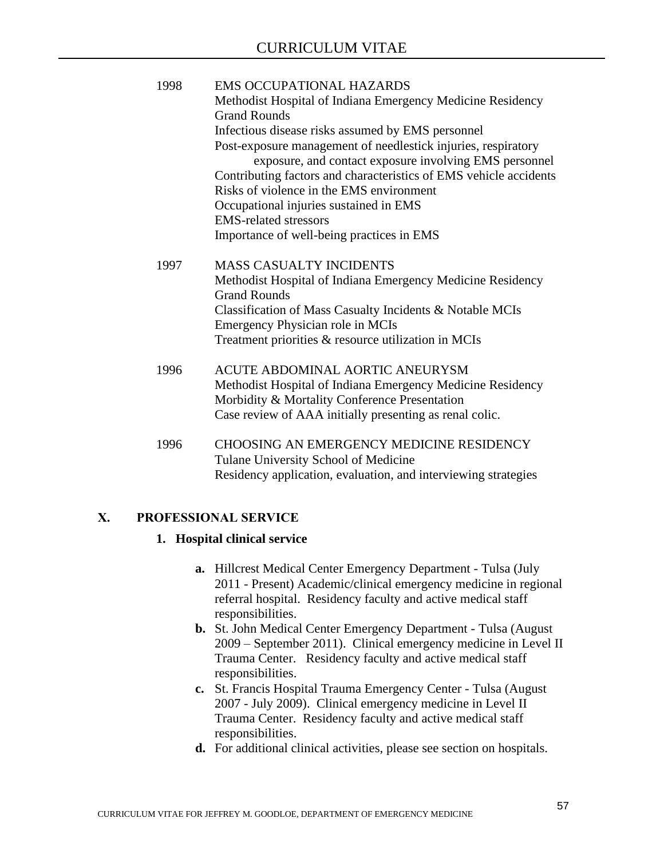| 1998 | <b>EMS OCCUPATIONAL HAZARDS</b>                                   |
|------|-------------------------------------------------------------------|
|      | Methodist Hospital of Indiana Emergency Medicine Residency        |
|      | <b>Grand Rounds</b>                                               |
|      | Infectious disease risks assumed by EMS personnel                 |
|      | Post-exposure management of needlestick injuries, respiratory     |
|      | exposure, and contact exposure involving EMS personnel            |
|      | Contributing factors and characteristics of EMS vehicle accidents |
|      | Risks of violence in the EMS environment                          |
|      | Occupational injuries sustained in EMS                            |
|      | <b>EMS-related stressors</b>                                      |
|      | Importance of well-being practices in EMS                         |
| 1997 | <b>MASS CASUALTY INCIDENTS</b>                                    |
|      | Methodist Hospital of Indiana Emergency Medicine Residency        |
|      | <b>Grand Rounds</b>                                               |
|      | Classification of Mass Casualty Incidents & Notable MCIs          |
|      | Emergency Physician role in MCIs                                  |
|      | Treatment priorities & resource utilization in MCIs               |
| 1996 | ACUTE ABDOMINAL AORTIC ANEURYSM                                   |
|      | Methodist Hospital of Indiana Emergency Medicine Residency        |
|      | Morbidity & Mortality Conference Presentation                     |
|      | Case review of AAA initially presenting as renal colic.           |
| 1996 | <b>CHOOSING AN EMERGENCY MEDICINE RESIDENCY</b>                   |
|      | Tulane University School of Medicine                              |
|      | Residency application, evaluation, and interviewing strategies    |

# **X. PROFESSIONAL SERVICE**

#### **1. Hospital clinical service**

- **a.** Hillcrest Medical Center Emergency Department Tulsa (July 2011 - Present) Academic/clinical emergency medicine in regional referral hospital. Residency faculty and active medical staff responsibilities.
- **b.** St. John Medical Center Emergency Department Tulsa (August 2009 – September 2011). Clinical emergency medicine in Level II Trauma Center. Residency faculty and active medical staff responsibilities.
- **c.** St. Francis Hospital Trauma Emergency Center Tulsa (August 2007 - July 2009). Clinical emergency medicine in Level II Trauma Center. Residency faculty and active medical staff responsibilities.
- **d.** For additional clinical activities, please see section on hospitals.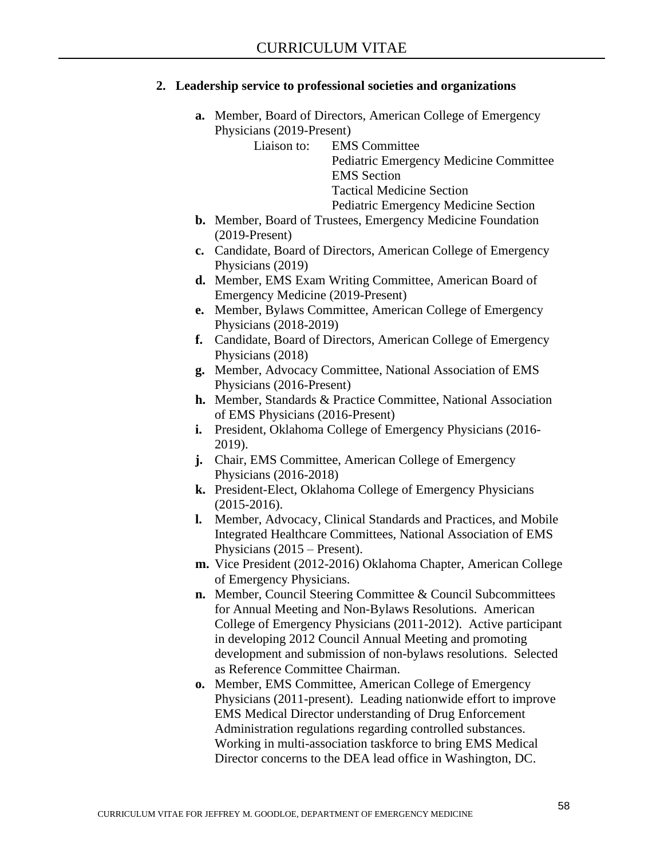#### **2. Leadership service to professional societies and organizations**

**a.** Member, Board of Directors, American College of Emergency Physicians (2019-Present)

> Liaison to: EMS Committee Pediatric Emergency Medicine Committee EMS Section Tactical Medicine Section Pediatric Emergency Medicine Section

- **b.** Member, Board of Trustees, Emergency Medicine Foundation (2019-Present)
- **c.** Candidate, Board of Directors, American College of Emergency Physicians (2019)
- **d.** Member, EMS Exam Writing Committee, American Board of Emergency Medicine (2019-Present)
- **e.** Member, Bylaws Committee, American College of Emergency Physicians (2018-2019)
- **f.** Candidate, Board of Directors, American College of Emergency Physicians (2018)
- **g.** Member, Advocacy Committee, National Association of EMS Physicians (2016-Present)
- **h.** Member, Standards & Practice Committee, National Association of EMS Physicians (2016-Present)
- **i.** President, Oklahoma College of Emergency Physicians (2016- 2019).
- **j.** Chair, EMS Committee, American College of Emergency Physicians (2016-2018)
- **k.** President-Elect, Oklahoma College of Emergency Physicians (2015-2016).
- **l.** Member, Advocacy, Clinical Standards and Practices, and Mobile Integrated Healthcare Committees, National Association of EMS Physicians (2015 – Present).
- **m.** Vice President (2012-2016) Oklahoma Chapter, American College of Emergency Physicians.
- **n.** Member, Council Steering Committee & Council Subcommittees for Annual Meeting and Non-Bylaws Resolutions. American College of Emergency Physicians (2011-2012). Active participant in developing 2012 Council Annual Meeting and promoting development and submission of non-bylaws resolutions. Selected as Reference Committee Chairman.
- **o.** Member, EMS Committee, American College of Emergency Physicians (2011-present). Leading nationwide effort to improve EMS Medical Director understanding of Drug Enforcement Administration regulations regarding controlled substances. Working in multi-association taskforce to bring EMS Medical Director concerns to the DEA lead office in Washington, DC.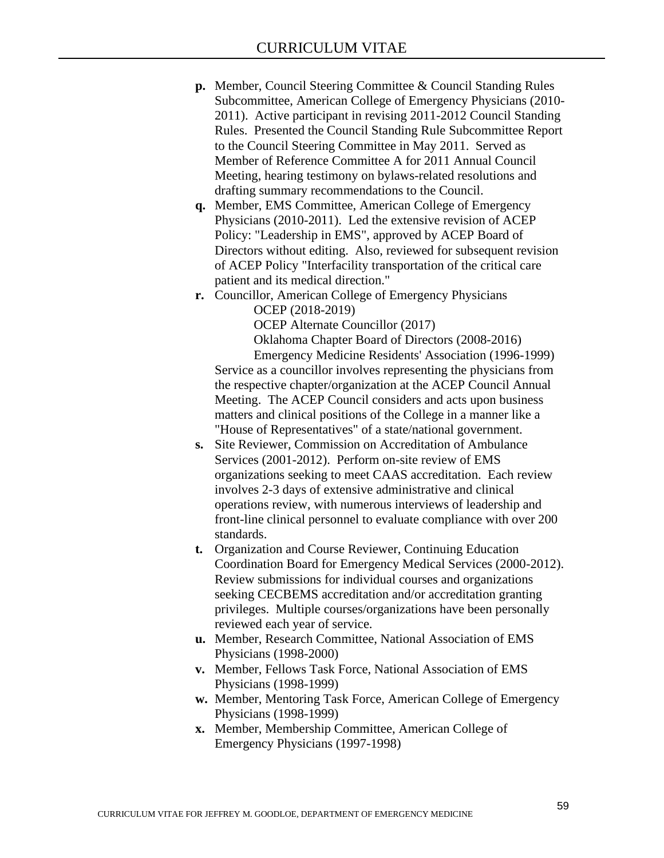- **p.** Member, Council Steering Committee & Council Standing Rules Subcommittee, American College of Emergency Physicians (2010- 2011). Active participant in revising 2011-2012 Council Standing Rules. Presented the Council Standing Rule Subcommittee Report to the Council Steering Committee in May 2011. Served as Member of Reference Committee A for 2011 Annual Council Meeting, hearing testimony on bylaws-related resolutions and drafting summary recommendations to the Council.
- **q.** Member, EMS Committee, American College of Emergency Physicians (2010-2011). Led the extensive revision of ACEP Policy: "Leadership in EMS", approved by ACEP Board of Directors without editing. Also, reviewed for subsequent revision of ACEP Policy "Interfacility transportation of the critical care patient and its medical direction."
- **r.** Councillor, American College of Emergency Physicians OCEP (2018-2019)

OCEP Alternate Councillor (2017)

Oklahoma Chapter Board of Directors (2008-2016)

Emergency Medicine Residents' Association (1996-1999) Service as a councillor involves representing the physicians from the respective chapter/organization at the ACEP Council Annual Meeting. The ACEP Council considers and acts upon business matters and clinical positions of the College in a manner like a "House of Representatives" of a state/national government.

- **s.** Site Reviewer, Commission on Accreditation of Ambulance Services (2001-2012). Perform on-site review of EMS organizations seeking to meet CAAS accreditation. Each review involves 2-3 days of extensive administrative and clinical operations review, with numerous interviews of leadership and front-line clinical personnel to evaluate compliance with over 200 standards.
- **t.** Organization and Course Reviewer, Continuing Education Coordination Board for Emergency Medical Services (2000-2012). Review submissions for individual courses and organizations seeking CECBEMS accreditation and/or accreditation granting privileges. Multiple courses/organizations have been personally reviewed each year of service.
- **u.** Member, Research Committee, National Association of EMS Physicians (1998-2000)
- **v.** Member, Fellows Task Force, National Association of EMS Physicians (1998-1999)
- **w.** Member, Mentoring Task Force, American College of Emergency Physicians (1998-1999)
- **x.** Member, Membership Committee, American College of Emergency Physicians (1997-1998)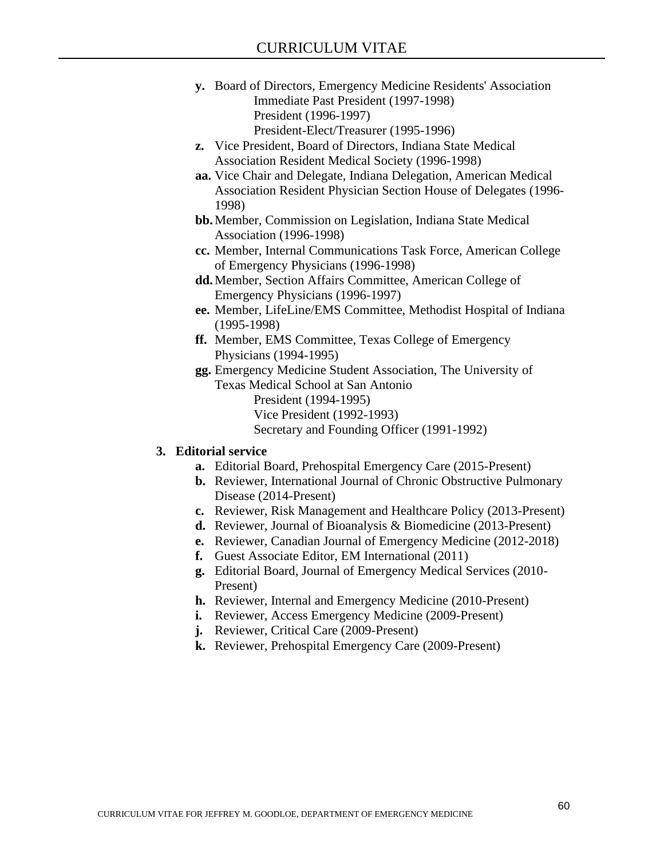- **y.** Board of Directors, Emergency Medicine Residents' Association Immediate Past President (1997-1998) President (1996-1997) President-Elect/Treasurer (1995-1996)
- **z.** Vice President, Board of Directors, Indiana State Medical Association Resident Medical Society (1996-1998)
- **aa.** Vice Chair and Delegate, Indiana Delegation, American Medical Association Resident Physician Section House of Delegates (1996- 1998)
- **bb.**Member, Commission on Legislation, Indiana State Medical Association (1996-1998)
- **cc.** Member, Internal Communications Task Force, American College of Emergency Physicians (1996-1998)
- **dd.**Member, Section Affairs Committee, American College of Emergency Physicians (1996-1997)
- **ee.** Member, LifeLine/EMS Committee, Methodist Hospital of Indiana (1995-1998)
- **ff.** Member, EMS Committee, Texas College of Emergency Physicians (1994-1995)
- **gg.** Emergency Medicine Student Association, The University of Texas Medical School at San Antonio President (1994-1995) Vice President (1992-1993) Secretary and Founding Officer (1991-1992)

#### **3. Editorial service**

- **a.** Editorial Board, Prehospital Emergency Care (2015-Present)
- **b.** Reviewer, International Journal of Chronic Obstructive Pulmonary Disease (2014-Present)
- **c.** Reviewer, Risk Management and Healthcare Policy (2013-Present)
- **d.** Reviewer, Journal of Bioanalysis & Biomedicine (2013-Present)
- **e.** Reviewer, Canadian Journal of Emergency Medicine (2012-2018)
- **f.** Guest Associate Editor, EM International (2011)
- **g.** Editorial Board, Journal of Emergency Medical Services (2010- Present)
- **h.** Reviewer, Internal and Emergency Medicine (2010-Present)
- **i.** Reviewer, Access Emergency Medicine (2009-Present)
- **j.** Reviewer, Critical Care (2009-Present)
- **k.** Reviewer, Prehospital Emergency Care (2009-Present)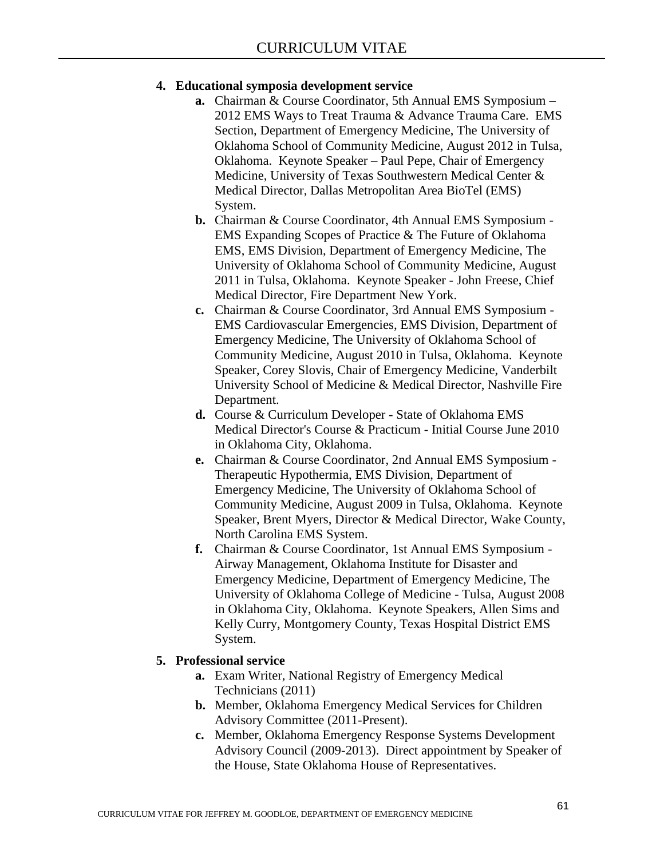# **4. Educational symposia development service**

- **a.** Chairman & Course Coordinator, 5th Annual EMS Symposium 2012 EMS Ways to Treat Trauma & Advance Trauma Care. EMS Section, Department of Emergency Medicine, The University of Oklahoma School of Community Medicine, August 2012 in Tulsa, Oklahoma. Keynote Speaker – Paul Pepe, Chair of Emergency Medicine, University of Texas Southwestern Medical Center & Medical Director, Dallas Metropolitan Area BioTel (EMS) System.
- **b.** Chairman & Course Coordinator, 4th Annual EMS Symposium EMS Expanding Scopes of Practice & The Future of Oklahoma EMS, EMS Division, Department of Emergency Medicine, The University of Oklahoma School of Community Medicine, August 2011 in Tulsa, Oklahoma. Keynote Speaker - John Freese, Chief Medical Director, Fire Department New York.
- **c.** Chairman & Course Coordinator, 3rd Annual EMS Symposium EMS Cardiovascular Emergencies, EMS Division, Department of Emergency Medicine, The University of Oklahoma School of Community Medicine, August 2010 in Tulsa, Oklahoma. Keynote Speaker, Corey Slovis, Chair of Emergency Medicine, Vanderbilt University School of Medicine & Medical Director, Nashville Fire Department.
- **d.** Course & Curriculum Developer State of Oklahoma EMS Medical Director's Course & Practicum - Initial Course June 2010 in Oklahoma City, Oklahoma.
- **e.** Chairman & Course Coordinator, 2nd Annual EMS Symposium Therapeutic Hypothermia, EMS Division, Department of Emergency Medicine, The University of Oklahoma School of Community Medicine, August 2009 in Tulsa, Oklahoma. Keynote Speaker, Brent Myers, Director & Medical Director, Wake County, North Carolina EMS System.
- **f.** Chairman & Course Coordinator, 1st Annual EMS Symposium Airway Management, Oklahoma Institute for Disaster and Emergency Medicine, Department of Emergency Medicine, The University of Oklahoma College of Medicine - Tulsa, August 2008 in Oklahoma City, Oklahoma. Keynote Speakers, Allen Sims and Kelly Curry, Montgomery County, Texas Hospital District EMS System.

# **5. Professional service**

- **a.** Exam Writer, National Registry of Emergency Medical Technicians (2011)
- **b.** Member, Oklahoma Emergency Medical Services for Children Advisory Committee (2011-Present).
- **c.** Member, Oklahoma Emergency Response Systems Development Advisory Council (2009-2013). Direct appointment by Speaker of the House, State Oklahoma House of Representatives.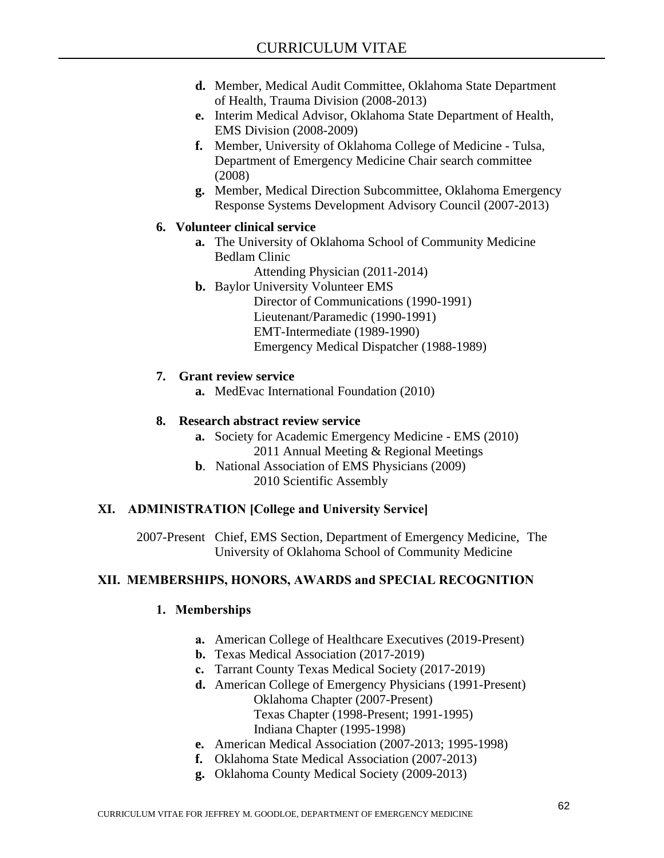- **d.** Member, Medical Audit Committee, Oklahoma State Department of Health, Trauma Division (2008-2013)
- **e.** Interim Medical Advisor, Oklahoma State Department of Health, EMS Division (2008-2009)
- **f.** Member, University of Oklahoma College of Medicine Tulsa, Department of Emergency Medicine Chair search committee (2008)
- **g.** Member, Medical Direction Subcommittee, Oklahoma Emergency Response Systems Development Advisory Council (2007-2013)

## **6. Volunteer clinical service**

**a.** The University of Oklahoma School of Community Medicine Bedlam Clinic

Attending Physician (2011-2014)

- **b.** Baylor University Volunteer EMS
	- Director of Communications (1990-1991) Lieutenant/Paramedic (1990-1991) EMT-Intermediate (1989-1990) Emergency Medical Dispatcher (1988-1989)

# **7. Grant review service**

**a.** MedEvac International Foundation (2010)

## **8. Research abstract review service**

- **a.** Society for Academic Emergency Medicine EMS (2010) 2011 Annual Meeting & Regional Meetings
- **b**. National Association of EMS Physicians (2009) 2010 Scientific Assembly

# **XI. ADMINISTRATION [College and University Service]**

2007-Present Chief, EMS Section, Department of Emergency Medicine, The University of Oklahoma School of Community Medicine

# **XII. MEMBERSHIPS, HONORS, AWARDS and SPECIAL RECOGNITION**

# **1. Memberships**

- **a.** American College of Healthcare Executives (2019-Present)
- **b.** Texas Medical Association (2017-2019)
- **c.** Tarrant County Texas Medical Society (2017-2019)
- **d.** American College of Emergency Physicians (1991-Present) Oklahoma Chapter (2007-Present) Texas Chapter (1998-Present; 1991-1995) Indiana Chapter (1995-1998)
- **e.** American Medical Association (2007-2013; 1995-1998)
- **f.** Oklahoma State Medical Association (2007-2013)
- **g.** Oklahoma County Medical Society (2009-2013)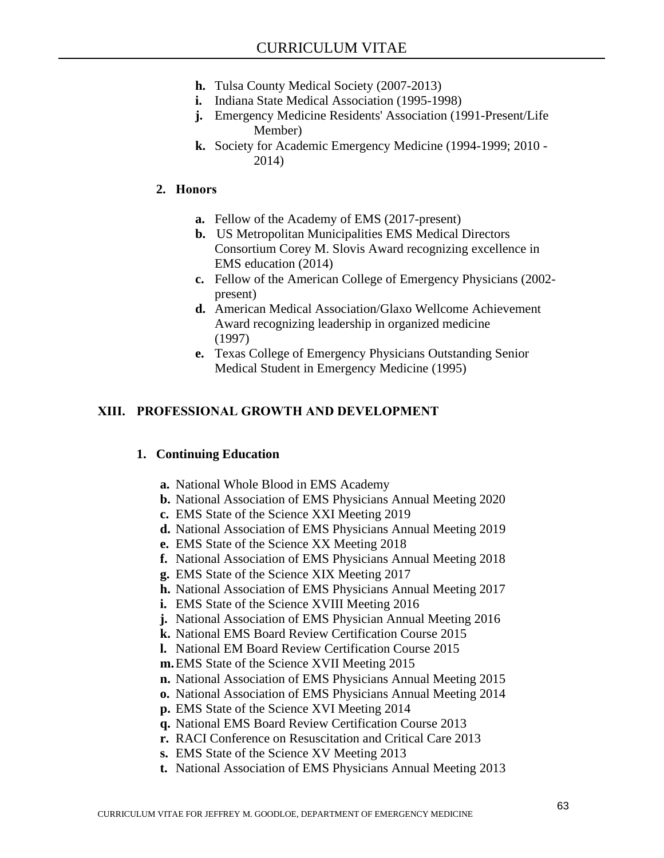- **h.** Tulsa County Medical Society (2007-2013)
- **i.** Indiana State Medical Association (1995-1998)
- **j.** Emergency Medicine Residents' Association (1991-Present/Life Member)
- **k.** Society for Academic Emergency Medicine (1994-1999; 2010 2014)

#### **2. Honors**

- **a.** Fellow of the Academy of EMS (2017-present)
- **b.** US Metropolitan Municipalities EMS Medical Directors Consortium Corey M. Slovis Award recognizing excellence in EMS education (2014)
- **c.** Fellow of the American College of Emergency Physicians (2002 present)
- **d.** American Medical Association/Glaxo Wellcome Achievement Award recognizing leadership in organized medicine (1997)
- **e.** Texas College of Emergency Physicians Outstanding Senior Medical Student in Emergency Medicine (1995)

## **XIII. PROFESSIONAL GROWTH AND DEVELOPMENT**

#### **1. Continuing Education**

- **a.** National Whole Blood in EMS Academy
- **b.** National Association of EMS Physicians Annual Meeting 2020
- **c.** EMS State of the Science XXI Meeting 2019
- **d.** National Association of EMS Physicians Annual Meeting 2019
- **e.** EMS State of the Science XX Meeting 2018
- **f.** National Association of EMS Physicians Annual Meeting 2018
- **g.** EMS State of the Science XIX Meeting 2017
- **h.** National Association of EMS Physicians Annual Meeting 2017
- **i.** EMS State of the Science XVIII Meeting 2016
- **j.** National Association of EMS Physician Annual Meeting 2016
- **k.** National EMS Board Review Certification Course 2015
- **l.** National EM Board Review Certification Course 2015
- **m.**EMS State of the Science XVII Meeting 2015
- **n.** National Association of EMS Physicians Annual Meeting 2015
- **o.** National Association of EMS Physicians Annual Meeting 2014
- **p.** EMS State of the Science XVI Meeting 2014
- **q.** National EMS Board Review Certification Course 2013
- **r.** RACI Conference on Resuscitation and Critical Care 2013
- **s.** EMS State of the Science XV Meeting 2013
- **t.** National Association of EMS Physicians Annual Meeting 2013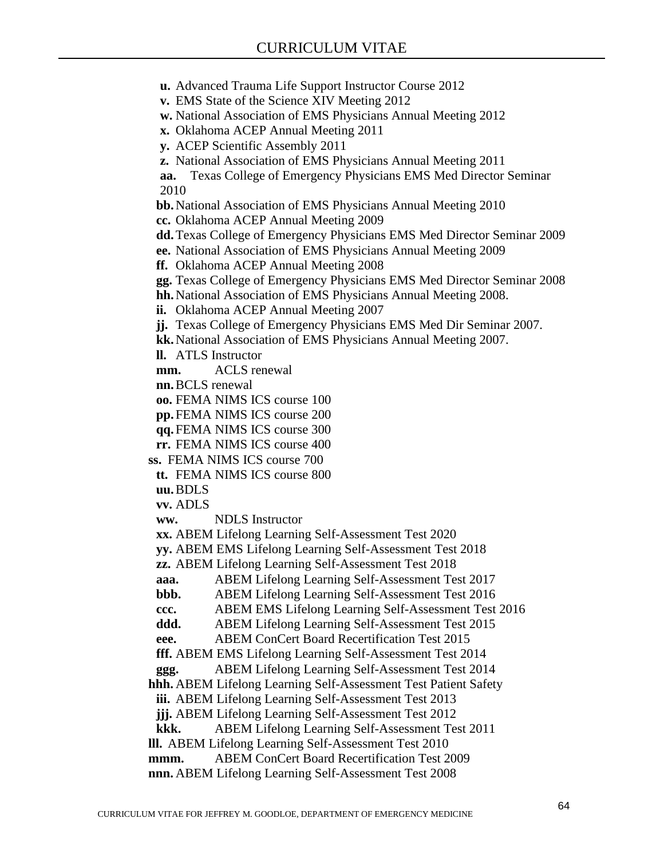**u.** Advanced Trauma Life Support Instructor Course 2012

**v.** EMS State of the Science XIV Meeting 2012

**w.** National Association of EMS Physicians Annual Meeting 2012

**x.** Oklahoma ACEP Annual Meeting 2011

**y.** ACEP Scientific Assembly 2011

**z.** National Association of EMS Physicians Annual Meeting 2011

**aa.** Texas College of Emergency Physicians EMS Med Director Seminar 2010

**bb.**National Association of EMS Physicians Annual Meeting 2010

**cc.** Oklahoma ACEP Annual Meeting 2009

**dd.**Texas College of Emergency Physicians EMS Med Director Seminar 2009

**ee.** National Association of EMS Physicians Annual Meeting 2009

**ff.** Oklahoma ACEP Annual Meeting 2008

**gg.** Texas College of Emergency Physicians EMS Med Director Seminar 2008

**hh.**National Association of EMS Physicians Annual Meeting 2008.

**ii.** Oklahoma ACEP Annual Meeting 2007

**jj.** Texas College of Emergency Physicians EMS Med Dir Seminar 2007.

**kk.**National Association of EMS Physicians Annual Meeting 2007.

**ll.** ATLS Instructor

**mm.** ACLS renewal

**nn.**BCLS renewal

**oo.** FEMA NIMS ICS course 100

**pp.**FEMA NIMS ICS course 200

**qq.**FEMA NIMS ICS course 300

**rr.** FEMA NIMS ICS course 400

**ss.** FEMA NIMS ICS course 700

**tt.** FEMA NIMS ICS course 800

**uu.**BDLS

**vv.** ADLS

**ww.** NDLS Instructor

**xx.** ABEM Lifelong Learning Self-Assessment Test 2020

**yy.** ABEM EMS Lifelong Learning Self-Assessment Test 2018

**zz.** ABEM Lifelong Learning Self-Assessment Test 2018

**aaa.** ABEM Lifelong Learning Self-Assessment Test 2017

**bbb.** ABEM Lifelong Learning Self-Assessment Test 2016

**ccc.** ABEM EMS Lifelong Learning Self-Assessment Test 2016

**ddd.** ABEM Lifelong Learning Self-Assessment Test 2015

**eee.** ABEM ConCert Board Recertification Test 2015

**fff.** ABEM EMS Lifelong Learning Self-Assessment Test 2014

**ggg.** ABEM Lifelong Learning Self-Assessment Test 2014

**hhh.** ABEM Lifelong Learning Self-Assessment Test Patient Safety

**iii.** ABEM Lifelong Learning Self-Assessment Test 2013

**jjj.** ABEM Lifelong Learning Self-Assessment Test 2012

**kkk.** ABEM Lifelong Learning Self-Assessment Test 2011

**lll.** ABEM Lifelong Learning Self-Assessment Test 2010

**mmm.** ABEM ConCert Board Recertification Test 2009

**nnn.** ABEM Lifelong Learning Self-Assessment Test 2008